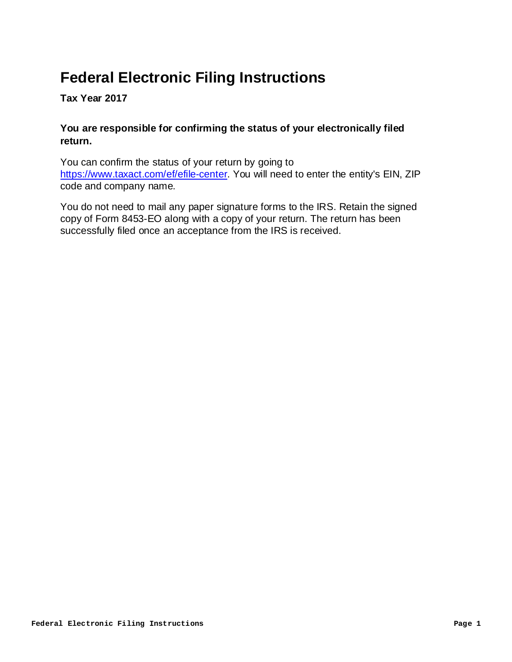# **Federal Electronic Filing Instructions**

**Tax Year 2017**

## **You are responsible for confirming the status of your electronically filed return.**

You can confirm the status of your return by going to https://www.taxact.com/ef/efile-center. You will need to enter the entity's EIN, ZIP code and company name.

You do not need to mail any paper signature forms to the IRS. Retain the signed copy of Form 8453-EO along with a copy of your return. The return has been successfully filed once an acceptance from the IRS is received.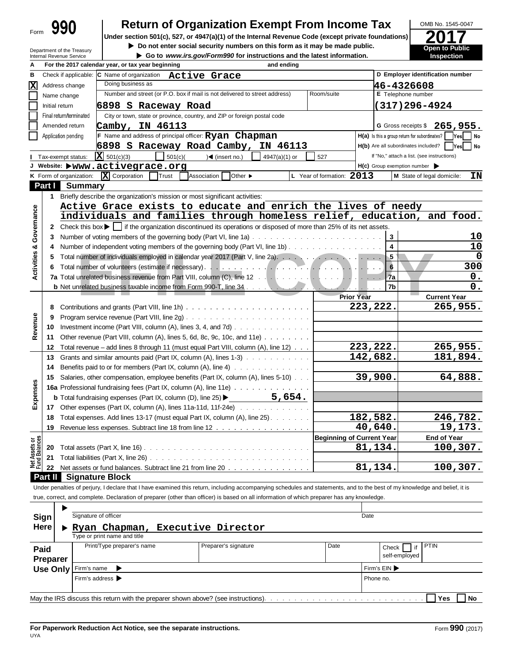| 990<br>Under section 501(c), 527, or 4947(a)(1) of the Internal Revenue Code (except private foundations)<br>Do not enter social security numbers on this form as it may be made public.<br>Department of the Treasury<br>Go to www.irs.gov/Form990 for instructions and the latest information.<br>Internal Revenue Service<br>For the 2017 calendar year, or tax year beginning<br>and ending<br>Check if applicable: C Name of organization<br>Active Grace<br>Doing business as<br>Address change<br>Number and street (or P.O. box if mail is not delivered to street address)<br>Name change<br>6898 S Raceway Road<br>Initial return |                                  | <b>Open to Public</b><br><b>Inspection</b><br>D Employer identification number |
|---------------------------------------------------------------------------------------------------------------------------------------------------------------------------------------------------------------------------------------------------------------------------------------------------------------------------------------------------------------------------------------------------------------------------------------------------------------------------------------------------------------------------------------------------------------------------------------------------------------------------------------------|----------------------------------|--------------------------------------------------------------------------------|
|                                                                                                                                                                                                                                                                                                                                                                                                                                                                                                                                                                                                                                             |                                  |                                                                                |
|                                                                                                                                                                                                                                                                                                                                                                                                                                                                                                                                                                                                                                             |                                  |                                                                                |
|                                                                                                                                                                                                                                                                                                                                                                                                                                                                                                                                                                                                                                             |                                  |                                                                                |
|                                                                                                                                                                                                                                                                                                                                                                                                                                                                                                                                                                                                                                             |                                  |                                                                                |
|                                                                                                                                                                                                                                                                                                                                                                                                                                                                                                                                                                                                                                             |                                  |                                                                                |
|                                                                                                                                                                                                                                                                                                                                                                                                                                                                                                                                                                                                                                             |                                  | 46-4326608                                                                     |
|                                                                                                                                                                                                                                                                                                                                                                                                                                                                                                                                                                                                                                             | Room/suite                       | E Telephone number                                                             |
|                                                                                                                                                                                                                                                                                                                                                                                                                                                                                                                                                                                                                                             |                                  | $(317)296 - 4924$                                                              |
| Final return/terminated<br>City or town, state or province, country, and ZIP or foreign postal code                                                                                                                                                                                                                                                                                                                                                                                                                                                                                                                                         |                                  |                                                                                |
| Camby, IN 46113<br>Amended return                                                                                                                                                                                                                                                                                                                                                                                                                                                                                                                                                                                                           |                                  | G Gross receipts \$265,955.                                                    |
| F Name and address of principal officer: Ryan Chapman<br>Application pending                                                                                                                                                                                                                                                                                                                                                                                                                                                                                                                                                                |                                  | H(a) Is this a group return for subordinates? Yes No                           |
| 6898 S Raceway Road Camby, IN 46113                                                                                                                                                                                                                                                                                                                                                                                                                                                                                                                                                                                                         |                                  | H(b) Are all subordinates included?<br>Yes No                                  |
| $\bar{x}$ 501(c)(3)<br>501(c)<br>)◀ (insert no.)<br>Tax-exempt status:<br>4947(a)(1) or                                                                                                                                                                                                                                                                                                                                                                                                                                                                                                                                                     | 527                              | If "No," attach a list. (see instructions)                                     |
| J Website: bwww.activegrace.org                                                                                                                                                                                                                                                                                                                                                                                                                                                                                                                                                                                                             |                                  | $H(c)$ Group exemption number $\blacktriangleright$                            |
| $\overline{\mathbf{X}}$ Corporation<br>K Form of organization:<br>Association<br>Other $\blacktriangleright$<br>Trust                                                                                                                                                                                                                                                                                                                                                                                                                                                                                                                       | L Year of formation: 2013        | M State of legal domicile:<br>ΙN                                               |
| Part I Summary                                                                                                                                                                                                                                                                                                                                                                                                                                                                                                                                                                                                                              |                                  |                                                                                |
| 1 Briefly describe the organization's mission or most significant activities:                                                                                                                                                                                                                                                                                                                                                                                                                                                                                                                                                               |                                  |                                                                                |
| Active Grace exists to educate and enrich the lives of needy                                                                                                                                                                                                                                                                                                                                                                                                                                                                                                                                                                                |                                  |                                                                                |
| individuals and families through homeless relief, education, and food.                                                                                                                                                                                                                                                                                                                                                                                                                                                                                                                                                                      |                                  |                                                                                |
| 2 Check this box $\blacktriangleright \blacksquare$ if the organization discontinued its operations or disposed of more than 25% of its net assets.                                                                                                                                                                                                                                                                                                                                                                                                                                                                                         |                                  |                                                                                |
|                                                                                                                                                                                                                                                                                                                                                                                                                                                                                                                                                                                                                                             |                                  | 10<br>3                                                                        |
| 4 Number of independent voting members of the governing body (Part VI, line 1b)                                                                                                                                                                                                                                                                                                                                                                                                                                                                                                                                                             |                                  | 10                                                                             |
| 5 Total number of individuals employed in calendar year 2017 (Part V, line 2a).                                                                                                                                                                                                                                                                                                                                                                                                                                                                                                                                                             |                                  | 15<br>0                                                                        |
|                                                                                                                                                                                                                                                                                                                                                                                                                                                                                                                                                                                                                                             |                                  | 300<br>6                                                                       |
|                                                                                                                                                                                                                                                                                                                                                                                                                                                                                                                                                                                                                                             |                                  | $\mathbf{0}$ .<br>'7a                                                          |
| b Net unrelated business taxable income from Form 990-T, line 34                                                                                                                                                                                                                                                                                                                                                                                                                                                                                                                                                                            |                                  | $\mathbf{0}$ .<br>7b                                                           |
|                                                                                                                                                                                                                                                                                                                                                                                                                                                                                                                                                                                                                                             | <b>Prior Year</b>                | <b>Current Year</b>                                                            |
| 8                                                                                                                                                                                                                                                                                                                                                                                                                                                                                                                                                                                                                                           | 223,222.                         | 265,955.                                                                       |
| 9                                                                                                                                                                                                                                                                                                                                                                                                                                                                                                                                                                                                                                           |                                  |                                                                                |
|                                                                                                                                                                                                                                                                                                                                                                                                                                                                                                                                                                                                                                             |                                  |                                                                                |
| Investment income (Part VIII, column (A), lines 3, 4, and 7d) $\ldots$<br>10                                                                                                                                                                                                                                                                                                                                                                                                                                                                                                                                                                |                                  |                                                                                |
| Other revenue (Part VIII, column (A), lines 5, 6d, 8c, 9c, 10c, and 11e)<br>11                                                                                                                                                                                                                                                                                                                                                                                                                                                                                                                                                              | 223,222.                         |                                                                                |
| Total revenue - add lines 8 through 11 (must equal Part VIII, column (A), line 12)<br>12                                                                                                                                                                                                                                                                                                                                                                                                                                                                                                                                                    |                                  | 265,955.                                                                       |
| Grants and similar amounts paid (Part IX, column (A), lines 1-3)<br>13                                                                                                                                                                                                                                                                                                                                                                                                                                                                                                                                                                      | 142,682.                         | 181,894.                                                                       |
| Benefits paid to or for members (Part IX, column (A), line 4)<br>14                                                                                                                                                                                                                                                                                                                                                                                                                                                                                                                                                                         |                                  |                                                                                |
| 15 Salaries, other compensation, employee benefits (Part IX, column (A), lines 5-10)                                                                                                                                                                                                                                                                                                                                                                                                                                                                                                                                                        | 39,900.                          | 64,888.                                                                        |
| 16a Professional fundraising fees (Part IX, column (A), line 11e)                                                                                                                                                                                                                                                                                                                                                                                                                                                                                                                                                                           |                                  |                                                                                |
| 5,654.<br><b>b</b> Total fundraising expenses (Part IX, column (D), line 25)                                                                                                                                                                                                                                                                                                                                                                                                                                                                                                                                                                |                                  |                                                                                |
| Other expenses (Part IX, column (A), lines 11a-11d, 11f-24e)<br>17                                                                                                                                                                                                                                                                                                                                                                                                                                                                                                                                                                          |                                  |                                                                                |
| Total expenses. Add lines 13-17 (must equal Part IX, column (A), line 25)<br>18                                                                                                                                                                                                                                                                                                                                                                                                                                                                                                                                                             | 182,582.                         | 246,782.                                                                       |
| Revenue less expenses. Subtract line 18 from line 12<br>19                                                                                                                                                                                                                                                                                                                                                                                                                                                                                                                                                                                  | 40,640.                          | 19,173.                                                                        |
|                                                                                                                                                                                                                                                                                                                                                                                                                                                                                                                                                                                                                                             | <b>Beginning of Current Year</b> | <b>End of Year</b>                                                             |
| 20                                                                                                                                                                                                                                                                                                                                                                                                                                                                                                                                                                                                                                          | 81,134.                          | 100, 307.                                                                      |
| 21                                                                                                                                                                                                                                                                                                                                                                                                                                                                                                                                                                                                                                          |                                  |                                                                                |
| Net assets or fund balances. Subtract line 21 from line 20<br>22                                                                                                                                                                                                                                                                                                                                                                                                                                                                                                                                                                            | 81,134.                          | 100,307.                                                                       |
| <b>Part II</b> Signature Block                                                                                                                                                                                                                                                                                                                                                                                                                                                                                                                                                                                                              |                                  |                                                                                |
| Under penalties of perjury, I declare that I have examined this return, including accompanying schedules and statements, and to the best of my knowledge and belief, it is                                                                                                                                                                                                                                                                                                                                                                                                                                                                  |                                  |                                                                                |
|                                                                                                                                                                                                                                                                                                                                                                                                                                                                                                                                                                                                                                             |                                  |                                                                                |
|                                                                                                                                                                                                                                                                                                                                                                                                                                                                                                                                                                                                                                             |                                  |                                                                                |
| true, correct, and complete. Declaration of preparer (other than officer) is based on all information of which preparer has any knowledge.                                                                                                                                                                                                                                                                                                                                                                                                                                                                                                  |                                  |                                                                                |
| Signature of officer<br>Sign                                                                                                                                                                                                                                                                                                                                                                                                                                                                                                                                                                                                                | Date                             |                                                                                |

| Paid<br>Preparer | Print/Type preparer's name              | Preparer's signature | Date |             | <b>PTIN</b><br>Check  <br>self-employed |
|------------------|-----------------------------------------|----------------------|------|-------------|-----------------------------------------|
| Use Only         | $\mathsf{Firm}\mathsf{'s}\mathsf{name}$ |                      |      |             | Firm's EIN                              |
|                  | Firm's address $\blacktriangleright$    |                      |      | l Phone no. |                                         |
|                  |                                         |                      |      |             |                                         |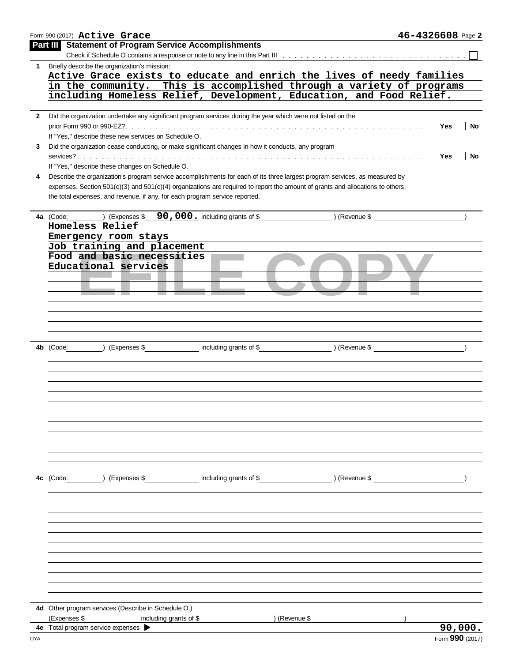| Form 990 (2017) Active Grace<br>46-4326608 Page 2<br>Part III Statement of Program Service Accomplishments<br>Briefly describe the organization's mission:<br>$\mathbf{1}$<br>Active Grace exists to educate and enrich the lives of needy families<br>in the community. This is accomplished through a variety of programs<br>including Homeless Relief, Development, Education, and Food Relief.<br>2 Did the organization undertake any significant program services during the year which were not listed on the |            |
|----------------------------------------------------------------------------------------------------------------------------------------------------------------------------------------------------------------------------------------------------------------------------------------------------------------------------------------------------------------------------------------------------------------------------------------------------------------------------------------------------------------------|------------|
|                                                                                                                                                                                                                                                                                                                                                                                                                                                                                                                      |            |
|                                                                                                                                                                                                                                                                                                                                                                                                                                                                                                                      |            |
| If "Yes," describe these new services on Schedule O.                                                                                                                                                                                                                                                                                                                                                                                                                                                                 | No         |
| Did the organization cease conducting, or make significant changes in how it conducts, any program<br>If "Yes," describe these changes on Schedule O.                                                                                                                                                                                                                                                                                                                                                                | Yes     No |
| Describe the organization's program service accomplishments for each of its three largest program services, as measured by<br>expenses. Section $501(c)(3)$ and $501(c)(4)$ organizations are required to report the amount of grants and allocations to others,<br>the total expenses, and revenue, if any, for each program service reported.                                                                                                                                                                      |            |
| (Expenses \$ 90,000. including grants of \$ ) (Revenue \$ )<br>4a (Code:<br>Homeless Relief<br>Emergency room stays                                                                                                                                                                                                                                                                                                                                                                                                  |            |
| Job training and placement<br>Food and basic necessities<br>Educational services                                                                                                                                                                                                                                                                                                                                                                                                                                     |            |
| including grants of \$ (Revenue \$) (Revenue \$<br>(Express \$                                                                                                                                                                                                                                                                                                                                                                                                                                                       |            |
| 4b (Code:                                                                                                                                                                                                                                                                                                                                                                                                                                                                                                            |            |
|                                                                                                                                                                                                                                                                                                                                                                                                                                                                                                                      |            |
| ) (Revenue \$<br>4c (Code:<br>(Expenses \$<br>including grants of \$                                                                                                                                                                                                                                                                                                                                                                                                                                                 |            |
|                                                                                                                                                                                                                                                                                                                                                                                                                                                                                                                      |            |
|                                                                                                                                                                                                                                                                                                                                                                                                                                                                                                                      |            |
|                                                                                                                                                                                                                                                                                                                                                                                                                                                                                                                      |            |
|                                                                                                                                                                                                                                                                                                                                                                                                                                                                                                                      |            |
| 4d Other program services (Describe in Schedule O.)<br>(Expenses \$<br>including grants of \$<br>) (Revenue \$<br>4e Total program service expenses                                                                                                                                                                                                                                                                                                                                                                  | 90,000.    |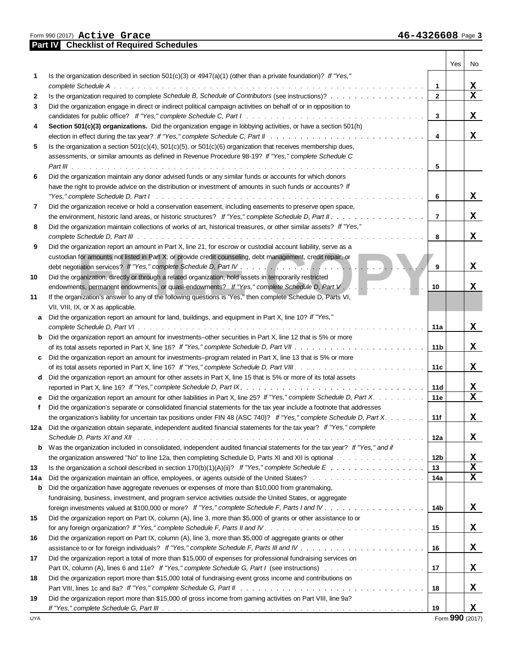Form 990 (2017) **Part IV Part I Checklist of Required Schedules Active Grace 46-4326608**

|     | Criticalist Of Required Octreduies                                                                                         |                |     |              |
|-----|----------------------------------------------------------------------------------------------------------------------------|----------------|-----|--------------|
|     |                                                                                                                            |                | Yes | No           |
| 1   | Is the organization described in section $501(c)(3)$ or $4947(a)(1)$ (other than a private foundation)? If "Yes,"          |                |     |              |
|     |                                                                                                                            | $\mathbf{1}$   |     | $\mathbf{x}$ |
| 2   |                                                                                                                            | $\overline{2}$ |     | $\mathbf x$  |
| 3   | Did the organization engage in direct or indirect political campaign activities on behalf of or in opposition to           |                |     |              |
|     |                                                                                                                            | $\mathbf{3}$   |     | X            |
| 4   | Section 501(c)(3) organizations. Did the organization engage in lobbying activities, or have a section 501(h)              |                |     |              |
|     |                                                                                                                            | 4              |     | X            |
| 5   | Is the organization a section $501(c)(4)$ , $501(c)(5)$ , or $501(c)(6)$ organization that receives membership dues,       |                |     |              |
|     | assessments, or similar amounts as defined in Revenue Procedure 98-19? If "Yes," complete Schedule C                       |                |     |              |
|     |                                                                                                                            | 5              |     |              |
| 6   | Did the organization maintain any donor advised funds or any similar funds or accounts for which donors                    |                |     |              |
|     | have the right to provide advice on the distribution or investment of amounts in such funds or accounts? If                |                |     |              |
|     |                                                                                                                            | 6              |     | X            |
| 7   | Did the organization receive or hold a conservation easement, including easements to preserve open space,                  |                |     |              |
|     |                                                                                                                            | $\overline{7}$ |     | X            |
| 8   | Did the organization maintain collections of works of art, historical treasures, or other similar assets? If "Yes,"        |                |     |              |
|     |                                                                                                                            | 8              |     | X            |
| 9   | Did the organization report an amount in Part X, line 21, for escrow or custodial account liability, serve as a            |                |     |              |
|     | custodian for amounts not listed in Part X; or provide credit counseling, debt management, credit repair, or               |                |     |              |
|     |                                                                                                                            | 9              |     | X            |
| 10  | Did the organization, directly or through a related organization, hold assets in temporarily restricted                    |                |     |              |
|     | endowments, permanent endowments, or quasi-endowments? If "Yes," complete Schedule D, Part V                               | 10             |     | х            |
| 11  | If the organization's answer to any of the following questions is 'Yes," then complete Schedule D, Parts VI,               |                |     |              |
|     | VII, VIII, IX, or X as applicable.                                                                                         |                |     |              |
|     | Did the organization report an amount for land, buildings, and equipment in Part X, line 10? If "Yes,"                     |                |     |              |
|     |                                                                                                                            | 11a            |     | X            |
|     | <b>b</b> Did the organization report an amount for investments-other securities in Part X, line 12 that is 5% or more      |                |     |              |
|     |                                                                                                                            | 11b            |     | X            |
|     | c Did the organization report an amount for investments-program related in Part X, line 13 that is 5% or more              |                |     |              |
|     |                                                                                                                            | 11c            |     | X            |
|     | Did the organization report an amount for other assets in Part X, line 15 that is 5% or more of its total assets           |                |     |              |
|     |                                                                                                                            | 11d            |     | X            |
|     | Did the organization report an amount for other liabilities in Part X, line 25? If "Yes," complete Schedule D, Part X.     | 11e            |     | X            |
|     | Did the organization's separate or consolidated financial statements for the tax year include a footnote that addresses    |                |     |              |
|     | the organization's liability for uncertain tax positions under FIN 48 (ASC 740)? If "Yes," complete Schedule D, Part X.    | 11f            |     | х            |
|     | 12a Did the organization obtain separate, independent audited financial statements for the tax year? If "Yes," complete    |                |     |              |
|     | Schedule D, Parts XI and XII<br>and a series and a series and a series and a                                               | 12a            |     | $\mathbf{x}$ |
| b   | Was the organization included in consolidated, independent audited financial statements for the tax year? If "Yes," and if |                |     |              |
|     | the organization answered "No" to line 12a, then completing Schedule D, Parts XI and XII is optional                       | 12b            |     | X            |
| 13  |                                                                                                                            | 13             |     | X            |
| 14a |                                                                                                                            | 14a            |     | X            |
| b   | Did the organization have aggregate revenues or expenses of more than \$10,000 from grantmaking,                           |                |     |              |
|     | fundraising, business, investment, and program service activities outside the United States, or aggregate                  |                |     |              |
|     |                                                                                                                            | 14b            |     | X            |
| 15  | Did the organization report on Part IX, column (A), line 3, more than \$5,000 of grants or other assistance to or          |                |     |              |
|     | for any foreign organization? If "Yes," complete Schedule F, Parts II and IV.                                              | 15             |     | X            |
| 16  | Did the organization report on Part IX, column (A), line 3, more than \$5,000 of aggregate grants or other                 |                |     |              |
|     |                                                                                                                            | 16             |     | X            |
| 17  | Did the organization report a total of more than \$15,000 of expenses for professional fundraising services on             |                |     |              |
|     |                                                                                                                            | 17             |     | X            |
| 18  | Did the organization report more than \$15,000 total of fundraising event gross income and contributions on                |                |     |              |
|     |                                                                                                                            | 18             |     | X            |
| 19  | Did the organization report more than \$15,000 of gross income from gaming activities on Part VIII, line 9a?               |                |     |              |
|     |                                                                                                                            | 19             |     | X            |
|     |                                                                                                                            |                |     |              |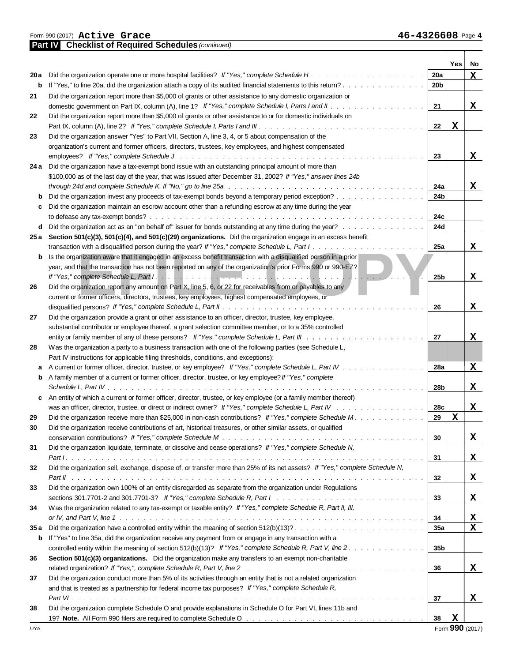**Part IV Checklist of Required Schedules** *(continued)*

 $\top$  $\top$ 

| 20a<br>20 a<br>20 <sub>b</sub><br>b<br>Did the organization report more than \$5,000 of grants or other assistance to any domestic organization or<br>21<br>21<br>Did the organization report more than \$5,000 of grants or other assistance to or for domestic individuals on<br>22<br>22<br>Did the organization answer "Yes" to Part VII, Section A, line 3, 4, or 5 about compensation of the<br>23<br>organization's current and former officers, directors, trustees, key employees, and highest compensated<br>23<br>24 a Did the organization have a tax-exempt bond issue with an outstanding principal amount of more than<br>\$100,000 as of the last day of the year, that was issued after December 31, 2002? If "Yes," answer lines 24b<br>through 24d and complete Schedule K. If "No," go to line 25a with the state of the state of the state of the state of the state of the state of the state of the state of the state of the state of the state of the state of<br>24a<br>Did the organization invest any proceeds of tax-exempt bonds beyond a temporary period exception?<br>24b<br>b<br>Did the organization maintain an escrow account other than a refunding escrow at any time during the year<br>c<br>24c<br>Did the organization act as an "on behalf of" issuer for bonds outstanding at any time during the year?<br>24d<br>d<br>25 a Section 501(c)(3), 501(c)(4), and 501(c)(29) organizations. Did the organization engage in an excess benefit<br>25a<br>Is the organization aware that it engaged in an excess benefit transaction with a disqualified person in a prior<br>b<br>year, and that the transaction has not been reported on any of the organization's prior Forms 990 or 990-EZ?<br>25 <sub>b</sub><br>Did the organization report any amount on Part X, line 5, 6, or 22 for receivables from or payables to any<br>26<br>current or former officers, directors, trustees, key employees, highest compensated employees, or<br>26<br>27<br>Did the organization provide a grant or other assistance to an officer, director, trustee, key employee,<br>substantial contributor or employee thereof, a grant selection committee member, or to a 35% controlled<br>27<br>Was the organization a party to a business transaction with one of the following parties (see Schedule L,<br>28<br>Part IV instructions for applicable filing thresholds, conditions, and exceptions):<br>A current or former officer, director, trustee, or key employee? If "Yes," complete Schedule L, Part IV<br>28a<br>a<br>A family member of a current or former officer, director, trustee, or key employee? If "Yes," complete<br>b<br>28b<br>An entity of which a current or former officer, director, trustee, or key employee (or a family member thereof)<br>c<br>28c<br>Did the organization receive more than \$25,000 in non-cash contributions? If "Yes," complete Schedule M.<br>29<br>29<br>30<br>Did the organization receive contributions of art, historical treasures, or other similar assets, or qualified<br>30<br>Did the organization liquidate, terminate, or dissolve and cease operations? If "Yes," complete Schedule N,<br>31<br>31<br>Did the organization sell, exchange, dispose of, or transfer more than 25% of its net assets? If "Yes," complete Schedule N,<br>32<br>32<br>Did the organization own 100% of an entity disregarded as separate from the organization under Regulations<br>33<br>33<br>Was the organization related to any tax-exempt or taxable entity? If "Yes," complete Schedule R, Part II, III,<br>34<br>34<br>Did the organization have a controlled entity within the meaning of section 512(b)(13)?<br>35a<br>35 a<br>If "Yes" to line 35a, did the organization receive any payment from or engage in any transaction with a<br>b<br>controlled entity within the meaning of section 512(b)(13)? If "Yes," complete Schedule R, Part V, line 2.<br>35 <sub>b</sub><br>Section 501(c)(3) organizations. Did the organization make any transfers to an exempt non-charitable<br>36<br>36<br>Did the organization conduct more than 5% of its activities through an entity that is not a related organization<br>37<br>and that is treated as a partnership for federal income tax purposes? If "Yes," complete Schedule R,<br>37<br>Did the organization complete Schedule O and provide explanations in Schedule O for Part VI, lines 11b and<br>38 |  | Yes         | No           |
|--------------------------------------------------------------------------------------------------------------------------------------------------------------------------------------------------------------------------------------------------------------------------------------------------------------------------------------------------------------------------------------------------------------------------------------------------------------------------------------------------------------------------------------------------------------------------------------------------------------------------------------------------------------------------------------------------------------------------------------------------------------------------------------------------------------------------------------------------------------------------------------------------------------------------------------------------------------------------------------------------------------------------------------------------------------------------------------------------------------------------------------------------------------------------------------------------------------------------------------------------------------------------------------------------------------------------------------------------------------------------------------------------------------------------------------------------------------------------------------------------------------------------------------------------------------------------------------------------------------------------------------------------------------------------------------------------------------------------------------------------------------------------------------------------------------------------------------------------------------------------------------------------------------------------------------------------------------------------------------------------------------------------------------------------------------------------------------------------------------------------------------------------------------------------------------------------------------------------------------------------------------------------------------------------------------------------------------------------------------------------------------------------------------------------------------------------------------------------------------------------------------------------------------------------------------------------------------------------------------------------------------------------------------------------------------------------------------------------------------------------------------------------------------------------------------------------------------------------------------------------------------------------------------------------------------------------------------------------------------------------------------------------------------------------------------------------------------------------------------------------------------------------------------------------------------------------------------------------------------------------------------------------------------------------------------------------------------------------------------------------------------------------------------------------------------------------------------------------------------------------------------------------------------------------------------------------------------------------------------------------------------------------------------------------------------------------------------------------------------------------------------------------------------------------------------------------------------------------------------------------------------------------------------------------------------------------------------------------------------------------------------------------------------------------------------------------------------------------------------------------------------------------------------------------------------------------------------------------------------------------------------------------------------------------------------------------------------------------------------------------------------------------------------------------------------------------|--|-------------|--------------|
|                                                                                                                                                                                                                                                                                                                                                                                                                                                                                                                                                                                                                                                                                                                                                                                                                                                                                                                                                                                                                                                                                                                                                                                                                                                                                                                                                                                                                                                                                                                                                                                                                                                                                                                                                                                                                                                                                                                                                                                                                                                                                                                                                                                                                                                                                                                                                                                                                                                                                                                                                                                                                                                                                                                                                                                                                                                                                                                                                                                                                                                                                                                                                                                                                                                                                                                                                                                                                                                                                                                                                                                                                                                                                                                                                                                                                                                                                                                                                                                                                                                                                                                                                                                                                                                                                                                                                                                                                                                  |  |             | $\mathbf{x}$ |
|                                                                                                                                                                                                                                                                                                                                                                                                                                                                                                                                                                                                                                                                                                                                                                                                                                                                                                                                                                                                                                                                                                                                                                                                                                                                                                                                                                                                                                                                                                                                                                                                                                                                                                                                                                                                                                                                                                                                                                                                                                                                                                                                                                                                                                                                                                                                                                                                                                                                                                                                                                                                                                                                                                                                                                                                                                                                                                                                                                                                                                                                                                                                                                                                                                                                                                                                                                                                                                                                                                                                                                                                                                                                                                                                                                                                                                                                                                                                                                                                                                                                                                                                                                                                                                                                                                                                                                                                                                                  |  |             |              |
|                                                                                                                                                                                                                                                                                                                                                                                                                                                                                                                                                                                                                                                                                                                                                                                                                                                                                                                                                                                                                                                                                                                                                                                                                                                                                                                                                                                                                                                                                                                                                                                                                                                                                                                                                                                                                                                                                                                                                                                                                                                                                                                                                                                                                                                                                                                                                                                                                                                                                                                                                                                                                                                                                                                                                                                                                                                                                                                                                                                                                                                                                                                                                                                                                                                                                                                                                                                                                                                                                                                                                                                                                                                                                                                                                                                                                                                                                                                                                                                                                                                                                                                                                                                                                                                                                                                                                                                                                                                  |  |             |              |
|                                                                                                                                                                                                                                                                                                                                                                                                                                                                                                                                                                                                                                                                                                                                                                                                                                                                                                                                                                                                                                                                                                                                                                                                                                                                                                                                                                                                                                                                                                                                                                                                                                                                                                                                                                                                                                                                                                                                                                                                                                                                                                                                                                                                                                                                                                                                                                                                                                                                                                                                                                                                                                                                                                                                                                                                                                                                                                                                                                                                                                                                                                                                                                                                                                                                                                                                                                                                                                                                                                                                                                                                                                                                                                                                                                                                                                                                                                                                                                                                                                                                                                                                                                                                                                                                                                                                                                                                                                                  |  |             | x            |
|                                                                                                                                                                                                                                                                                                                                                                                                                                                                                                                                                                                                                                                                                                                                                                                                                                                                                                                                                                                                                                                                                                                                                                                                                                                                                                                                                                                                                                                                                                                                                                                                                                                                                                                                                                                                                                                                                                                                                                                                                                                                                                                                                                                                                                                                                                                                                                                                                                                                                                                                                                                                                                                                                                                                                                                                                                                                                                                                                                                                                                                                                                                                                                                                                                                                                                                                                                                                                                                                                                                                                                                                                                                                                                                                                                                                                                                                                                                                                                                                                                                                                                                                                                                                                                                                                                                                                                                                                                                  |  |             |              |
|                                                                                                                                                                                                                                                                                                                                                                                                                                                                                                                                                                                                                                                                                                                                                                                                                                                                                                                                                                                                                                                                                                                                                                                                                                                                                                                                                                                                                                                                                                                                                                                                                                                                                                                                                                                                                                                                                                                                                                                                                                                                                                                                                                                                                                                                                                                                                                                                                                                                                                                                                                                                                                                                                                                                                                                                                                                                                                                                                                                                                                                                                                                                                                                                                                                                                                                                                                                                                                                                                                                                                                                                                                                                                                                                                                                                                                                                                                                                                                                                                                                                                                                                                                                                                                                                                                                                                                                                                                                  |  | X           |              |
|                                                                                                                                                                                                                                                                                                                                                                                                                                                                                                                                                                                                                                                                                                                                                                                                                                                                                                                                                                                                                                                                                                                                                                                                                                                                                                                                                                                                                                                                                                                                                                                                                                                                                                                                                                                                                                                                                                                                                                                                                                                                                                                                                                                                                                                                                                                                                                                                                                                                                                                                                                                                                                                                                                                                                                                                                                                                                                                                                                                                                                                                                                                                                                                                                                                                                                                                                                                                                                                                                                                                                                                                                                                                                                                                                                                                                                                                                                                                                                                                                                                                                                                                                                                                                                                                                                                                                                                                                                                  |  |             |              |
|                                                                                                                                                                                                                                                                                                                                                                                                                                                                                                                                                                                                                                                                                                                                                                                                                                                                                                                                                                                                                                                                                                                                                                                                                                                                                                                                                                                                                                                                                                                                                                                                                                                                                                                                                                                                                                                                                                                                                                                                                                                                                                                                                                                                                                                                                                                                                                                                                                                                                                                                                                                                                                                                                                                                                                                                                                                                                                                                                                                                                                                                                                                                                                                                                                                                                                                                                                                                                                                                                                                                                                                                                                                                                                                                                                                                                                                                                                                                                                                                                                                                                                                                                                                                                                                                                                                                                                                                                                                  |  |             |              |
|                                                                                                                                                                                                                                                                                                                                                                                                                                                                                                                                                                                                                                                                                                                                                                                                                                                                                                                                                                                                                                                                                                                                                                                                                                                                                                                                                                                                                                                                                                                                                                                                                                                                                                                                                                                                                                                                                                                                                                                                                                                                                                                                                                                                                                                                                                                                                                                                                                                                                                                                                                                                                                                                                                                                                                                                                                                                                                                                                                                                                                                                                                                                                                                                                                                                                                                                                                                                                                                                                                                                                                                                                                                                                                                                                                                                                                                                                                                                                                                                                                                                                                                                                                                                                                                                                                                                                                                                                                                  |  |             | x            |
|                                                                                                                                                                                                                                                                                                                                                                                                                                                                                                                                                                                                                                                                                                                                                                                                                                                                                                                                                                                                                                                                                                                                                                                                                                                                                                                                                                                                                                                                                                                                                                                                                                                                                                                                                                                                                                                                                                                                                                                                                                                                                                                                                                                                                                                                                                                                                                                                                                                                                                                                                                                                                                                                                                                                                                                                                                                                                                                                                                                                                                                                                                                                                                                                                                                                                                                                                                                                                                                                                                                                                                                                                                                                                                                                                                                                                                                                                                                                                                                                                                                                                                                                                                                                                                                                                                                                                                                                                                                  |  |             |              |
|                                                                                                                                                                                                                                                                                                                                                                                                                                                                                                                                                                                                                                                                                                                                                                                                                                                                                                                                                                                                                                                                                                                                                                                                                                                                                                                                                                                                                                                                                                                                                                                                                                                                                                                                                                                                                                                                                                                                                                                                                                                                                                                                                                                                                                                                                                                                                                                                                                                                                                                                                                                                                                                                                                                                                                                                                                                                                                                                                                                                                                                                                                                                                                                                                                                                                                                                                                                                                                                                                                                                                                                                                                                                                                                                                                                                                                                                                                                                                                                                                                                                                                                                                                                                                                                                                                                                                                                                                                                  |  |             |              |
|                                                                                                                                                                                                                                                                                                                                                                                                                                                                                                                                                                                                                                                                                                                                                                                                                                                                                                                                                                                                                                                                                                                                                                                                                                                                                                                                                                                                                                                                                                                                                                                                                                                                                                                                                                                                                                                                                                                                                                                                                                                                                                                                                                                                                                                                                                                                                                                                                                                                                                                                                                                                                                                                                                                                                                                                                                                                                                                                                                                                                                                                                                                                                                                                                                                                                                                                                                                                                                                                                                                                                                                                                                                                                                                                                                                                                                                                                                                                                                                                                                                                                                                                                                                                                                                                                                                                                                                                                                                  |  |             | X            |
|                                                                                                                                                                                                                                                                                                                                                                                                                                                                                                                                                                                                                                                                                                                                                                                                                                                                                                                                                                                                                                                                                                                                                                                                                                                                                                                                                                                                                                                                                                                                                                                                                                                                                                                                                                                                                                                                                                                                                                                                                                                                                                                                                                                                                                                                                                                                                                                                                                                                                                                                                                                                                                                                                                                                                                                                                                                                                                                                                                                                                                                                                                                                                                                                                                                                                                                                                                                                                                                                                                                                                                                                                                                                                                                                                                                                                                                                                                                                                                                                                                                                                                                                                                                                                                                                                                                                                                                                                                                  |  |             |              |
|                                                                                                                                                                                                                                                                                                                                                                                                                                                                                                                                                                                                                                                                                                                                                                                                                                                                                                                                                                                                                                                                                                                                                                                                                                                                                                                                                                                                                                                                                                                                                                                                                                                                                                                                                                                                                                                                                                                                                                                                                                                                                                                                                                                                                                                                                                                                                                                                                                                                                                                                                                                                                                                                                                                                                                                                                                                                                                                                                                                                                                                                                                                                                                                                                                                                                                                                                                                                                                                                                                                                                                                                                                                                                                                                                                                                                                                                                                                                                                                                                                                                                                                                                                                                                                                                                                                                                                                                                                                  |  |             |              |
|                                                                                                                                                                                                                                                                                                                                                                                                                                                                                                                                                                                                                                                                                                                                                                                                                                                                                                                                                                                                                                                                                                                                                                                                                                                                                                                                                                                                                                                                                                                                                                                                                                                                                                                                                                                                                                                                                                                                                                                                                                                                                                                                                                                                                                                                                                                                                                                                                                                                                                                                                                                                                                                                                                                                                                                                                                                                                                                                                                                                                                                                                                                                                                                                                                                                                                                                                                                                                                                                                                                                                                                                                                                                                                                                                                                                                                                                                                                                                                                                                                                                                                                                                                                                                                                                                                                                                                                                                                                  |  |             |              |
|                                                                                                                                                                                                                                                                                                                                                                                                                                                                                                                                                                                                                                                                                                                                                                                                                                                                                                                                                                                                                                                                                                                                                                                                                                                                                                                                                                                                                                                                                                                                                                                                                                                                                                                                                                                                                                                                                                                                                                                                                                                                                                                                                                                                                                                                                                                                                                                                                                                                                                                                                                                                                                                                                                                                                                                                                                                                                                                                                                                                                                                                                                                                                                                                                                                                                                                                                                                                                                                                                                                                                                                                                                                                                                                                                                                                                                                                                                                                                                                                                                                                                                                                                                                                                                                                                                                                                                                                                                                  |  |             |              |
|                                                                                                                                                                                                                                                                                                                                                                                                                                                                                                                                                                                                                                                                                                                                                                                                                                                                                                                                                                                                                                                                                                                                                                                                                                                                                                                                                                                                                                                                                                                                                                                                                                                                                                                                                                                                                                                                                                                                                                                                                                                                                                                                                                                                                                                                                                                                                                                                                                                                                                                                                                                                                                                                                                                                                                                                                                                                                                                                                                                                                                                                                                                                                                                                                                                                                                                                                                                                                                                                                                                                                                                                                                                                                                                                                                                                                                                                                                                                                                                                                                                                                                                                                                                                                                                                                                                                                                                                                                                  |  |             |              |
|                                                                                                                                                                                                                                                                                                                                                                                                                                                                                                                                                                                                                                                                                                                                                                                                                                                                                                                                                                                                                                                                                                                                                                                                                                                                                                                                                                                                                                                                                                                                                                                                                                                                                                                                                                                                                                                                                                                                                                                                                                                                                                                                                                                                                                                                                                                                                                                                                                                                                                                                                                                                                                                                                                                                                                                                                                                                                                                                                                                                                                                                                                                                                                                                                                                                                                                                                                                                                                                                                                                                                                                                                                                                                                                                                                                                                                                                                                                                                                                                                                                                                                                                                                                                                                                                                                                                                                                                                                                  |  |             | X            |
|                                                                                                                                                                                                                                                                                                                                                                                                                                                                                                                                                                                                                                                                                                                                                                                                                                                                                                                                                                                                                                                                                                                                                                                                                                                                                                                                                                                                                                                                                                                                                                                                                                                                                                                                                                                                                                                                                                                                                                                                                                                                                                                                                                                                                                                                                                                                                                                                                                                                                                                                                                                                                                                                                                                                                                                                                                                                                                                                                                                                                                                                                                                                                                                                                                                                                                                                                                                                                                                                                                                                                                                                                                                                                                                                                                                                                                                                                                                                                                                                                                                                                                                                                                                                                                                                                                                                                                                                                                                  |  |             |              |
|                                                                                                                                                                                                                                                                                                                                                                                                                                                                                                                                                                                                                                                                                                                                                                                                                                                                                                                                                                                                                                                                                                                                                                                                                                                                                                                                                                                                                                                                                                                                                                                                                                                                                                                                                                                                                                                                                                                                                                                                                                                                                                                                                                                                                                                                                                                                                                                                                                                                                                                                                                                                                                                                                                                                                                                                                                                                                                                                                                                                                                                                                                                                                                                                                                                                                                                                                                                                                                                                                                                                                                                                                                                                                                                                                                                                                                                                                                                                                                                                                                                                                                                                                                                                                                                                                                                                                                                                                                                  |  |             |              |
|                                                                                                                                                                                                                                                                                                                                                                                                                                                                                                                                                                                                                                                                                                                                                                                                                                                                                                                                                                                                                                                                                                                                                                                                                                                                                                                                                                                                                                                                                                                                                                                                                                                                                                                                                                                                                                                                                                                                                                                                                                                                                                                                                                                                                                                                                                                                                                                                                                                                                                                                                                                                                                                                                                                                                                                                                                                                                                                                                                                                                                                                                                                                                                                                                                                                                                                                                                                                                                                                                                                                                                                                                                                                                                                                                                                                                                                                                                                                                                                                                                                                                                                                                                                                                                                                                                                                                                                                                                                  |  |             | X            |
|                                                                                                                                                                                                                                                                                                                                                                                                                                                                                                                                                                                                                                                                                                                                                                                                                                                                                                                                                                                                                                                                                                                                                                                                                                                                                                                                                                                                                                                                                                                                                                                                                                                                                                                                                                                                                                                                                                                                                                                                                                                                                                                                                                                                                                                                                                                                                                                                                                                                                                                                                                                                                                                                                                                                                                                                                                                                                                                                                                                                                                                                                                                                                                                                                                                                                                                                                                                                                                                                                                                                                                                                                                                                                                                                                                                                                                                                                                                                                                                                                                                                                                                                                                                                                                                                                                                                                                                                                                                  |  |             |              |
|                                                                                                                                                                                                                                                                                                                                                                                                                                                                                                                                                                                                                                                                                                                                                                                                                                                                                                                                                                                                                                                                                                                                                                                                                                                                                                                                                                                                                                                                                                                                                                                                                                                                                                                                                                                                                                                                                                                                                                                                                                                                                                                                                                                                                                                                                                                                                                                                                                                                                                                                                                                                                                                                                                                                                                                                                                                                                                                                                                                                                                                                                                                                                                                                                                                                                                                                                                                                                                                                                                                                                                                                                                                                                                                                                                                                                                                                                                                                                                                                                                                                                                                                                                                                                                                                                                                                                                                                                                                  |  |             |              |
|                                                                                                                                                                                                                                                                                                                                                                                                                                                                                                                                                                                                                                                                                                                                                                                                                                                                                                                                                                                                                                                                                                                                                                                                                                                                                                                                                                                                                                                                                                                                                                                                                                                                                                                                                                                                                                                                                                                                                                                                                                                                                                                                                                                                                                                                                                                                                                                                                                                                                                                                                                                                                                                                                                                                                                                                                                                                                                                                                                                                                                                                                                                                                                                                                                                                                                                                                                                                                                                                                                                                                                                                                                                                                                                                                                                                                                                                                                                                                                                                                                                                                                                                                                                                                                                                                                                                                                                                                                                  |  |             | x            |
|                                                                                                                                                                                                                                                                                                                                                                                                                                                                                                                                                                                                                                                                                                                                                                                                                                                                                                                                                                                                                                                                                                                                                                                                                                                                                                                                                                                                                                                                                                                                                                                                                                                                                                                                                                                                                                                                                                                                                                                                                                                                                                                                                                                                                                                                                                                                                                                                                                                                                                                                                                                                                                                                                                                                                                                                                                                                                                                                                                                                                                                                                                                                                                                                                                                                                                                                                                                                                                                                                                                                                                                                                                                                                                                                                                                                                                                                                                                                                                                                                                                                                                                                                                                                                                                                                                                                                                                                                                                  |  |             |              |
|                                                                                                                                                                                                                                                                                                                                                                                                                                                                                                                                                                                                                                                                                                                                                                                                                                                                                                                                                                                                                                                                                                                                                                                                                                                                                                                                                                                                                                                                                                                                                                                                                                                                                                                                                                                                                                                                                                                                                                                                                                                                                                                                                                                                                                                                                                                                                                                                                                                                                                                                                                                                                                                                                                                                                                                                                                                                                                                                                                                                                                                                                                                                                                                                                                                                                                                                                                                                                                                                                                                                                                                                                                                                                                                                                                                                                                                                                                                                                                                                                                                                                                                                                                                                                                                                                                                                                                                                                                                  |  |             |              |
|                                                                                                                                                                                                                                                                                                                                                                                                                                                                                                                                                                                                                                                                                                                                                                                                                                                                                                                                                                                                                                                                                                                                                                                                                                                                                                                                                                                                                                                                                                                                                                                                                                                                                                                                                                                                                                                                                                                                                                                                                                                                                                                                                                                                                                                                                                                                                                                                                                                                                                                                                                                                                                                                                                                                                                                                                                                                                                                                                                                                                                                                                                                                                                                                                                                                                                                                                                                                                                                                                                                                                                                                                                                                                                                                                                                                                                                                                                                                                                                                                                                                                                                                                                                                                                                                                                                                                                                                                                                  |  |             | х            |
|                                                                                                                                                                                                                                                                                                                                                                                                                                                                                                                                                                                                                                                                                                                                                                                                                                                                                                                                                                                                                                                                                                                                                                                                                                                                                                                                                                                                                                                                                                                                                                                                                                                                                                                                                                                                                                                                                                                                                                                                                                                                                                                                                                                                                                                                                                                                                                                                                                                                                                                                                                                                                                                                                                                                                                                                                                                                                                                                                                                                                                                                                                                                                                                                                                                                                                                                                                                                                                                                                                                                                                                                                                                                                                                                                                                                                                                                                                                                                                                                                                                                                                                                                                                                                                                                                                                                                                                                                                                  |  |             |              |
|                                                                                                                                                                                                                                                                                                                                                                                                                                                                                                                                                                                                                                                                                                                                                                                                                                                                                                                                                                                                                                                                                                                                                                                                                                                                                                                                                                                                                                                                                                                                                                                                                                                                                                                                                                                                                                                                                                                                                                                                                                                                                                                                                                                                                                                                                                                                                                                                                                                                                                                                                                                                                                                                                                                                                                                                                                                                                                                                                                                                                                                                                                                                                                                                                                                                                                                                                                                                                                                                                                                                                                                                                                                                                                                                                                                                                                                                                                                                                                                                                                                                                                                                                                                                                                                                                                                                                                                                                                                  |  |             |              |
|                                                                                                                                                                                                                                                                                                                                                                                                                                                                                                                                                                                                                                                                                                                                                                                                                                                                                                                                                                                                                                                                                                                                                                                                                                                                                                                                                                                                                                                                                                                                                                                                                                                                                                                                                                                                                                                                                                                                                                                                                                                                                                                                                                                                                                                                                                                                                                                                                                                                                                                                                                                                                                                                                                                                                                                                                                                                                                                                                                                                                                                                                                                                                                                                                                                                                                                                                                                                                                                                                                                                                                                                                                                                                                                                                                                                                                                                                                                                                                                                                                                                                                                                                                                                                                                                                                                                                                                                                                                  |  |             | X            |
|                                                                                                                                                                                                                                                                                                                                                                                                                                                                                                                                                                                                                                                                                                                                                                                                                                                                                                                                                                                                                                                                                                                                                                                                                                                                                                                                                                                                                                                                                                                                                                                                                                                                                                                                                                                                                                                                                                                                                                                                                                                                                                                                                                                                                                                                                                                                                                                                                                                                                                                                                                                                                                                                                                                                                                                                                                                                                                                                                                                                                                                                                                                                                                                                                                                                                                                                                                                                                                                                                                                                                                                                                                                                                                                                                                                                                                                                                                                                                                                                                                                                                                                                                                                                                                                                                                                                                                                                                                                  |  |             |              |
|                                                                                                                                                                                                                                                                                                                                                                                                                                                                                                                                                                                                                                                                                                                                                                                                                                                                                                                                                                                                                                                                                                                                                                                                                                                                                                                                                                                                                                                                                                                                                                                                                                                                                                                                                                                                                                                                                                                                                                                                                                                                                                                                                                                                                                                                                                                                                                                                                                                                                                                                                                                                                                                                                                                                                                                                                                                                                                                                                                                                                                                                                                                                                                                                                                                                                                                                                                                                                                                                                                                                                                                                                                                                                                                                                                                                                                                                                                                                                                                                                                                                                                                                                                                                                                                                                                                                                                                                                                                  |  |             | X            |
|                                                                                                                                                                                                                                                                                                                                                                                                                                                                                                                                                                                                                                                                                                                                                                                                                                                                                                                                                                                                                                                                                                                                                                                                                                                                                                                                                                                                                                                                                                                                                                                                                                                                                                                                                                                                                                                                                                                                                                                                                                                                                                                                                                                                                                                                                                                                                                                                                                                                                                                                                                                                                                                                                                                                                                                                                                                                                                                                                                                                                                                                                                                                                                                                                                                                                                                                                                                                                                                                                                                                                                                                                                                                                                                                                                                                                                                                                                                                                                                                                                                                                                                                                                                                                                                                                                                                                                                                                                                  |  |             |              |
|                                                                                                                                                                                                                                                                                                                                                                                                                                                                                                                                                                                                                                                                                                                                                                                                                                                                                                                                                                                                                                                                                                                                                                                                                                                                                                                                                                                                                                                                                                                                                                                                                                                                                                                                                                                                                                                                                                                                                                                                                                                                                                                                                                                                                                                                                                                                                                                                                                                                                                                                                                                                                                                                                                                                                                                                                                                                                                                                                                                                                                                                                                                                                                                                                                                                                                                                                                                                                                                                                                                                                                                                                                                                                                                                                                                                                                                                                                                                                                                                                                                                                                                                                                                                                                                                                                                                                                                                                                                  |  |             | X            |
|                                                                                                                                                                                                                                                                                                                                                                                                                                                                                                                                                                                                                                                                                                                                                                                                                                                                                                                                                                                                                                                                                                                                                                                                                                                                                                                                                                                                                                                                                                                                                                                                                                                                                                                                                                                                                                                                                                                                                                                                                                                                                                                                                                                                                                                                                                                                                                                                                                                                                                                                                                                                                                                                                                                                                                                                                                                                                                                                                                                                                                                                                                                                                                                                                                                                                                                                                                                                                                                                                                                                                                                                                                                                                                                                                                                                                                                                                                                                                                                                                                                                                                                                                                                                                                                                                                                                                                                                                                                  |  | $\mathbf x$ |              |
|                                                                                                                                                                                                                                                                                                                                                                                                                                                                                                                                                                                                                                                                                                                                                                                                                                                                                                                                                                                                                                                                                                                                                                                                                                                                                                                                                                                                                                                                                                                                                                                                                                                                                                                                                                                                                                                                                                                                                                                                                                                                                                                                                                                                                                                                                                                                                                                                                                                                                                                                                                                                                                                                                                                                                                                                                                                                                                                                                                                                                                                                                                                                                                                                                                                                                                                                                                                                                                                                                                                                                                                                                                                                                                                                                                                                                                                                                                                                                                                                                                                                                                                                                                                                                                                                                                                                                                                                                                                  |  |             |              |
|                                                                                                                                                                                                                                                                                                                                                                                                                                                                                                                                                                                                                                                                                                                                                                                                                                                                                                                                                                                                                                                                                                                                                                                                                                                                                                                                                                                                                                                                                                                                                                                                                                                                                                                                                                                                                                                                                                                                                                                                                                                                                                                                                                                                                                                                                                                                                                                                                                                                                                                                                                                                                                                                                                                                                                                                                                                                                                                                                                                                                                                                                                                                                                                                                                                                                                                                                                                                                                                                                                                                                                                                                                                                                                                                                                                                                                                                                                                                                                                                                                                                                                                                                                                                                                                                                                                                                                                                                                                  |  |             | $\mathbf x$  |
|                                                                                                                                                                                                                                                                                                                                                                                                                                                                                                                                                                                                                                                                                                                                                                                                                                                                                                                                                                                                                                                                                                                                                                                                                                                                                                                                                                                                                                                                                                                                                                                                                                                                                                                                                                                                                                                                                                                                                                                                                                                                                                                                                                                                                                                                                                                                                                                                                                                                                                                                                                                                                                                                                                                                                                                                                                                                                                                                                                                                                                                                                                                                                                                                                                                                                                                                                                                                                                                                                                                                                                                                                                                                                                                                                                                                                                                                                                                                                                                                                                                                                                                                                                                                                                                                                                                                                                                                                                                  |  |             |              |
|                                                                                                                                                                                                                                                                                                                                                                                                                                                                                                                                                                                                                                                                                                                                                                                                                                                                                                                                                                                                                                                                                                                                                                                                                                                                                                                                                                                                                                                                                                                                                                                                                                                                                                                                                                                                                                                                                                                                                                                                                                                                                                                                                                                                                                                                                                                                                                                                                                                                                                                                                                                                                                                                                                                                                                                                                                                                                                                                                                                                                                                                                                                                                                                                                                                                                                                                                                                                                                                                                                                                                                                                                                                                                                                                                                                                                                                                                                                                                                                                                                                                                                                                                                                                                                                                                                                                                                                                                                                  |  |             | $\mathbf{x}$ |
|                                                                                                                                                                                                                                                                                                                                                                                                                                                                                                                                                                                                                                                                                                                                                                                                                                                                                                                                                                                                                                                                                                                                                                                                                                                                                                                                                                                                                                                                                                                                                                                                                                                                                                                                                                                                                                                                                                                                                                                                                                                                                                                                                                                                                                                                                                                                                                                                                                                                                                                                                                                                                                                                                                                                                                                                                                                                                                                                                                                                                                                                                                                                                                                                                                                                                                                                                                                                                                                                                                                                                                                                                                                                                                                                                                                                                                                                                                                                                                                                                                                                                                                                                                                                                                                                                                                                                                                                                                                  |  |             |              |
|                                                                                                                                                                                                                                                                                                                                                                                                                                                                                                                                                                                                                                                                                                                                                                                                                                                                                                                                                                                                                                                                                                                                                                                                                                                                                                                                                                                                                                                                                                                                                                                                                                                                                                                                                                                                                                                                                                                                                                                                                                                                                                                                                                                                                                                                                                                                                                                                                                                                                                                                                                                                                                                                                                                                                                                                                                                                                                                                                                                                                                                                                                                                                                                                                                                                                                                                                                                                                                                                                                                                                                                                                                                                                                                                                                                                                                                                                                                                                                                                                                                                                                                                                                                                                                                                                                                                                                                                                                                  |  |             | X            |
|                                                                                                                                                                                                                                                                                                                                                                                                                                                                                                                                                                                                                                                                                                                                                                                                                                                                                                                                                                                                                                                                                                                                                                                                                                                                                                                                                                                                                                                                                                                                                                                                                                                                                                                                                                                                                                                                                                                                                                                                                                                                                                                                                                                                                                                                                                                                                                                                                                                                                                                                                                                                                                                                                                                                                                                                                                                                                                                                                                                                                                                                                                                                                                                                                                                                                                                                                                                                                                                                                                                                                                                                                                                                                                                                                                                                                                                                                                                                                                                                                                                                                                                                                                                                                                                                                                                                                                                                                                                  |  |             |              |
|                                                                                                                                                                                                                                                                                                                                                                                                                                                                                                                                                                                                                                                                                                                                                                                                                                                                                                                                                                                                                                                                                                                                                                                                                                                                                                                                                                                                                                                                                                                                                                                                                                                                                                                                                                                                                                                                                                                                                                                                                                                                                                                                                                                                                                                                                                                                                                                                                                                                                                                                                                                                                                                                                                                                                                                                                                                                                                                                                                                                                                                                                                                                                                                                                                                                                                                                                                                                                                                                                                                                                                                                                                                                                                                                                                                                                                                                                                                                                                                                                                                                                                                                                                                                                                                                                                                                                                                                                                                  |  |             | X            |
|                                                                                                                                                                                                                                                                                                                                                                                                                                                                                                                                                                                                                                                                                                                                                                                                                                                                                                                                                                                                                                                                                                                                                                                                                                                                                                                                                                                                                                                                                                                                                                                                                                                                                                                                                                                                                                                                                                                                                                                                                                                                                                                                                                                                                                                                                                                                                                                                                                                                                                                                                                                                                                                                                                                                                                                                                                                                                                                                                                                                                                                                                                                                                                                                                                                                                                                                                                                                                                                                                                                                                                                                                                                                                                                                                                                                                                                                                                                                                                                                                                                                                                                                                                                                                                                                                                                                                                                                                                                  |  |             |              |
|                                                                                                                                                                                                                                                                                                                                                                                                                                                                                                                                                                                                                                                                                                                                                                                                                                                                                                                                                                                                                                                                                                                                                                                                                                                                                                                                                                                                                                                                                                                                                                                                                                                                                                                                                                                                                                                                                                                                                                                                                                                                                                                                                                                                                                                                                                                                                                                                                                                                                                                                                                                                                                                                                                                                                                                                                                                                                                                                                                                                                                                                                                                                                                                                                                                                                                                                                                                                                                                                                                                                                                                                                                                                                                                                                                                                                                                                                                                                                                                                                                                                                                                                                                                                                                                                                                                                                                                                                                                  |  |             | <u>x</u>     |
|                                                                                                                                                                                                                                                                                                                                                                                                                                                                                                                                                                                                                                                                                                                                                                                                                                                                                                                                                                                                                                                                                                                                                                                                                                                                                                                                                                                                                                                                                                                                                                                                                                                                                                                                                                                                                                                                                                                                                                                                                                                                                                                                                                                                                                                                                                                                                                                                                                                                                                                                                                                                                                                                                                                                                                                                                                                                                                                                                                                                                                                                                                                                                                                                                                                                                                                                                                                                                                                                                                                                                                                                                                                                                                                                                                                                                                                                                                                                                                                                                                                                                                                                                                                                                                                                                                                                                                                                                                                  |  |             | $\mathbf{x}$ |
|                                                                                                                                                                                                                                                                                                                                                                                                                                                                                                                                                                                                                                                                                                                                                                                                                                                                                                                                                                                                                                                                                                                                                                                                                                                                                                                                                                                                                                                                                                                                                                                                                                                                                                                                                                                                                                                                                                                                                                                                                                                                                                                                                                                                                                                                                                                                                                                                                                                                                                                                                                                                                                                                                                                                                                                                                                                                                                                                                                                                                                                                                                                                                                                                                                                                                                                                                                                                                                                                                                                                                                                                                                                                                                                                                                                                                                                                                                                                                                                                                                                                                                                                                                                                                                                                                                                                                                                                                                                  |  |             |              |
|                                                                                                                                                                                                                                                                                                                                                                                                                                                                                                                                                                                                                                                                                                                                                                                                                                                                                                                                                                                                                                                                                                                                                                                                                                                                                                                                                                                                                                                                                                                                                                                                                                                                                                                                                                                                                                                                                                                                                                                                                                                                                                                                                                                                                                                                                                                                                                                                                                                                                                                                                                                                                                                                                                                                                                                                                                                                                                                                                                                                                                                                                                                                                                                                                                                                                                                                                                                                                                                                                                                                                                                                                                                                                                                                                                                                                                                                                                                                                                                                                                                                                                                                                                                                                                                                                                                                                                                                                                                  |  |             |              |
|                                                                                                                                                                                                                                                                                                                                                                                                                                                                                                                                                                                                                                                                                                                                                                                                                                                                                                                                                                                                                                                                                                                                                                                                                                                                                                                                                                                                                                                                                                                                                                                                                                                                                                                                                                                                                                                                                                                                                                                                                                                                                                                                                                                                                                                                                                                                                                                                                                                                                                                                                                                                                                                                                                                                                                                                                                                                                                                                                                                                                                                                                                                                                                                                                                                                                                                                                                                                                                                                                                                                                                                                                                                                                                                                                                                                                                                                                                                                                                                                                                                                                                                                                                                                                                                                                                                                                                                                                                                  |  |             |              |
|                                                                                                                                                                                                                                                                                                                                                                                                                                                                                                                                                                                                                                                                                                                                                                                                                                                                                                                                                                                                                                                                                                                                                                                                                                                                                                                                                                                                                                                                                                                                                                                                                                                                                                                                                                                                                                                                                                                                                                                                                                                                                                                                                                                                                                                                                                                                                                                                                                                                                                                                                                                                                                                                                                                                                                                                                                                                                                                                                                                                                                                                                                                                                                                                                                                                                                                                                                                                                                                                                                                                                                                                                                                                                                                                                                                                                                                                                                                                                                                                                                                                                                                                                                                                                                                                                                                                                                                                                                                  |  |             | x            |
|                                                                                                                                                                                                                                                                                                                                                                                                                                                                                                                                                                                                                                                                                                                                                                                                                                                                                                                                                                                                                                                                                                                                                                                                                                                                                                                                                                                                                                                                                                                                                                                                                                                                                                                                                                                                                                                                                                                                                                                                                                                                                                                                                                                                                                                                                                                                                                                                                                                                                                                                                                                                                                                                                                                                                                                                                                                                                                                                                                                                                                                                                                                                                                                                                                                                                                                                                                                                                                                                                                                                                                                                                                                                                                                                                                                                                                                                                                                                                                                                                                                                                                                                                                                                                                                                                                                                                                                                                                                  |  |             |              |
|                                                                                                                                                                                                                                                                                                                                                                                                                                                                                                                                                                                                                                                                                                                                                                                                                                                                                                                                                                                                                                                                                                                                                                                                                                                                                                                                                                                                                                                                                                                                                                                                                                                                                                                                                                                                                                                                                                                                                                                                                                                                                                                                                                                                                                                                                                                                                                                                                                                                                                                                                                                                                                                                                                                                                                                                                                                                                                                                                                                                                                                                                                                                                                                                                                                                                                                                                                                                                                                                                                                                                                                                                                                                                                                                                                                                                                                                                                                                                                                                                                                                                                                                                                                                                                                                                                                                                                                                                                                  |  |             |              |
|                                                                                                                                                                                                                                                                                                                                                                                                                                                                                                                                                                                                                                                                                                                                                                                                                                                                                                                                                                                                                                                                                                                                                                                                                                                                                                                                                                                                                                                                                                                                                                                                                                                                                                                                                                                                                                                                                                                                                                                                                                                                                                                                                                                                                                                                                                                                                                                                                                                                                                                                                                                                                                                                                                                                                                                                                                                                                                                                                                                                                                                                                                                                                                                                                                                                                                                                                                                                                                                                                                                                                                                                                                                                                                                                                                                                                                                                                                                                                                                                                                                                                                                                                                                                                                                                                                                                                                                                                                                  |  |             | X            |
|                                                                                                                                                                                                                                                                                                                                                                                                                                                                                                                                                                                                                                                                                                                                                                                                                                                                                                                                                                                                                                                                                                                                                                                                                                                                                                                                                                                                                                                                                                                                                                                                                                                                                                                                                                                                                                                                                                                                                                                                                                                                                                                                                                                                                                                                                                                                                                                                                                                                                                                                                                                                                                                                                                                                                                                                                                                                                                                                                                                                                                                                                                                                                                                                                                                                                                                                                                                                                                                                                                                                                                                                                                                                                                                                                                                                                                                                                                                                                                                                                                                                                                                                                                                                                                                                                                                                                                                                                                                  |  |             |              |
| 38<br>Form 990 (2017)<br><b>UYA</b>                                                                                                                                                                                                                                                                                                                                                                                                                                                                                                                                                                                                                                                                                                                                                                                                                                                                                                                                                                                                                                                                                                                                                                                                                                                                                                                                                                                                                                                                                                                                                                                                                                                                                                                                                                                                                                                                                                                                                                                                                                                                                                                                                                                                                                                                                                                                                                                                                                                                                                                                                                                                                                                                                                                                                                                                                                                                                                                                                                                                                                                                                                                                                                                                                                                                                                                                                                                                                                                                                                                                                                                                                                                                                                                                                                                                                                                                                                                                                                                                                                                                                                                                                                                                                                                                                                                                                                                                              |  | X           |              |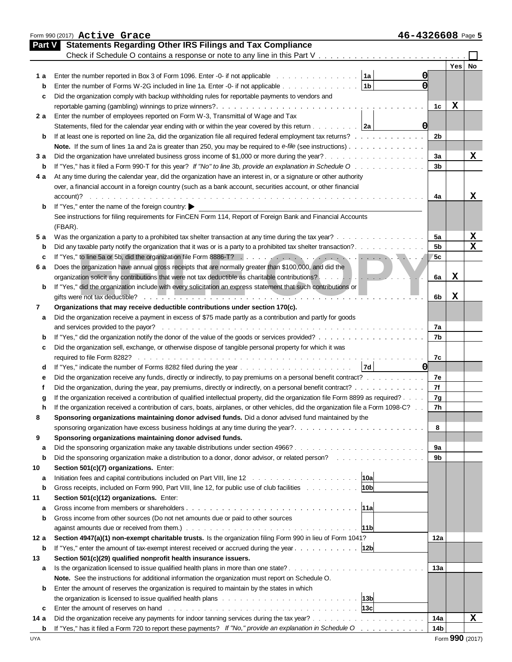|               | Form 990 (2017) Active Grace                                                                                                       | 46-4326608 Page 5 |     |                         |
|---------------|------------------------------------------------------------------------------------------------------------------------------------|-------------------|-----|-------------------------|
| <b>Part V</b> | <b>Statements Regarding Other IRS Filings and Tax Compliance</b>                                                                   |                   |     |                         |
|               |                                                                                                                                    |                   | Yes | No                      |
| 1а            | Enter the number reported in Box 3 of Form 1096. Enter -0- if not applicable 1a                                                    | Ol                |     |                         |
| b             | Enter the number of Forms W-2G included in line 1a. Enter -0- if not applicable 1b                                                 | 0                 |     |                         |
| с             | Did the organization comply with backup withholding rules for reportable payments to vendors and                                   |                   |     |                         |
|               |                                                                                                                                    | 1c                | X   |                         |
| 2 a           | Enter the number of employees reported on Form W-3, Transmittal of Wage and Tax                                                    |                   |     |                         |
|               | Statements, filed for the calendar year ending with or within the year covered by this return $\ldots \ldots$                      | O                 |     |                         |
| b             | If at least one is reported on line 2a, did the organization file all required federal employment tax returns?                     | 2 <sub>b</sub>    |     |                         |
|               | <b>Note.</b> If the sum of lines 1a and 2a is greater than 250, you may be required to e-file (see instructions).                  |                   |     |                         |
| За            | Did the organization have unrelated business gross income of \$1,000 or more during the year?                                      | За                |     | X                       |
| b             | If "Yes," has it filed a Form 990-T for this year? If "No" to line 3b, provide an explanation in Schedule O                        | 3 <sub>b</sub>    |     |                         |
| 4а            | At any time during the calendar year, did the organization have an interest in, or a signature or other authority                  |                   |     |                         |
|               | over, a financial account in a foreign country (such as a bank account, securities account, or other financial                     |                   |     |                         |
|               |                                                                                                                                    | 4a                |     | x                       |
| b             | If "Yes," enter the name of the foreign country:                                                                                   |                   |     |                         |
|               | See instructions for filing requirements for FinCEN Form 114, Report of Foreign Bank and Financial Accounts                        |                   |     |                         |
|               | (FBAR).                                                                                                                            |                   |     |                         |
| 5а            | Was the organization a party to a prohibited tax shelter transaction at any time during the tax year?                              | 5a                |     | <u>x</u>                |
| b             |                                                                                                                                    | 5 <sub>b</sub>    |     | $\overline{\mathbf{x}}$ |
| c             | If "Yes," to line 5a or 5b, did the organization file Form 8886-T?                                                                 | 5c                |     |                         |
| 6а            | Does the organization have annual gross receipts that are normally greater than \$100,000, and did the                             |                   |     |                         |
|               |                                                                                                                                    | 6а                | x   |                         |
| b             | If "Yes," did the organization include with every solicitation an express statement that such contributions or                     |                   |     |                         |
|               |                                                                                                                                    | 6b                | х   |                         |
| 7             | Organizations that may receive deductible contributions under section 170(c).                                                      |                   |     |                         |
| а             | Did the organization receive a payment in excess of \$75 made partly as a contribution and partly for goods                        |                   |     |                         |
|               |                                                                                                                                    | 7a                |     |                         |
| b             |                                                                                                                                    | 7b                |     |                         |
| с             | Did the organization sell, exchange, or otherwise dispose of tangible personal property for which it was                           |                   |     |                         |
|               |                                                                                                                                    | 7c                |     |                         |
| d             |                                                                                                                                    | Ol                |     |                         |
| е             | Did the organization receive any funds, directly or indirectly, to pay premiums on a personal benefit contract?                    | 7e                |     |                         |
| f             | Did the organization, during the year, pay premiums, directly or indirectly, on a personal benefit contract?                       | 7f                |     |                         |
| g             | If the organization received a contribution of qualified intellectual property, did the organization file Form 8899 as required?   | 7g                |     |                         |
| h             | If the organization received a contribution of cars, boats, airplanes, or other vehicles, did the organization file a Form 1098-C? | 7h                |     |                         |
| 8             | Sponsoring organizations maintaining donor advised funds. Did a donor advised fund maintained by the                               |                   |     |                         |
|               | sponsoring organization have excess business holdings at any time during the year?                                                 | 8                 |     |                         |
| 9             | Sponsoring organizations maintaining donor advised funds.                                                                          |                   |     |                         |
| а             |                                                                                                                                    | 9а                |     |                         |
| b             |                                                                                                                                    | 9b                |     |                         |
| 10            | Section 501(c)(7) organizations. Enter:                                                                                            |                   |     |                         |
| а             |                                                                                                                                    |                   |     |                         |
| b             | Gross receipts, included on Form 990, Part VIII, line 12, for public use of club facilities 10b                                    |                   |     |                         |
| 11            | Section 501(c)(12) organizations. Enter:                                                                                           |                   |     |                         |
| а             | 11a                                                                                                                                |                   |     |                         |
| b             | Gross income from other sources (Do not net amounts due or paid to other sources                                                   |                   |     |                         |
|               |                                                                                                                                    |                   |     |                         |
| 12 a          | Section 4947(a)(1) non-exempt charitable trusts. Is the organization filing Form 990 in lieu of Form 1041?                         | 12a               |     |                         |
| b             | If "Yes," enter the amount of tax-exempt interest received or accrued during the year 12b                                          |                   |     |                         |
| 13            | Section 501(c)(29) qualified nonprofit health insurance issuers.                                                                   |                   |     |                         |
| а             | Is the organization licensed to issue qualified health plans in more than one state?                                               | 13a               |     |                         |
|               | Note. See the instructions for additional information the organization must report on Schedule O.                                  |                   |     |                         |
| b             | Enter the amount of reserves the organization is required to maintain by the states in which                                       |                   |     |                         |
|               | the organization is licensed to issue qualified health plans with the organization is lied. [13b]                                  |                   |     |                         |
| c             |                                                                                                                                    |                   |     |                         |
| 14 a          |                                                                                                                                    | 14a               |     | X                       |
| b             | If "Yes," has it filed a Form 720 to report these payments? If "No," provide an explanation in Schedule O                          | 14 <sub>b</sub>   |     |                         |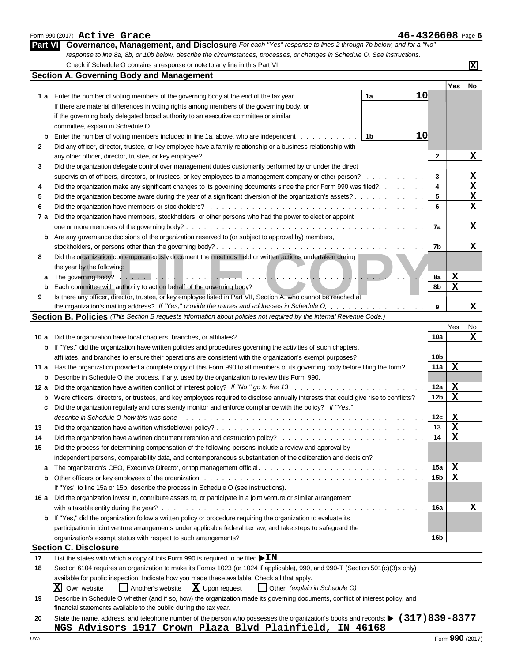|      | <b>Section A. Governing Body and Management</b>                                                                                                                                                                                |                 |              |              |
|------|--------------------------------------------------------------------------------------------------------------------------------------------------------------------------------------------------------------------------------|-----------------|--------------|--------------|
|      |                                                                                                                                                                                                                                |                 | Yes          | No           |
|      | 10<br>1 a Enter the number of voting members of the governing body at the end of the tax year.<br>1a                                                                                                                           |                 |              |              |
|      | If there are material differences in voting rights among members of the governing body, or                                                                                                                                     |                 |              |              |
|      | if the governing body delegated broad authority to an executive committee or similar                                                                                                                                           |                 |              |              |
|      | committee, explain in Schedule O.                                                                                                                                                                                              |                 |              |              |
| b    | 10<br>∣ 1b<br>Enter the number of voting members included in line 1a, above, who are independent we wand we have reset in the                                                                                                  |                 |              |              |
| 2    | Did any officer, director, trustee, or key employee have a family relationship or a business relationship with                                                                                                                 |                 |              |              |
|      |                                                                                                                                                                                                                                | $\mathbf{2}$    |              | X            |
| 3    | Did the organization delegate control over management duties customarily performed by or under the direct                                                                                                                      |                 |              |              |
|      | supervision of officers, directors, or trustees, or key employees to a management company or other person?                                                                                                                     | 3               |              | $\mathbf x$  |
| 4    | Did the organization make any significant changes to its governing documents since the prior Form 990 was filed?                                                                                                               | 4               |              | $\mathbf{x}$ |
| 5    | Did the organization become aware during the year of a significant diversion of the organization's assets?                                                                                                                     | 5               |              | $\mathbf{x}$ |
| 6    |                                                                                                                                                                                                                                | 6               |              | X            |
| 7 a  | Did the organization have members, stockholders, or other persons who had the power to elect or appoint                                                                                                                        |                 |              |              |
|      |                                                                                                                                                                                                                                | 7a              |              | X            |
| b    | Are any governance decisions of the organization reserved to (or subject to approval by) members,                                                                                                                              |                 |              |              |
|      |                                                                                                                                                                                                                                | 7b              |              | х            |
| 8    | Did the organization contemporaneously document the meetings held or written actions undertaken during                                                                                                                         |                 |              |              |
|      | the year by the following:                                                                                                                                                                                                     |                 |              |              |
| а    |                                                                                                                                                                                                                                | 8а              | $\mathbf x$  |              |
| b    |                                                                                                                                                                                                                                | 8b              | $\mathbf x$  |              |
| 9    | Is there any officer, director, trustee, or key employee listed in Part VII, Section A, who cannot be reached at                                                                                                               |                 |              |              |
|      |                                                                                                                                                                                                                                | 9               |              | x            |
|      | Section B. Policies (This Section B requests information about policies not required by the Internal Revenue Code.)                                                                                                            |                 |              |              |
|      |                                                                                                                                                                                                                                |                 | Yes          | No           |
|      |                                                                                                                                                                                                                                | 10a             |              | X            |
|      | <b>b</b> If "Yes," did the organization have written policies and procedures governing the activities of such chapters,                                                                                                        |                 |              |              |
|      | affiliates, and branches to ensure their operations are consistent with the organization's exempt purposes?                                                                                                                    | 10b             |              |              |
|      | 11 a Has the organization provided a complete copy of this Form 990 to all members of its governing body before filing the form?                                                                                               | 11a             | X            |              |
|      | <b>b</b> Describe in Schedule O the process, if any, used by the organization to review this Form 990.                                                                                                                         |                 |              |              |
| 12 a |                                                                                                                                                                                                                                | 12a             | X            |              |
| b    | Were officers, directors, or trustees, and key employees required to disclose annually interests that could give rise to conflicts? .                                                                                          | 12b             | $\mathbf{x}$ |              |
|      | Did the organization regularly and consistently monitor and enforce compliance with the policy? If "Yes,"                                                                                                                      |                 |              |              |
|      |                                                                                                                                                                                                                                | 12c             | X            |              |
| 13   |                                                                                                                                                                                                                                | 13              | $\mathbf x$  |              |
| 14   |                                                                                                                                                                                                                                | 14              | $\mathbf x$  |              |
| 15   | Did the process for determining compensation of the following persons include a review and approval by                                                                                                                         |                 |              |              |
|      | independent persons, comparability data, and contemporaneous substantiation of the deliberation and decision?                                                                                                                  |                 |              |              |
| a    |                                                                                                                                                                                                                                | 15a             | X            |              |
| b    | Other officers or key employees of the organization with the content of the organization with the content of the organization with the content of the content of the content of the content of the content of the content of t | 15 <sub>b</sub> | $\mathbf x$  |              |
|      | If "Yes" to line 15a or 15b, describe the process in Schedule O (see instructions).                                                                                                                                            |                 |              |              |
|      | 16 a Did the organization invest in, contribute assets to, or participate in a joint venture or similar arrangement                                                                                                            |                 |              |              |
|      |                                                                                                                                                                                                                                | 16a             |              | х            |
|      | <b>b</b> If "Yes," did the organization follow a written policy or procedure requiring the organization to evaluate its                                                                                                        |                 |              |              |
|      | participation in joint venture arrangements under applicable federal tax law, and take steps to safeguard the                                                                                                                  |                 |              |              |
|      |                                                                                                                                                                                                                                | 16b             |              |              |
|      | <b>Section C. Disclosure</b>                                                                                                                                                                                                   |                 |              |              |
|      |                                                                                                                                                                                                                                |                 |              |              |
| 17   | List the states with which a copy of this Form 990 is required to be filed $\blacktriangleright\mathbf{IN}$                                                                                                                    |                 |              |              |
| 18   | Section 6104 requires an organization to make its Forms 1023 (or 1024 if applicable), 990, and 990-T (Section 501(c)(3)s only)                                                                                                 |                 |              |              |
|      | available for public inspection. Indicate how you made these available. Check all that apply.                                                                                                                                  |                 |              |              |
|      | $ \mathbf{X} $ Own website<br>$ \mathbf{X} $ Upon request<br>Another's website<br>  Other (explain in Schedule O)                                                                                                              |                 |              |              |
|      | Describe in Schedule O whether (and if so, how) the organization made its governing documents, conflict of interest policy, and                                                                                                |                 |              |              |
| 19   |                                                                                                                                                                                                                                |                 |              |              |
| 20   | financial statements available to the public during the tax year.<br>State the name, address, and telephone number of the person who possesses the organization's books and records: $(317)839 - 8377$                         |                 |              |              |

**Active Grace 16-4326608** Page **6** 

Form 990 (2017) Active Grace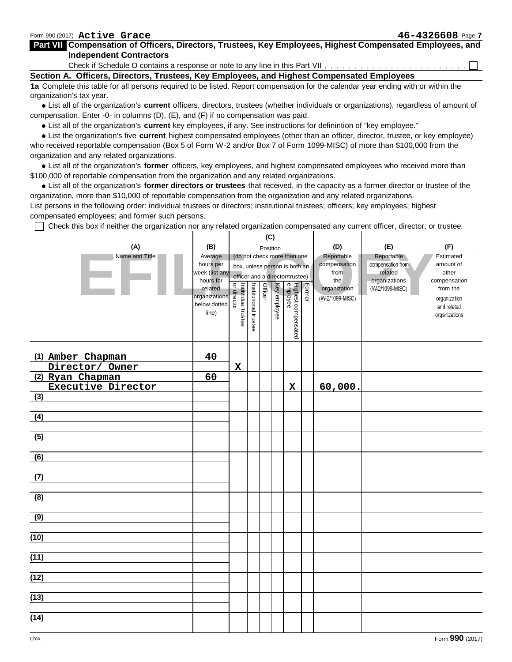**Part VII** Compensation of Officers, Directors, Trustees, Key Employees, Highest Compensated Employees, and **Independent Contractors**

Check if Schedule O contains a response or note to any line in this Part VII . . . . . . . .

**Section A. Officers, Directors, Trustees, Key Employees, and Highest Compensated Employees**

**1a** Complete this table for all persons required to be listed. Report compensation for the calendar year ending with or within the organization's tax year.

List all of the organization's **current** officers, directors, trustees (whether individuals or organizations), regardless of amount of compensation. Enter -0- in columns (D), (E), and (F) if no compensation was paid.

List all of the organization's **current** key employees, if any. See instructions for definintion of "key employee."

List the organization's five **current** highest compensated employees (other than an officer, director, trustee, or key employee) who received reportable compensation (Box 5 of Form W-2 and/or Box 7 of Form 1099-MISC) of more than \$100,000 from the organization and any related organizations.

List all of the organization's **former** officers, key employees, and highest compensated employees who received more than \$100,000 of reportable compensation from the organization and any related organizations.

List all of the organization's **former directors or trustees** that received, in the capacity as a former director or trustee of the organization, more than \$10,000 of reportable compensation from the organization and any related organizations.

List persons in the following order: individual trustees or directors; institutional trustees; officers; key employees; highest compensated employees; and former such persons.

Check this box if neither the organization nor any related organization compensated any current officer, director, or trustee.

|                                      |                                                                                                                 |                                   |                       | (C)                 |              |                                                                                                                                    |               |                                                                                     |                                                                                       |                                                                                                                    |  |
|--------------------------------------|-----------------------------------------------------------------------------------------------------------------|-----------------------------------|-----------------------|---------------------|--------------|------------------------------------------------------------------------------------------------------------------------------------|---------------|-------------------------------------------------------------------------------------|---------------------------------------------------------------------------------------|--------------------------------------------------------------------------------------------------------------------|--|
| (A)<br>Name and Title                | (B)<br>Average<br>hours per<br>week (list any<br>hours for<br>related<br>organizations<br>below dotted<br>line) | Individual trustee<br>or director | Institutional trustee | Position<br>Officer | Key employee | (do not check more than one<br>box, unless person is both an<br>officer and a director/trustee)<br>Highest compensated<br>employee | <b>Former</b> | (D)<br>Reportable<br>compensation<br>from<br>the<br>organization<br>(W-2/1099-MISC) | (E)<br>Reportable<br>compensation from<br>related<br>organizations<br>(W-2/1099-MISC) | (F)<br>Estimated<br>amount of<br>other<br>compensation<br>from the<br>organization<br>and related<br>organizations |  |
| (1) Amber Chapman<br>Director/ Owner | 40                                                                                                              | $\mathbf x$                       |                       |                     |              |                                                                                                                                    |               |                                                                                     |                                                                                       |                                                                                                                    |  |
| (2) Ryan Chapman                     | 60                                                                                                              |                                   |                       |                     |              |                                                                                                                                    |               |                                                                                     |                                                                                       |                                                                                                                    |  |
| Executive Director                   |                                                                                                                 |                                   |                       |                     |              | $\mathbf x$                                                                                                                        |               | 60,000.                                                                             |                                                                                       |                                                                                                                    |  |
| $\overline{(3)}$                     |                                                                                                                 |                                   |                       |                     |              |                                                                                                                                    |               |                                                                                     |                                                                                       |                                                                                                                    |  |
| (4)                                  |                                                                                                                 |                                   |                       |                     |              |                                                                                                                                    |               |                                                                                     |                                                                                       |                                                                                                                    |  |
| (5)                                  |                                                                                                                 |                                   |                       |                     |              |                                                                                                                                    |               |                                                                                     |                                                                                       |                                                                                                                    |  |
| $\overline{(6)}$                     |                                                                                                                 |                                   |                       |                     |              |                                                                                                                                    |               |                                                                                     |                                                                                       |                                                                                                                    |  |
| (7)                                  |                                                                                                                 |                                   |                       |                     |              |                                                                                                                                    |               |                                                                                     |                                                                                       |                                                                                                                    |  |
| $\overline{(8)}$                     |                                                                                                                 |                                   |                       |                     |              |                                                                                                                                    |               |                                                                                     |                                                                                       |                                                                                                                    |  |
| $\overline{(9)}$                     |                                                                                                                 |                                   |                       |                     |              |                                                                                                                                    |               |                                                                                     |                                                                                       |                                                                                                                    |  |
| (10)                                 |                                                                                                                 |                                   |                       |                     |              |                                                                                                                                    |               |                                                                                     |                                                                                       |                                                                                                                    |  |
| $\overline{(11)}$                    |                                                                                                                 |                                   |                       |                     |              |                                                                                                                                    |               |                                                                                     |                                                                                       |                                                                                                                    |  |
| (12)                                 |                                                                                                                 |                                   |                       |                     |              |                                                                                                                                    |               |                                                                                     |                                                                                       |                                                                                                                    |  |
| (13)                                 |                                                                                                                 |                                   |                       |                     |              |                                                                                                                                    |               |                                                                                     |                                                                                       |                                                                                                                    |  |
| (14)                                 |                                                                                                                 |                                   |                       |                     |              |                                                                                                                                    |               |                                                                                     |                                                                                       |                                                                                                                    |  |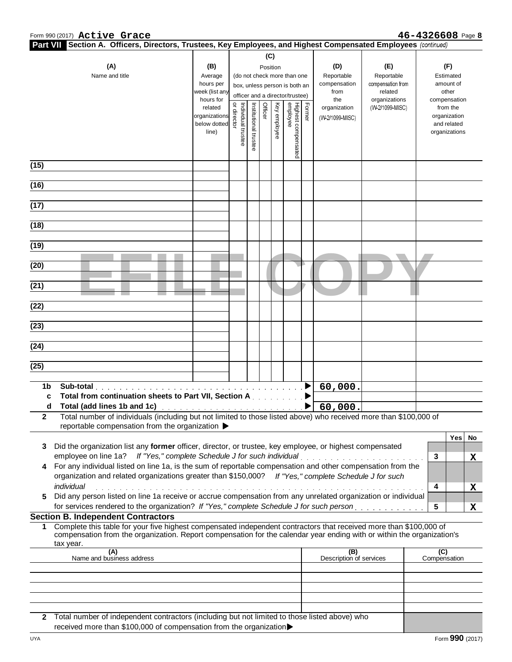| (C)<br>(A)<br>(B)<br>(D)<br>(E)<br>(F)<br>Position<br>Name and title<br>(do not check more than one<br>Reportable<br>Reportable<br>Average<br>Estimated<br>compensation from<br>hours per<br>compensation<br>amount of<br>box, unless person is both an<br>week (list any<br>related<br>other<br>from<br>officer and a director/trustee)<br>the<br>hours for<br>organizations<br>compensation<br>Institutional trustee<br>Officer<br>Highest compensated<br>employee<br><b>Former</b><br>Individual trustee<br>  or director<br>Key employee<br>related<br>organization<br>(W-2/1099-MISC)<br>from the<br>organizations<br>organization<br>(W-2/1099-MISC)<br>below dotted<br>and related<br>line)<br>organizations<br>(16)<br>$\overline{(17)}$<br>(18)<br>(19)<br>(20)<br>(21)<br>(22)<br>(23)<br>$\overline{(24)}$<br>$\overline{(25)}$ |                   | Part VII Section A. Officers, Directors, Trustees, Key Employees, and Highest Compensated Employees (continued) |  |  |  |         |  |
|--------------------------------------------------------------------------------------------------------------------------------------------------------------------------------------------------------------------------------------------------------------------------------------------------------------------------------------------------------------------------------------------------------------------------------------------------------------------------------------------------------------------------------------------------------------------------------------------------------------------------------------------------------------------------------------------------------------------------------------------------------------------------------------------------------------------------------------------|-------------------|-----------------------------------------------------------------------------------------------------------------|--|--|--|---------|--|
|                                                                                                                                                                                                                                                                                                                                                                                                                                                                                                                                                                                                                                                                                                                                                                                                                                            |                   |                                                                                                                 |  |  |  |         |  |
|                                                                                                                                                                                                                                                                                                                                                                                                                                                                                                                                                                                                                                                                                                                                                                                                                                            |                   |                                                                                                                 |  |  |  |         |  |
|                                                                                                                                                                                                                                                                                                                                                                                                                                                                                                                                                                                                                                                                                                                                                                                                                                            |                   |                                                                                                                 |  |  |  |         |  |
|                                                                                                                                                                                                                                                                                                                                                                                                                                                                                                                                                                                                                                                                                                                                                                                                                                            |                   |                                                                                                                 |  |  |  |         |  |
|                                                                                                                                                                                                                                                                                                                                                                                                                                                                                                                                                                                                                                                                                                                                                                                                                                            |                   |                                                                                                                 |  |  |  |         |  |
|                                                                                                                                                                                                                                                                                                                                                                                                                                                                                                                                                                                                                                                                                                                                                                                                                                            |                   |                                                                                                                 |  |  |  |         |  |
|                                                                                                                                                                                                                                                                                                                                                                                                                                                                                                                                                                                                                                                                                                                                                                                                                                            |                   |                                                                                                                 |  |  |  |         |  |
|                                                                                                                                                                                                                                                                                                                                                                                                                                                                                                                                                                                                                                                                                                                                                                                                                                            |                   |                                                                                                                 |  |  |  |         |  |
|                                                                                                                                                                                                                                                                                                                                                                                                                                                                                                                                                                                                                                                                                                                                                                                                                                            |                   |                                                                                                                 |  |  |  |         |  |
|                                                                                                                                                                                                                                                                                                                                                                                                                                                                                                                                                                                                                                                                                                                                                                                                                                            |                   |                                                                                                                 |  |  |  |         |  |
|                                                                                                                                                                                                                                                                                                                                                                                                                                                                                                                                                                                                                                                                                                                                                                                                                                            |                   |                                                                                                                 |  |  |  |         |  |
|                                                                                                                                                                                                                                                                                                                                                                                                                                                                                                                                                                                                                                                                                                                                                                                                                                            | $\overline{(15)}$ |                                                                                                                 |  |  |  |         |  |
|                                                                                                                                                                                                                                                                                                                                                                                                                                                                                                                                                                                                                                                                                                                                                                                                                                            |                   |                                                                                                                 |  |  |  |         |  |
|                                                                                                                                                                                                                                                                                                                                                                                                                                                                                                                                                                                                                                                                                                                                                                                                                                            |                   |                                                                                                                 |  |  |  |         |  |
|                                                                                                                                                                                                                                                                                                                                                                                                                                                                                                                                                                                                                                                                                                                                                                                                                                            |                   |                                                                                                                 |  |  |  |         |  |
|                                                                                                                                                                                                                                                                                                                                                                                                                                                                                                                                                                                                                                                                                                                                                                                                                                            |                   |                                                                                                                 |  |  |  |         |  |
|                                                                                                                                                                                                                                                                                                                                                                                                                                                                                                                                                                                                                                                                                                                                                                                                                                            |                   |                                                                                                                 |  |  |  |         |  |
|                                                                                                                                                                                                                                                                                                                                                                                                                                                                                                                                                                                                                                                                                                                                                                                                                                            |                   |                                                                                                                 |  |  |  |         |  |
|                                                                                                                                                                                                                                                                                                                                                                                                                                                                                                                                                                                                                                                                                                                                                                                                                                            |                   |                                                                                                                 |  |  |  |         |  |
|                                                                                                                                                                                                                                                                                                                                                                                                                                                                                                                                                                                                                                                                                                                                                                                                                                            |                   |                                                                                                                 |  |  |  |         |  |
|                                                                                                                                                                                                                                                                                                                                                                                                                                                                                                                                                                                                                                                                                                                                                                                                                                            |                   |                                                                                                                 |  |  |  |         |  |
|                                                                                                                                                                                                                                                                                                                                                                                                                                                                                                                                                                                                                                                                                                                                                                                                                                            |                   |                                                                                                                 |  |  |  |         |  |
|                                                                                                                                                                                                                                                                                                                                                                                                                                                                                                                                                                                                                                                                                                                                                                                                                                            |                   |                                                                                                                 |  |  |  |         |  |
|                                                                                                                                                                                                                                                                                                                                                                                                                                                                                                                                                                                                                                                                                                                                                                                                                                            |                   |                                                                                                                 |  |  |  |         |  |
|                                                                                                                                                                                                                                                                                                                                                                                                                                                                                                                                                                                                                                                                                                                                                                                                                                            |                   |                                                                                                                 |  |  |  |         |  |
|                                                                                                                                                                                                                                                                                                                                                                                                                                                                                                                                                                                                                                                                                                                                                                                                                                            |                   |                                                                                                                 |  |  |  |         |  |
|                                                                                                                                                                                                                                                                                                                                                                                                                                                                                                                                                                                                                                                                                                                                                                                                                                            |                   |                                                                                                                 |  |  |  |         |  |
|                                                                                                                                                                                                                                                                                                                                                                                                                                                                                                                                                                                                                                                                                                                                                                                                                                            |                   |                                                                                                                 |  |  |  |         |  |
|                                                                                                                                                                                                                                                                                                                                                                                                                                                                                                                                                                                                                                                                                                                                                                                                                                            |                   |                                                                                                                 |  |  |  |         |  |
|                                                                                                                                                                                                                                                                                                                                                                                                                                                                                                                                                                                                                                                                                                                                                                                                                                            |                   |                                                                                                                 |  |  |  |         |  |
|                                                                                                                                                                                                                                                                                                                                                                                                                                                                                                                                                                                                                                                                                                                                                                                                                                            |                   |                                                                                                                 |  |  |  |         |  |
|                                                                                                                                                                                                                                                                                                                                                                                                                                                                                                                                                                                                                                                                                                                                                                                                                                            |                   |                                                                                                                 |  |  |  |         |  |
| Sub-total<br>1 <sub>b</sub><br>▶                                                                                                                                                                                                                                                                                                                                                                                                                                                                                                                                                                                                                                                                                                                                                                                                           |                   |                                                                                                                 |  |  |  | 60,000. |  |

**1b Sub-total c Total from continuation sheets to Part VII, Section A**

 $\blacktriangleright$  $\blacktriangleright$ **d Total (add lines 1b and 1c) 60,000.**

**2** Total number of individuals (including but not limited to those listed above) who received more than \$100,000 of reportable compensation from the organization

|    |                                                                                                                                                 | Yes |  |
|----|-------------------------------------------------------------------------------------------------------------------------------------------------|-----|--|
| 3  | Did the organization list any former officer, director, or trustee, key employee, or highest compensated                                        |     |  |
|    | employee on line 1a? If "Yes," complete Schedule J for such individual enterprise on line 1a? If "Yes," complete Schedule J for such individual |     |  |
| 4  | For any individual listed on line 1a, is the sum of reportable compensation and other compensation from the                                     |     |  |
|    | organization and related organizations greater than \$150,000? If "Yes," complete Schedule J for such                                           |     |  |
|    | individual                                                                                                                                      |     |  |
| 5. | Did any person listed on line 1a receive or accrue compensation from any unrelated organization or individual                                   |     |  |
|    | for services rendered to the organization? If "Yes," complete Schedule J for such person                                                        |     |  |
|    | sation D. Indonesiant Contractors                                                                                                               |     |  |

### **Section B. Independent Contractors**

**1** Complete this table for your five highest compensated independent contractors that received more than \$100,000 of compensation from the organization. Report compensation for the calendar year ending with or within the organization's tax year.

| (A)<br>Name and business address                                                                | (B)<br>Description of services | (C)<br>Compensation |
|-------------------------------------------------------------------------------------------------|--------------------------------|---------------------|
|                                                                                                 |                                |                     |
|                                                                                                 |                                |                     |
|                                                                                                 |                                |                     |
|                                                                                                 |                                |                     |
|                                                                                                 |                                |                     |
|                                                                                                 |                                |                     |
| 2 Total number of independent contractors (including but not limited to those listed above) who |                                |                     |
| received more than \$100,000 of compensation from the organization▶                             |                                |                     |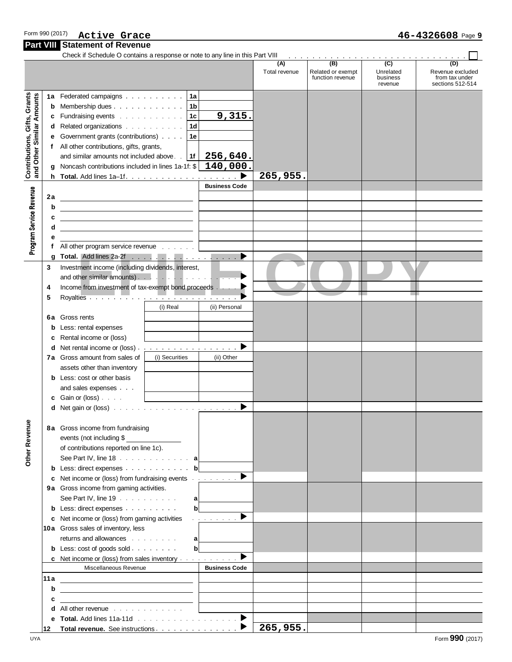$\Box$ 

**Part VIII** Statement of Revenue

Check if Schedule O contains a response or note to any line in this Part VIII

|                                                           |        | Check if Schedule O contains a response or note to any line in this Part VIII                                                                                                                                                        |                           |                      |                                              | and a constitution of the constitution of the constitution of the constitution of the constitution of the constitution of the constitution of the constitution of the constitution of the constitution of the constitution of |                                                               |
|-----------------------------------------------------------|--------|--------------------------------------------------------------------------------------------------------------------------------------------------------------------------------------------------------------------------------------|---------------------------|----------------------|----------------------------------------------|-------------------------------------------------------------------------------------------------------------------------------------------------------------------------------------------------------------------------------|---------------------------------------------------------------|
|                                                           |        |                                                                                                                                                                                                                                      |                           | (A)<br>Total revenue | (B)<br>Related or exempt<br>function revenue | (C)<br>Unrelated<br>business<br>revenue                                                                                                                                                                                       | (D)<br>Revenue excluded<br>from tax under<br>sections 512-514 |
|                                                           |        | 1a Federated campaigns 1a                                                                                                                                                                                                            |                           |                      |                                              |                                                                                                                                                                                                                               |                                                               |
| Contributions, Gifts, Grants<br>and Other Similar Amounts |        | <b>b</b> Membership dues $\cdots$ $\cdots$ $\cdots$ $\cdots$ <b>1b</b>                                                                                                                                                               |                           |                      |                                              |                                                                                                                                                                                                                               |                                                               |
|                                                           |        | c Fundraising events $\ldots$ 1c                                                                                                                                                                                                     | 9,315.                    |                      |                                              |                                                                                                                                                                                                                               |                                                               |
|                                                           |        | d Related organizations 1d                                                                                                                                                                                                           |                           |                      |                                              |                                                                                                                                                                                                                               |                                                               |
|                                                           |        | <b>e</b> Government grants (contributions)<br>1е                                                                                                                                                                                     |                           |                      |                                              |                                                                                                                                                                                                                               |                                                               |
|                                                           |        | f All other contributions, gifts, grants,                                                                                                                                                                                            |                           |                      |                                              |                                                                                                                                                                                                                               |                                                               |
|                                                           |        | and similar amounts not included above. $\vert$ 1f $\vert$ 256, 640.                                                                                                                                                                 |                           |                      |                                              |                                                                                                                                                                                                                               |                                                               |
|                                                           | g      | Noncash contributions included in lines 1a-1f: $\frac{140}{140}$ , 000.                                                                                                                                                              |                           |                      |                                              |                                                                                                                                                                                                                               |                                                               |
|                                                           |        |                                                                                                                                                                                                                                      |                           | 265,955.             |                                              |                                                                                                                                                                                                                               |                                                               |
|                                                           |        |                                                                                                                                                                                                                                      | <b>Business Code</b>      |                      |                                              |                                                                                                                                                                                                                               |                                                               |
|                                                           | 2a     | <u> 1989 - Johann Harry Harry Harry Harry Harry Harry Harry Harry Harry Harry Harry Harry Harry Harry Harry Harry</u>                                                                                                                |                           |                      |                                              |                                                                                                                                                                                                                               |                                                               |
| Program Service Revenue                                   | b      | <u> 1989 - Johann Stein, fransk politik (d. 1989)</u>                                                                                                                                                                                |                           |                      |                                              |                                                                                                                                                                                                                               |                                                               |
|                                                           | c      |                                                                                                                                                                                                                                      |                           |                      |                                              |                                                                                                                                                                                                                               |                                                               |
|                                                           | d      | <u> 1980 - Johann Barn, fransk politik (d. 1980)</u>                                                                                                                                                                                 |                           |                      |                                              |                                                                                                                                                                                                                               |                                                               |
|                                                           | е      |                                                                                                                                                                                                                                      |                           |                      |                                              |                                                                                                                                                                                                                               |                                                               |
|                                                           |        | f All other program service revenue $\ldots$ .                                                                                                                                                                                       |                           |                      |                                              |                                                                                                                                                                                                                               |                                                               |
|                                                           |        |                                                                                                                                                                                                                                      | $\blacktriangleright$     |                      |                                              |                                                                                                                                                                                                                               |                                                               |
|                                                           | 3      | Investment income (including dividends, interest,                                                                                                                                                                                    |                           |                      |                                              |                                                                                                                                                                                                                               |                                                               |
|                                                           |        |                                                                                                                                                                                                                                      |                           |                      |                                              |                                                                                                                                                                                                                               |                                                               |
|                                                           | 4<br>5 | Income from investment of tax-exempt bond proceeds                                                                                                                                                                                   |                           |                      |                                              |                                                                                                                                                                                                                               |                                                               |
|                                                           |        | (i) Real                                                                                                                                                                                                                             | (ii) Personal             |                      |                                              |                                                                                                                                                                                                                               |                                                               |
|                                                           | 6а     | Gross rents                                                                                                                                                                                                                          |                           |                      |                                              |                                                                                                                                                                                                                               |                                                               |
|                                                           |        | <b>b</b> Less: rental expenses                                                                                                                                                                                                       |                           |                      |                                              |                                                                                                                                                                                                                               |                                                               |
|                                                           |        | c Rental income or (loss)                                                                                                                                                                                                            |                           |                      |                                              |                                                                                                                                                                                                                               |                                                               |
|                                                           |        | <u>.</u> D<br><b>d</b> Net rental income or (loss).                                                                                                                                                                                  |                           |                      |                                              |                                                                                                                                                                                                                               |                                                               |
|                                                           |        | (i) Securities<br>7a Gross amount from sales of                                                                                                                                                                                      | (ii) Other                |                      |                                              |                                                                                                                                                                                                                               |                                                               |
|                                                           |        | assets other than inventory                                                                                                                                                                                                          |                           |                      |                                              |                                                                                                                                                                                                                               |                                                               |
|                                                           |        | <b>b</b> Less: cost or other basis                                                                                                                                                                                                   |                           |                      |                                              |                                                                                                                                                                                                                               |                                                               |
|                                                           |        | and sales expenses                                                                                                                                                                                                                   |                           |                      |                                              |                                                                                                                                                                                                                               |                                                               |
|                                                           |        | <b>c</b> Gain or (loss) $\cdots$                                                                                                                                                                                                     |                           |                      |                                              |                                                                                                                                                                                                                               |                                                               |
|                                                           |        | <b>d</b> Net gain or (loss) $\cdots$ $\cdots$ $\cdots$ $\cdots$ $\cdots$ $\cdots$ $\cdots$                                                                                                                                           |                           |                      |                                              |                                                                                                                                                                                                                               |                                                               |
|                                                           |        |                                                                                                                                                                                                                                      |                           |                      |                                              |                                                                                                                                                                                                                               |                                                               |
| gun                                                       |        | 8a Gross income from fundraising                                                                                                                                                                                                     |                           |                      |                                              |                                                                                                                                                                                                                               |                                                               |
|                                                           |        | events (not including \$                                                                                                                                                                                                             |                           |                      |                                              |                                                                                                                                                                                                                               |                                                               |
| Other Reve                                                |        | of contributions reported on line 1c).                                                                                                                                                                                               |                           |                      |                                              |                                                                                                                                                                                                                               |                                                               |
|                                                           |        | See Part IV, line 18 $\ldots$ $\ldots$ $\ldots$ $\ldots$ $\ldots$ a                                                                                                                                                                  |                           |                      |                                              |                                                                                                                                                                                                                               |                                                               |
|                                                           |        | <b>b</b> Less: direct expenses $\cdot \cdot \cdot \cdot \cdot \cdot$ <b>b</b>                                                                                                                                                        |                           |                      |                                              |                                                                                                                                                                                                                               |                                                               |
|                                                           |        |                                                                                                                                                                                                                                      |                           |                      |                                              |                                                                                                                                                                                                                               |                                                               |
|                                                           |        | 9a Gross income from gaming activities.                                                                                                                                                                                              |                           |                      |                                              |                                                                                                                                                                                                                               |                                                               |
|                                                           |        | See Part IV, line $19 \cdot \cdot \cdot \cdot \cdot \cdot \cdot \cdot$<br>al<br><b>b</b> Less: direct expenses<br>bl                                                                                                                 |                           |                      |                                              |                                                                                                                                                                                                                               |                                                               |
|                                                           |        | c Net income or (loss) from gaming activities                                                                                                                                                                                        | <u> 1900 - 19</u> 00 - 19 |                      |                                              |                                                                                                                                                                                                                               |                                                               |
|                                                           |        | 10a Gross sales of inventory, less                                                                                                                                                                                                   |                           |                      |                                              |                                                                                                                                                                                                                               |                                                               |
|                                                           |        | returns and allowances and all allowances<br>al                                                                                                                                                                                      |                           |                      |                                              |                                                                                                                                                                                                                               |                                                               |
|                                                           |        | <b>b</b> Less: cost of goods sold $\cdots$<br>bl                                                                                                                                                                                     |                           |                      |                                              |                                                                                                                                                                                                                               |                                                               |
|                                                           |        | <b>c</b> Net income or (loss) from sales inventory <u>.</u> ▶                                                                                                                                                                        |                           |                      |                                              |                                                                                                                                                                                                                               |                                                               |
|                                                           |        | Miscellaneous Revenue                                                                                                                                                                                                                | <b>Business Code</b>      |                      |                                              |                                                                                                                                                                                                                               |                                                               |
|                                                           |        |                                                                                                                                                                                                                                      |                           |                      |                                              |                                                                                                                                                                                                                               |                                                               |
|                                                           |        | b                                                                                                                                                                                                                                    |                           |                      |                                              |                                                                                                                                                                                                                               |                                                               |
|                                                           | c      | <u> 1980 - Andrea Andrew Maria (h. 1980).</u>                                                                                                                                                                                        |                           |                      |                                              |                                                                                                                                                                                                                               |                                                               |
|                                                           |        | <b>d</b> All other revenue $\cdots$ $\cdots$                                                                                                                                                                                         |                           |                      |                                              |                                                                                                                                                                                                                               |                                                               |
|                                                           |        | e Total. Add lines 11a-11d (2000) 2000 (2000) 2000 (2000) 2000 (2000) 2000 (2000) 2000 (2000) 2000 (2000) 2000                                                                                                                       |                           |                      |                                              |                                                                                                                                                                                                                               |                                                               |
|                                                           |        | 12 Total revenue. See instructions <b>Act of Act of Act of Act of Act of Act of Act of Act of Act of Act of Act of Act of Act of Act of Act of Act of Act of Act of Act of Act of Act of Act of Act of Act of Act of Act of Act </b> |                           | 265,955.             |                                              |                                                                                                                                                                                                                               |                                                               |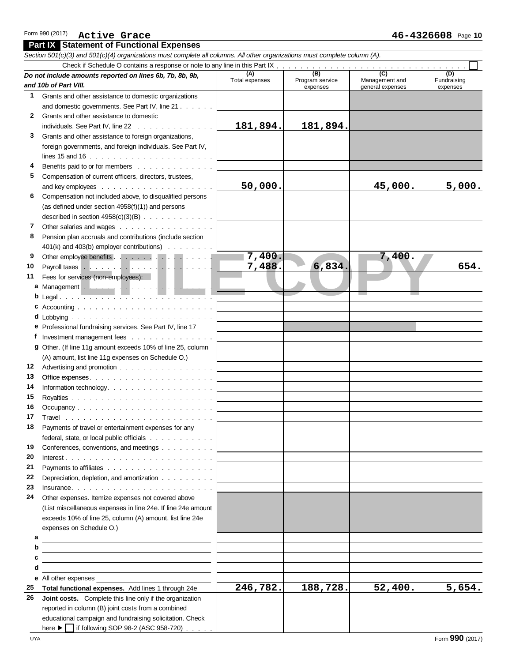|   | <b>Part IX Statement of Functional Expenses</b>                                  |         |
|---|----------------------------------------------------------------------------------|---------|
|   | Section $501(c)(3)$ and $501(c)(4)$ organizations must complete all columns. All |         |
|   | Check if Schedule O contains a response or note to any line in the               |         |
|   | Do not include amounts reported on lines 6b, 7b, 8b, 9b,                         | Total e |
|   | and 10b of Part VIII.                                                            |         |
| 1 | Grants and other assistance to domestic organizations                            |         |
|   | and demostic governments, Can Dort IV, line 24                                   |         |

|    | Form 990 (2017)<br>Active Grace                                                                                                                                                                                                |                       |                        |                  | 46-4326608 Page 10 |
|----|--------------------------------------------------------------------------------------------------------------------------------------------------------------------------------------------------------------------------------|-----------------------|------------------------|------------------|--------------------|
|    | <b>Part IX</b> Statement of Functional Expenses                                                                                                                                                                                |                       |                        |                  |                    |
|    | Section 501(c)(3) and 501(c)(4) organizations must complete all columns. All other organizations must complete column (A).                                                                                                     |                       |                        |                  |                    |
|    |                                                                                                                                                                                                                                |                       |                        | $\overline{(c)}$ |                    |
|    | Do not include amounts reported on lines 6b, 7b, 8b, 9b,                                                                                                                                                                       | (A)<br>Total expenses | (B)<br>Program service | Management and   | (D)<br>Fundraising |
|    | and 10b of Part VIII.                                                                                                                                                                                                          |                       | expenses               | general expenses | expenses           |
| 1. | Grants and other assistance to domestic organizations                                                                                                                                                                          |                       |                        |                  |                    |
|    | and domestic governments. See Part IV, line 21                                                                                                                                                                                 |                       |                        |                  |                    |
| 2  | Grants and other assistance to domestic                                                                                                                                                                                        |                       |                        |                  |                    |
|    | individuals. See Part IV, line 22                                                                                                                                                                                              | 181,894.              | 181,894.               |                  |                    |
| 3  | Grants and other assistance to foreign organizations,                                                                                                                                                                          |                       |                        |                  |                    |
|    | foreign governments, and foreign individuals. See Part IV,                                                                                                                                                                     |                       |                        |                  |                    |
|    |                                                                                                                                                                                                                                |                       |                        |                  |                    |
| 4  | Benefits paid to or for members with a substitution of the state of the state of the state of the state of the state of the state of the state of the state of the state of the state of the state of the state of the state o |                       |                        |                  |                    |
| 5  | Compensation of current officers, directors, trustees,                                                                                                                                                                         |                       |                        |                  |                    |
|    |                                                                                                                                                                                                                                | 50,000.               |                        | 45,000.          | 5,000.             |
| 6  | Compensation not included above, to disqualified persons                                                                                                                                                                       |                       |                        |                  |                    |
|    | (as defined under section $4958(f)(1)$ ) and persons                                                                                                                                                                           |                       |                        |                  |                    |
|    |                                                                                                                                                                                                                                |                       |                        |                  |                    |
| 7  | Other salaries and wages                                                                                                                                                                                                       |                       |                        |                  |                    |
| 8  | Pension plan accruals and contributions (include section                                                                                                                                                                       |                       |                        |                  |                    |
|    | 401(k) and 403(b) employer contributions)                                                                                                                                                                                      |                       |                        |                  |                    |
| 9  |                                                                                                                                                                                                                                | 7,400.                |                        | 7,400.           |                    |
| 10 |                                                                                                                                                                                                                                | 7,488.                | 6,834.                 |                  | 654.               |
| 11 | Fees for services (non-employees):                                                                                                                                                                                             |                       |                        |                  |                    |
|    |                                                                                                                                                                                                                                |                       |                        |                  |                    |
|    |                                                                                                                                                                                                                                |                       |                        |                  |                    |
|    |                                                                                                                                                                                                                                |                       |                        |                  |                    |
|    |                                                                                                                                                                                                                                |                       |                        |                  |                    |
|    | e Professional fundraising services. See Part IV, line 17                                                                                                                                                                      |                       |                        |                  |                    |

educational campaign and fundraising solicitation. Check here  $\blacktriangleright$  if following SOP 98-2 (ASC 958-720)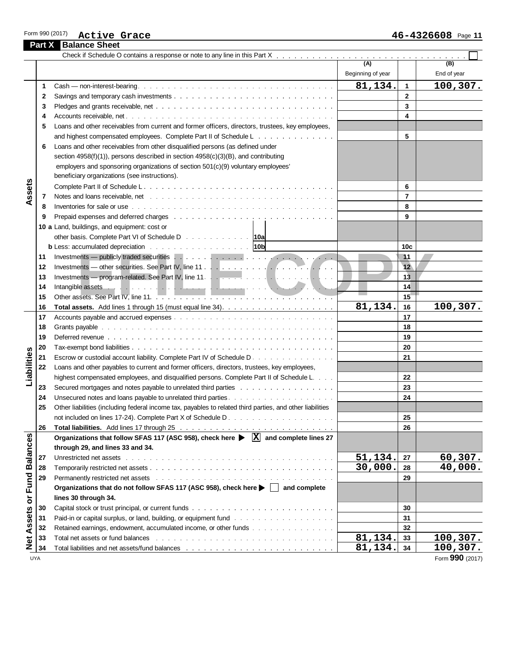**Part I Part X Balance Sheet**

| (A)<br>(B)<br>Beginning of year<br>End of year<br>81,134.<br>$\overline{\mathbf{1}}$<br>1<br>$\overline{2}$<br>2<br>$\overline{\mathbf{3}}$<br>3<br>4<br>4<br>Loans and other receivables from current and former officers, directors, trustees, key employees,<br>5<br>and highest compensated employees. Complete Part II of Schedule L<br>5<br>Loans and other receivables from other disqualified persons (as defined under<br>6<br>section 4958(f)(1)), persons described in section 4958(c)(3)(B), and contributing<br>employers and sponsoring organizations of section 501(c)(9) voluntary employees'<br>beneficiary organizations (see instructions).<br>Assets<br>6<br>$\overline{7}$<br>Notes and loans receivable, net recommended and service and service and loans receivable, net recommended and service and service and service and service and service and service and service and service and service and serv<br>7<br>8<br>8<br>9<br>9<br>10 a Land, buildings, and equipment: cost or<br>other basis. Complete Part VI of Schedule D. 10a<br><b>b</b> Less: accumulated depreciation 10b<br>10c<br>11<br>11<br>12 <sup>2</sup><br>12<br>13<br>13<br>Intangible assets<br>Other assets. See Part IV, line 11.<br>14<br>14<br>15<br>15<br>81,134.<br>16<br>16<br>17<br>17<br>18<br>18<br>Deferred revenue with a state of the contract of the contract of the contract of the contract of the contract of the contract of the contract of the contract of the contract of the contract of the contract of the contract<br>19<br>19<br>20<br>20<br>Liabilities<br>21<br>21<br>Escrow or custodial account liability. Complete Part IV of Schedule D.<br>Loans and other payables to current and former officers, directors, trustees, key employees,<br>22<br>highest compensated employees, and disqualified persons. Complete Part II of Schedule L.<br>22<br>Secured mortgages and notes payable to unrelated third parties with a substitution of the secured mortgages and notes payable to unrelated third parties with a substitution of the second secured with a second section of th<br>23<br>23<br>24<br>24<br>Other liabilities (including federal income tax, payables to related third parties, and other liabilities<br>25<br>25<br>26<br>Net Assets or Fund Balances<br>Organizations that follow SFAS 117 (ASC 958), check here $\triangleright \overline{X}$ and complete lines 27<br>through 29, and lines 33 and 34.<br>51, 134.<br>Unrestricted net assets <b>experience</b> in the contract of the contract of the contract of the contract of the contract of the contract of the contract of the contract of the contract of the contract of the contract of the co<br>27<br>27<br>30,000.<br>28<br>28<br>29<br>Permanently restricted net assets response to the contract of the contract of the contract of the contract of the contract of the contract of the contract of the contract of the contract of the contract of the contract of<br>29<br>Organizations that do not follow SFAS 117 (ASC 958), check here ▶ □ and complete<br>lines 30 through 34.<br>30<br>30<br>31<br>31<br>32<br>32<br>Retained earnings, endowment, accumulated income, or other funds<br>81,134.<br>100, 307.<br>33<br>Total net assets or fund balances (exception of the contract of the contract of the contract of the contract of the contract of the contract of the contract of the contract of the contract of the contract of the contract o<br>33<br>34 |  |                                                                                                                                                                                                                                |          |    |                              |
|-----------------------------------------------------------------------------------------------------------------------------------------------------------------------------------------------------------------------------------------------------------------------------------------------------------------------------------------------------------------------------------------------------------------------------------------------------------------------------------------------------------------------------------------------------------------------------------------------------------------------------------------------------------------------------------------------------------------------------------------------------------------------------------------------------------------------------------------------------------------------------------------------------------------------------------------------------------------------------------------------------------------------------------------------------------------------------------------------------------------------------------------------------------------------------------------------------------------------------------------------------------------------------------------------------------------------------------------------------------------------------------------------------------------------------------------------------------------------------------------------------------------------------------------------------------------------------------------------------------------------------------------------------------------------------------------------------------------------------------------------------------------------------------------------------------------------------------------------------------------------------------------------------------------------------------------------------------------------------------------------------------------------------------------------------------------------------------------------------------------------------------------------------------------------------------------------------------------------------------------------------------------------------------------------------------------------------------------------------------------------------------------------------------------------------------------------------------------------------------------------------------------------------------------------------------------------------------------------------------------------------------------------------------------------------------------------------------------------------------------------------------------------------------------------------------------------------------------------------------------------------------------------------------------------------------------------------------------------------------------------------------------------------------------------------------------------------------------------------------------------------------------------------------------------------------------------------------------------------------------------------------------------------------------------------------------------------------------------------------------------------------------------------------------------------------------------------------------------------------------------|--|--------------------------------------------------------------------------------------------------------------------------------------------------------------------------------------------------------------------------------|----------|----|------------------------------|
|                                                                                                                                                                                                                                                                                                                                                                                                                                                                                                                                                                                                                                                                                                                                                                                                                                                                                                                                                                                                                                                                                                                                                                                                                                                                                                                                                                                                                                                                                                                                                                                                                                                                                                                                                                                                                                                                                                                                                                                                                                                                                                                                                                                                                                                                                                                                                                                                                                                                                                                                                                                                                                                                                                                                                                                                                                                                                                                                                                                                                                                                                                                                                                                                                                                                                                                                                                                                                                                                                               |  |                                                                                                                                                                                                                                |          |    |                              |
|                                                                                                                                                                                                                                                                                                                                                                                                                                                                                                                                                                                                                                                                                                                                                                                                                                                                                                                                                                                                                                                                                                                                                                                                                                                                                                                                                                                                                                                                                                                                                                                                                                                                                                                                                                                                                                                                                                                                                                                                                                                                                                                                                                                                                                                                                                                                                                                                                                                                                                                                                                                                                                                                                                                                                                                                                                                                                                                                                                                                                                                                                                                                                                                                                                                                                                                                                                                                                                                                                               |  |                                                                                                                                                                                                                                |          |    |                              |
|                                                                                                                                                                                                                                                                                                                                                                                                                                                                                                                                                                                                                                                                                                                                                                                                                                                                                                                                                                                                                                                                                                                                                                                                                                                                                                                                                                                                                                                                                                                                                                                                                                                                                                                                                                                                                                                                                                                                                                                                                                                                                                                                                                                                                                                                                                                                                                                                                                                                                                                                                                                                                                                                                                                                                                                                                                                                                                                                                                                                                                                                                                                                                                                                                                                                                                                                                                                                                                                                                               |  |                                                                                                                                                                                                                                |          |    | 100, 307.                    |
|                                                                                                                                                                                                                                                                                                                                                                                                                                                                                                                                                                                                                                                                                                                                                                                                                                                                                                                                                                                                                                                                                                                                                                                                                                                                                                                                                                                                                                                                                                                                                                                                                                                                                                                                                                                                                                                                                                                                                                                                                                                                                                                                                                                                                                                                                                                                                                                                                                                                                                                                                                                                                                                                                                                                                                                                                                                                                                                                                                                                                                                                                                                                                                                                                                                                                                                                                                                                                                                                                               |  |                                                                                                                                                                                                                                |          |    |                              |
|                                                                                                                                                                                                                                                                                                                                                                                                                                                                                                                                                                                                                                                                                                                                                                                                                                                                                                                                                                                                                                                                                                                                                                                                                                                                                                                                                                                                                                                                                                                                                                                                                                                                                                                                                                                                                                                                                                                                                                                                                                                                                                                                                                                                                                                                                                                                                                                                                                                                                                                                                                                                                                                                                                                                                                                                                                                                                                                                                                                                                                                                                                                                                                                                                                                                                                                                                                                                                                                                                               |  |                                                                                                                                                                                                                                |          |    |                              |
|                                                                                                                                                                                                                                                                                                                                                                                                                                                                                                                                                                                                                                                                                                                                                                                                                                                                                                                                                                                                                                                                                                                                                                                                                                                                                                                                                                                                                                                                                                                                                                                                                                                                                                                                                                                                                                                                                                                                                                                                                                                                                                                                                                                                                                                                                                                                                                                                                                                                                                                                                                                                                                                                                                                                                                                                                                                                                                                                                                                                                                                                                                                                                                                                                                                                                                                                                                                                                                                                                               |  |                                                                                                                                                                                                                                |          |    |                              |
|                                                                                                                                                                                                                                                                                                                                                                                                                                                                                                                                                                                                                                                                                                                                                                                                                                                                                                                                                                                                                                                                                                                                                                                                                                                                                                                                                                                                                                                                                                                                                                                                                                                                                                                                                                                                                                                                                                                                                                                                                                                                                                                                                                                                                                                                                                                                                                                                                                                                                                                                                                                                                                                                                                                                                                                                                                                                                                                                                                                                                                                                                                                                                                                                                                                                                                                                                                                                                                                                                               |  |                                                                                                                                                                                                                                |          |    |                              |
|                                                                                                                                                                                                                                                                                                                                                                                                                                                                                                                                                                                                                                                                                                                                                                                                                                                                                                                                                                                                                                                                                                                                                                                                                                                                                                                                                                                                                                                                                                                                                                                                                                                                                                                                                                                                                                                                                                                                                                                                                                                                                                                                                                                                                                                                                                                                                                                                                                                                                                                                                                                                                                                                                                                                                                                                                                                                                                                                                                                                                                                                                                                                                                                                                                                                                                                                                                                                                                                                                               |  |                                                                                                                                                                                                                                |          |    |                              |
|                                                                                                                                                                                                                                                                                                                                                                                                                                                                                                                                                                                                                                                                                                                                                                                                                                                                                                                                                                                                                                                                                                                                                                                                                                                                                                                                                                                                                                                                                                                                                                                                                                                                                                                                                                                                                                                                                                                                                                                                                                                                                                                                                                                                                                                                                                                                                                                                                                                                                                                                                                                                                                                                                                                                                                                                                                                                                                                                                                                                                                                                                                                                                                                                                                                                                                                                                                                                                                                                                               |  |                                                                                                                                                                                                                                |          |    |                              |
|                                                                                                                                                                                                                                                                                                                                                                                                                                                                                                                                                                                                                                                                                                                                                                                                                                                                                                                                                                                                                                                                                                                                                                                                                                                                                                                                                                                                                                                                                                                                                                                                                                                                                                                                                                                                                                                                                                                                                                                                                                                                                                                                                                                                                                                                                                                                                                                                                                                                                                                                                                                                                                                                                                                                                                                                                                                                                                                                                                                                                                                                                                                                                                                                                                                                                                                                                                                                                                                                                               |  |                                                                                                                                                                                                                                |          |    |                              |
|                                                                                                                                                                                                                                                                                                                                                                                                                                                                                                                                                                                                                                                                                                                                                                                                                                                                                                                                                                                                                                                                                                                                                                                                                                                                                                                                                                                                                                                                                                                                                                                                                                                                                                                                                                                                                                                                                                                                                                                                                                                                                                                                                                                                                                                                                                                                                                                                                                                                                                                                                                                                                                                                                                                                                                                                                                                                                                                                                                                                                                                                                                                                                                                                                                                                                                                                                                                                                                                                                               |  |                                                                                                                                                                                                                                |          |    |                              |
|                                                                                                                                                                                                                                                                                                                                                                                                                                                                                                                                                                                                                                                                                                                                                                                                                                                                                                                                                                                                                                                                                                                                                                                                                                                                                                                                                                                                                                                                                                                                                                                                                                                                                                                                                                                                                                                                                                                                                                                                                                                                                                                                                                                                                                                                                                                                                                                                                                                                                                                                                                                                                                                                                                                                                                                                                                                                                                                                                                                                                                                                                                                                                                                                                                                                                                                                                                                                                                                                                               |  |                                                                                                                                                                                                                                |          |    |                              |
|                                                                                                                                                                                                                                                                                                                                                                                                                                                                                                                                                                                                                                                                                                                                                                                                                                                                                                                                                                                                                                                                                                                                                                                                                                                                                                                                                                                                                                                                                                                                                                                                                                                                                                                                                                                                                                                                                                                                                                                                                                                                                                                                                                                                                                                                                                                                                                                                                                                                                                                                                                                                                                                                                                                                                                                                                                                                                                                                                                                                                                                                                                                                                                                                                                                                                                                                                                                                                                                                                               |  |                                                                                                                                                                                                                                |          |    |                              |
|                                                                                                                                                                                                                                                                                                                                                                                                                                                                                                                                                                                                                                                                                                                                                                                                                                                                                                                                                                                                                                                                                                                                                                                                                                                                                                                                                                                                                                                                                                                                                                                                                                                                                                                                                                                                                                                                                                                                                                                                                                                                                                                                                                                                                                                                                                                                                                                                                                                                                                                                                                                                                                                                                                                                                                                                                                                                                                                                                                                                                                                                                                                                                                                                                                                                                                                                                                                                                                                                                               |  |                                                                                                                                                                                                                                |          |    |                              |
|                                                                                                                                                                                                                                                                                                                                                                                                                                                                                                                                                                                                                                                                                                                                                                                                                                                                                                                                                                                                                                                                                                                                                                                                                                                                                                                                                                                                                                                                                                                                                                                                                                                                                                                                                                                                                                                                                                                                                                                                                                                                                                                                                                                                                                                                                                                                                                                                                                                                                                                                                                                                                                                                                                                                                                                                                                                                                                                                                                                                                                                                                                                                                                                                                                                                                                                                                                                                                                                                                               |  |                                                                                                                                                                                                                                |          |    |                              |
|                                                                                                                                                                                                                                                                                                                                                                                                                                                                                                                                                                                                                                                                                                                                                                                                                                                                                                                                                                                                                                                                                                                                                                                                                                                                                                                                                                                                                                                                                                                                                                                                                                                                                                                                                                                                                                                                                                                                                                                                                                                                                                                                                                                                                                                                                                                                                                                                                                                                                                                                                                                                                                                                                                                                                                                                                                                                                                                                                                                                                                                                                                                                                                                                                                                                                                                                                                                                                                                                                               |  |                                                                                                                                                                                                                                |          |    |                              |
|                                                                                                                                                                                                                                                                                                                                                                                                                                                                                                                                                                                                                                                                                                                                                                                                                                                                                                                                                                                                                                                                                                                                                                                                                                                                                                                                                                                                                                                                                                                                                                                                                                                                                                                                                                                                                                                                                                                                                                                                                                                                                                                                                                                                                                                                                                                                                                                                                                                                                                                                                                                                                                                                                                                                                                                                                                                                                                                                                                                                                                                                                                                                                                                                                                                                                                                                                                                                                                                                                               |  |                                                                                                                                                                                                                                |          |    |                              |
|                                                                                                                                                                                                                                                                                                                                                                                                                                                                                                                                                                                                                                                                                                                                                                                                                                                                                                                                                                                                                                                                                                                                                                                                                                                                                                                                                                                                                                                                                                                                                                                                                                                                                                                                                                                                                                                                                                                                                                                                                                                                                                                                                                                                                                                                                                                                                                                                                                                                                                                                                                                                                                                                                                                                                                                                                                                                                                                                                                                                                                                                                                                                                                                                                                                                                                                                                                                                                                                                                               |  |                                                                                                                                                                                                                                |          |    |                              |
|                                                                                                                                                                                                                                                                                                                                                                                                                                                                                                                                                                                                                                                                                                                                                                                                                                                                                                                                                                                                                                                                                                                                                                                                                                                                                                                                                                                                                                                                                                                                                                                                                                                                                                                                                                                                                                                                                                                                                                                                                                                                                                                                                                                                                                                                                                                                                                                                                                                                                                                                                                                                                                                                                                                                                                                                                                                                                                                                                                                                                                                                                                                                                                                                                                                                                                                                                                                                                                                                                               |  |                                                                                                                                                                                                                                |          |    |                              |
|                                                                                                                                                                                                                                                                                                                                                                                                                                                                                                                                                                                                                                                                                                                                                                                                                                                                                                                                                                                                                                                                                                                                                                                                                                                                                                                                                                                                                                                                                                                                                                                                                                                                                                                                                                                                                                                                                                                                                                                                                                                                                                                                                                                                                                                                                                                                                                                                                                                                                                                                                                                                                                                                                                                                                                                                                                                                                                                                                                                                                                                                                                                                                                                                                                                                                                                                                                                                                                                                                               |  |                                                                                                                                                                                                                                |          |    |                              |
|                                                                                                                                                                                                                                                                                                                                                                                                                                                                                                                                                                                                                                                                                                                                                                                                                                                                                                                                                                                                                                                                                                                                                                                                                                                                                                                                                                                                                                                                                                                                                                                                                                                                                                                                                                                                                                                                                                                                                                                                                                                                                                                                                                                                                                                                                                                                                                                                                                                                                                                                                                                                                                                                                                                                                                                                                                                                                                                                                                                                                                                                                                                                                                                                                                                                                                                                                                                                                                                                                               |  |                                                                                                                                                                                                                                |          |    |                              |
|                                                                                                                                                                                                                                                                                                                                                                                                                                                                                                                                                                                                                                                                                                                                                                                                                                                                                                                                                                                                                                                                                                                                                                                                                                                                                                                                                                                                                                                                                                                                                                                                                                                                                                                                                                                                                                                                                                                                                                                                                                                                                                                                                                                                                                                                                                                                                                                                                                                                                                                                                                                                                                                                                                                                                                                                                                                                                                                                                                                                                                                                                                                                                                                                                                                                                                                                                                                                                                                                                               |  |                                                                                                                                                                                                                                |          |    |                              |
|                                                                                                                                                                                                                                                                                                                                                                                                                                                                                                                                                                                                                                                                                                                                                                                                                                                                                                                                                                                                                                                                                                                                                                                                                                                                                                                                                                                                                                                                                                                                                                                                                                                                                                                                                                                                                                                                                                                                                                                                                                                                                                                                                                                                                                                                                                                                                                                                                                                                                                                                                                                                                                                                                                                                                                                                                                                                                                                                                                                                                                                                                                                                                                                                                                                                                                                                                                                                                                                                                               |  |                                                                                                                                                                                                                                |          |    |                              |
|                                                                                                                                                                                                                                                                                                                                                                                                                                                                                                                                                                                                                                                                                                                                                                                                                                                                                                                                                                                                                                                                                                                                                                                                                                                                                                                                                                                                                                                                                                                                                                                                                                                                                                                                                                                                                                                                                                                                                                                                                                                                                                                                                                                                                                                                                                                                                                                                                                                                                                                                                                                                                                                                                                                                                                                                                                                                                                                                                                                                                                                                                                                                                                                                                                                                                                                                                                                                                                                                                               |  |                                                                                                                                                                                                                                |          |    |                              |
|                                                                                                                                                                                                                                                                                                                                                                                                                                                                                                                                                                                                                                                                                                                                                                                                                                                                                                                                                                                                                                                                                                                                                                                                                                                                                                                                                                                                                                                                                                                                                                                                                                                                                                                                                                                                                                                                                                                                                                                                                                                                                                                                                                                                                                                                                                                                                                                                                                                                                                                                                                                                                                                                                                                                                                                                                                                                                                                                                                                                                                                                                                                                                                                                                                                                                                                                                                                                                                                                                               |  |                                                                                                                                                                                                                                |          |    | 100, 307.                    |
|                                                                                                                                                                                                                                                                                                                                                                                                                                                                                                                                                                                                                                                                                                                                                                                                                                                                                                                                                                                                                                                                                                                                                                                                                                                                                                                                                                                                                                                                                                                                                                                                                                                                                                                                                                                                                                                                                                                                                                                                                                                                                                                                                                                                                                                                                                                                                                                                                                                                                                                                                                                                                                                                                                                                                                                                                                                                                                                                                                                                                                                                                                                                                                                                                                                                                                                                                                                                                                                                                               |  |                                                                                                                                                                                                                                |          |    |                              |
|                                                                                                                                                                                                                                                                                                                                                                                                                                                                                                                                                                                                                                                                                                                                                                                                                                                                                                                                                                                                                                                                                                                                                                                                                                                                                                                                                                                                                                                                                                                                                                                                                                                                                                                                                                                                                                                                                                                                                                                                                                                                                                                                                                                                                                                                                                                                                                                                                                                                                                                                                                                                                                                                                                                                                                                                                                                                                                                                                                                                                                                                                                                                                                                                                                                                                                                                                                                                                                                                                               |  |                                                                                                                                                                                                                                |          |    |                              |
|                                                                                                                                                                                                                                                                                                                                                                                                                                                                                                                                                                                                                                                                                                                                                                                                                                                                                                                                                                                                                                                                                                                                                                                                                                                                                                                                                                                                                                                                                                                                                                                                                                                                                                                                                                                                                                                                                                                                                                                                                                                                                                                                                                                                                                                                                                                                                                                                                                                                                                                                                                                                                                                                                                                                                                                                                                                                                                                                                                                                                                                                                                                                                                                                                                                                                                                                                                                                                                                                                               |  |                                                                                                                                                                                                                                |          |    |                              |
|                                                                                                                                                                                                                                                                                                                                                                                                                                                                                                                                                                                                                                                                                                                                                                                                                                                                                                                                                                                                                                                                                                                                                                                                                                                                                                                                                                                                                                                                                                                                                                                                                                                                                                                                                                                                                                                                                                                                                                                                                                                                                                                                                                                                                                                                                                                                                                                                                                                                                                                                                                                                                                                                                                                                                                                                                                                                                                                                                                                                                                                                                                                                                                                                                                                                                                                                                                                                                                                                                               |  |                                                                                                                                                                                                                                |          |    |                              |
|                                                                                                                                                                                                                                                                                                                                                                                                                                                                                                                                                                                                                                                                                                                                                                                                                                                                                                                                                                                                                                                                                                                                                                                                                                                                                                                                                                                                                                                                                                                                                                                                                                                                                                                                                                                                                                                                                                                                                                                                                                                                                                                                                                                                                                                                                                                                                                                                                                                                                                                                                                                                                                                                                                                                                                                                                                                                                                                                                                                                                                                                                                                                                                                                                                                                                                                                                                                                                                                                                               |  |                                                                                                                                                                                                                                |          |    |                              |
|                                                                                                                                                                                                                                                                                                                                                                                                                                                                                                                                                                                                                                                                                                                                                                                                                                                                                                                                                                                                                                                                                                                                                                                                                                                                                                                                                                                                                                                                                                                                                                                                                                                                                                                                                                                                                                                                                                                                                                                                                                                                                                                                                                                                                                                                                                                                                                                                                                                                                                                                                                                                                                                                                                                                                                                                                                                                                                                                                                                                                                                                                                                                                                                                                                                                                                                                                                                                                                                                                               |  |                                                                                                                                                                                                                                |          |    |                              |
|                                                                                                                                                                                                                                                                                                                                                                                                                                                                                                                                                                                                                                                                                                                                                                                                                                                                                                                                                                                                                                                                                                                                                                                                                                                                                                                                                                                                                                                                                                                                                                                                                                                                                                                                                                                                                                                                                                                                                                                                                                                                                                                                                                                                                                                                                                                                                                                                                                                                                                                                                                                                                                                                                                                                                                                                                                                                                                                                                                                                                                                                                                                                                                                                                                                                                                                                                                                                                                                                                               |  |                                                                                                                                                                                                                                |          |    |                              |
|                                                                                                                                                                                                                                                                                                                                                                                                                                                                                                                                                                                                                                                                                                                                                                                                                                                                                                                                                                                                                                                                                                                                                                                                                                                                                                                                                                                                                                                                                                                                                                                                                                                                                                                                                                                                                                                                                                                                                                                                                                                                                                                                                                                                                                                                                                                                                                                                                                                                                                                                                                                                                                                                                                                                                                                                                                                                                                                                                                                                                                                                                                                                                                                                                                                                                                                                                                                                                                                                                               |  |                                                                                                                                                                                                                                |          |    |                              |
|                                                                                                                                                                                                                                                                                                                                                                                                                                                                                                                                                                                                                                                                                                                                                                                                                                                                                                                                                                                                                                                                                                                                                                                                                                                                                                                                                                                                                                                                                                                                                                                                                                                                                                                                                                                                                                                                                                                                                                                                                                                                                                                                                                                                                                                                                                                                                                                                                                                                                                                                                                                                                                                                                                                                                                                                                                                                                                                                                                                                                                                                                                                                                                                                                                                                                                                                                                                                                                                                                               |  |                                                                                                                                                                                                                                |          |    |                              |
|                                                                                                                                                                                                                                                                                                                                                                                                                                                                                                                                                                                                                                                                                                                                                                                                                                                                                                                                                                                                                                                                                                                                                                                                                                                                                                                                                                                                                                                                                                                                                                                                                                                                                                                                                                                                                                                                                                                                                                                                                                                                                                                                                                                                                                                                                                                                                                                                                                                                                                                                                                                                                                                                                                                                                                                                                                                                                                                                                                                                                                                                                                                                                                                                                                                                                                                                                                                                                                                                                               |  |                                                                                                                                                                                                                                |          |    |                              |
|                                                                                                                                                                                                                                                                                                                                                                                                                                                                                                                                                                                                                                                                                                                                                                                                                                                                                                                                                                                                                                                                                                                                                                                                                                                                                                                                                                                                                                                                                                                                                                                                                                                                                                                                                                                                                                                                                                                                                                                                                                                                                                                                                                                                                                                                                                                                                                                                                                                                                                                                                                                                                                                                                                                                                                                                                                                                                                                                                                                                                                                                                                                                                                                                                                                                                                                                                                                                                                                                                               |  |                                                                                                                                                                                                                                |          |    |                              |
|                                                                                                                                                                                                                                                                                                                                                                                                                                                                                                                                                                                                                                                                                                                                                                                                                                                                                                                                                                                                                                                                                                                                                                                                                                                                                                                                                                                                                                                                                                                                                                                                                                                                                                                                                                                                                                                                                                                                                                                                                                                                                                                                                                                                                                                                                                                                                                                                                                                                                                                                                                                                                                                                                                                                                                                                                                                                                                                                                                                                                                                                                                                                                                                                                                                                                                                                                                                                                                                                                               |  |                                                                                                                                                                                                                                |          |    |                              |
|                                                                                                                                                                                                                                                                                                                                                                                                                                                                                                                                                                                                                                                                                                                                                                                                                                                                                                                                                                                                                                                                                                                                                                                                                                                                                                                                                                                                                                                                                                                                                                                                                                                                                                                                                                                                                                                                                                                                                                                                                                                                                                                                                                                                                                                                                                                                                                                                                                                                                                                                                                                                                                                                                                                                                                                                                                                                                                                                                                                                                                                                                                                                                                                                                                                                                                                                                                                                                                                                                               |  |                                                                                                                                                                                                                                |          |    |                              |
|                                                                                                                                                                                                                                                                                                                                                                                                                                                                                                                                                                                                                                                                                                                                                                                                                                                                                                                                                                                                                                                                                                                                                                                                                                                                                                                                                                                                                                                                                                                                                                                                                                                                                                                                                                                                                                                                                                                                                                                                                                                                                                                                                                                                                                                                                                                                                                                                                                                                                                                                                                                                                                                                                                                                                                                                                                                                                                                                                                                                                                                                                                                                                                                                                                                                                                                                                                                                                                                                                               |  |                                                                                                                                                                                                                                |          |    |                              |
|                                                                                                                                                                                                                                                                                                                                                                                                                                                                                                                                                                                                                                                                                                                                                                                                                                                                                                                                                                                                                                                                                                                                                                                                                                                                                                                                                                                                                                                                                                                                                                                                                                                                                                                                                                                                                                                                                                                                                                                                                                                                                                                                                                                                                                                                                                                                                                                                                                                                                                                                                                                                                                                                                                                                                                                                                                                                                                                                                                                                                                                                                                                                                                                                                                                                                                                                                                                                                                                                                               |  |                                                                                                                                                                                                                                |          |    | 60, 307.                     |
|                                                                                                                                                                                                                                                                                                                                                                                                                                                                                                                                                                                                                                                                                                                                                                                                                                                                                                                                                                                                                                                                                                                                                                                                                                                                                                                                                                                                                                                                                                                                                                                                                                                                                                                                                                                                                                                                                                                                                                                                                                                                                                                                                                                                                                                                                                                                                                                                                                                                                                                                                                                                                                                                                                                                                                                                                                                                                                                                                                                                                                                                                                                                                                                                                                                                                                                                                                                                                                                                                               |  |                                                                                                                                                                                                                                |          |    | 40,000.                      |
|                                                                                                                                                                                                                                                                                                                                                                                                                                                                                                                                                                                                                                                                                                                                                                                                                                                                                                                                                                                                                                                                                                                                                                                                                                                                                                                                                                                                                                                                                                                                                                                                                                                                                                                                                                                                                                                                                                                                                                                                                                                                                                                                                                                                                                                                                                                                                                                                                                                                                                                                                                                                                                                                                                                                                                                                                                                                                                                                                                                                                                                                                                                                                                                                                                                                                                                                                                                                                                                                                               |  |                                                                                                                                                                                                                                |          |    |                              |
|                                                                                                                                                                                                                                                                                                                                                                                                                                                                                                                                                                                                                                                                                                                                                                                                                                                                                                                                                                                                                                                                                                                                                                                                                                                                                                                                                                                                                                                                                                                                                                                                                                                                                                                                                                                                                                                                                                                                                                                                                                                                                                                                                                                                                                                                                                                                                                                                                                                                                                                                                                                                                                                                                                                                                                                                                                                                                                                                                                                                                                                                                                                                                                                                                                                                                                                                                                                                                                                                                               |  |                                                                                                                                                                                                                                |          |    |                              |
|                                                                                                                                                                                                                                                                                                                                                                                                                                                                                                                                                                                                                                                                                                                                                                                                                                                                                                                                                                                                                                                                                                                                                                                                                                                                                                                                                                                                                                                                                                                                                                                                                                                                                                                                                                                                                                                                                                                                                                                                                                                                                                                                                                                                                                                                                                                                                                                                                                                                                                                                                                                                                                                                                                                                                                                                                                                                                                                                                                                                                                                                                                                                                                                                                                                                                                                                                                                                                                                                                               |  |                                                                                                                                                                                                                                |          |    |                              |
|                                                                                                                                                                                                                                                                                                                                                                                                                                                                                                                                                                                                                                                                                                                                                                                                                                                                                                                                                                                                                                                                                                                                                                                                                                                                                                                                                                                                                                                                                                                                                                                                                                                                                                                                                                                                                                                                                                                                                                                                                                                                                                                                                                                                                                                                                                                                                                                                                                                                                                                                                                                                                                                                                                                                                                                                                                                                                                                                                                                                                                                                                                                                                                                                                                                                                                                                                                                                                                                                                               |  |                                                                                                                                                                                                                                |          |    |                              |
|                                                                                                                                                                                                                                                                                                                                                                                                                                                                                                                                                                                                                                                                                                                                                                                                                                                                                                                                                                                                                                                                                                                                                                                                                                                                                                                                                                                                                                                                                                                                                                                                                                                                                                                                                                                                                                                                                                                                                                                                                                                                                                                                                                                                                                                                                                                                                                                                                                                                                                                                                                                                                                                                                                                                                                                                                                                                                                                                                                                                                                                                                                                                                                                                                                                                                                                                                                                                                                                                                               |  |                                                                                                                                                                                                                                |          |    |                              |
|                                                                                                                                                                                                                                                                                                                                                                                                                                                                                                                                                                                                                                                                                                                                                                                                                                                                                                                                                                                                                                                                                                                                                                                                                                                                                                                                                                                                                                                                                                                                                                                                                                                                                                                                                                                                                                                                                                                                                                                                                                                                                                                                                                                                                                                                                                                                                                                                                                                                                                                                                                                                                                                                                                                                                                                                                                                                                                                                                                                                                                                                                                                                                                                                                                                                                                                                                                                                                                                                                               |  |                                                                                                                                                                                                                                |          |    |                              |
|                                                                                                                                                                                                                                                                                                                                                                                                                                                                                                                                                                                                                                                                                                                                                                                                                                                                                                                                                                                                                                                                                                                                                                                                                                                                                                                                                                                                                                                                                                                                                                                                                                                                                                                                                                                                                                                                                                                                                                                                                                                                                                                                                                                                                                                                                                                                                                                                                                                                                                                                                                                                                                                                                                                                                                                                                                                                                                                                                                                                                                                                                                                                                                                                                                                                                                                                                                                                                                                                                               |  |                                                                                                                                                                                                                                |          |    |                              |
| <b>UYA</b>                                                                                                                                                                                                                                                                                                                                                                                                                                                                                                                                                                                                                                                                                                                                                                                                                                                                                                                                                                                                                                                                                                                                                                                                                                                                                                                                                                                                                                                                                                                                                                                                                                                                                                                                                                                                                                                                                                                                                                                                                                                                                                                                                                                                                                                                                                                                                                                                                                                                                                                                                                                                                                                                                                                                                                                                                                                                                                                                                                                                                                                                                                                                                                                                                                                                                                                                                                                                                                                                                    |  | Total liabilities and net assets/fund balances (and all and all and all and all and all and all and all and all and all and all and all and all and all and all and all and all and all and all and all and all and all and al | 81, 134. | 34 | 100, 307.<br>Form 990 (2017) |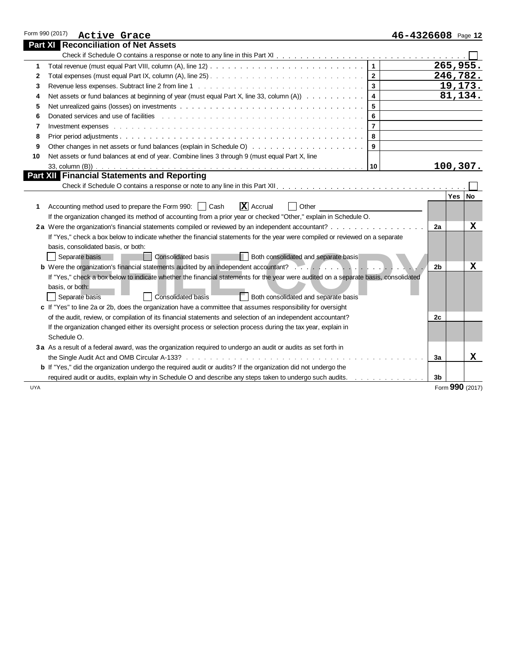| Form 990 (2017) |                 |                                             | Active Grace |                                                                                                                                                                                                                                |                                 |                                      |                         | 46-4326608 Page 12 |                |                 |
|-----------------|-----------------|---------------------------------------------|--------------|--------------------------------------------------------------------------------------------------------------------------------------------------------------------------------------------------------------------------------|---------------------------------|--------------------------------------|-------------------------|--------------------|----------------|-----------------|
|                 |                 | <b>Part XI Reconciliation of Net Assets</b> |              |                                                                                                                                                                                                                                |                                 |                                      |                         |                    |                |                 |
|                 |                 |                                             |              |                                                                                                                                                                                                                                |                                 |                                      |                         |                    |                |                 |
| 1               |                 |                                             |              |                                                                                                                                                                                                                                |                                 |                                      | $\overline{1}$          |                    |                | 265,955.        |
| 2               |                 |                                             |              |                                                                                                                                                                                                                                |                                 |                                      | $\vert$ 2               |                    |                | 246,782.        |
| 3               |                 |                                             |              |                                                                                                                                                                                                                                |                                 |                                      | $\vert$ 3               |                    |                | 19,173.         |
| 4               |                 |                                             |              | Net assets or fund balances at beginning of year (must equal Part X, line 33, column (A))                                                                                                                                      |                                 |                                      | $\overline{\mathbf{4}}$ |                    |                | 81,134.         |
| 5               |                 |                                             |              | Net unrealized gains (losses) on investments with an above and the state of the state of the state of the state of the state of the state of the state of the state of the state of the state of the state of the state of the |                                 |                                      | $5\phantom{.0}$         |                    |                |                 |
|                 |                 |                                             |              | Donated services and use of facilities enterpreterated by an article of the control of the control of the control of the control of the control of the control of the control of the control of the control of the control of  |                                 |                                      | $6\phantom{1}$          |                    |                |                 |
|                 |                 |                                             |              | Investment expenses between the contract of the contract of the contract of the contract of the contract of the contract of the contract of the contract of the contract of the contract of the contract of the contract of th |                                 |                                      | $\overline{7}$          |                    |                |                 |
| 8               |                 |                                             |              |                                                                                                                                                                                                                                |                                 |                                      | 8                       |                    |                |                 |
| 9               |                 |                                             |              |                                                                                                                                                                                                                                |                                 |                                      | 9                       |                    |                |                 |
| 10              |                 |                                             |              | Net assets or fund balances at end of year. Combine lines 3 through 9 (must equal Part X, line                                                                                                                                 |                                 |                                      |                         |                    |                |                 |
|                 |                 |                                             |              |                                                                                                                                                                                                                                |                                 |                                      |                         |                    |                | 100, 307.       |
|                 |                 |                                             |              | <b>Part XII Financial Statements and Reporting</b>                                                                                                                                                                             |                                 |                                      |                         |                    |                |                 |
|                 |                 |                                             |              |                                                                                                                                                                                                                                |                                 |                                      |                         |                    |                |                 |
|                 |                 |                                             |              |                                                                                                                                                                                                                                |                                 |                                      |                         |                    | Yes            | <b>No</b>       |
| 1               |                 |                                             |              | Accounting method used to prepare the Form 990:     Cash                                                                                                                                                                       | $\overline{\mathbf{X}}$ Accrual | Other                                |                         |                    |                |                 |
|                 |                 |                                             |              | If the organization changed its method of accounting from a prior year or checked "Other," explain in Schedule O.                                                                                                              |                                 |                                      |                         |                    |                |                 |
|                 |                 |                                             |              | 2a Were the organization's financial statements compiled or reviewed by an independent accountant?                                                                                                                             |                                 |                                      |                         |                    | 2a             | $\mathbf x$     |
|                 |                 |                                             |              | If "Yes," check a box below to indicate whether the financial statements for the year were compiled or reviewed on a separate                                                                                                  |                                 |                                      |                         |                    |                |                 |
|                 |                 | basis, consolidated basis, or both:         |              |                                                                                                                                                                                                                                |                                 |                                      |                         |                    |                |                 |
|                 |                 | Separate basis                              |              | Consolidated basis                                                                                                                                                                                                             |                                 | Both consolidated and separate basis |                         |                    |                |                 |
|                 |                 |                                             |              | <b>b</b> Were the organization's financial statements audited by an independent accountant?                                                                                                                                    |                                 |                                      |                         |                    | 2 <sub>b</sub> | x               |
|                 |                 |                                             |              | If "Yes," check a box below to indicate whether the financial statements for the year were audited on a separate basis, consolidated                                                                                           |                                 |                                      |                         |                    |                |                 |
|                 | basis, or both: |                                             |              |                                                                                                                                                                                                                                |                                 |                                      |                         |                    |                |                 |
|                 |                 | Separate basis                              |              | <b>Consolidated basis</b>                                                                                                                                                                                                      |                                 | Both consolidated and separate basis |                         |                    |                |                 |
|                 |                 |                                             |              | c If "Yes" to line 2a or 2b, does the organization have a committee that assumes responsibility for oversight                                                                                                                  |                                 |                                      |                         |                    |                |                 |
|                 |                 |                                             |              | of the audit, review, or compilation of its financial statements and selection of an independent accountant?                                                                                                                   |                                 |                                      |                         |                    | 2c             |                 |
|                 |                 |                                             |              | If the organization changed either its oversight process or selection process during the tax year, explain in                                                                                                                  |                                 |                                      |                         |                    |                |                 |
|                 | Schedule O.     |                                             |              |                                                                                                                                                                                                                                |                                 |                                      |                         |                    |                |                 |
|                 |                 |                                             |              | 3a As a result of a federal award, was the organization required to undergo an audit or audits as set forth in                                                                                                                 |                                 |                                      |                         |                    |                |                 |
|                 |                 |                                             |              |                                                                                                                                                                                                                                |                                 |                                      |                         |                    | За             | x               |
|                 |                 |                                             |              | b If "Yes," did the organization undergo the required audit or audits? If the organization did not undergo the                                                                                                                 |                                 |                                      |                         |                    |                |                 |
|                 |                 |                                             |              | required audit or audits, explain why in Schedule O and describe any steps taken to undergo such audits.                                                                                                                       |                                 |                                      |                         |                    | 3 <sub>b</sub> |                 |
| <b>UYA</b>      |                 |                                             |              |                                                                                                                                                                                                                                |                                 |                                      |                         |                    |                | Form 990 (2017) |
|                 |                 |                                             |              |                                                                                                                                                                                                                                |                                 |                                      |                         |                    |                |                 |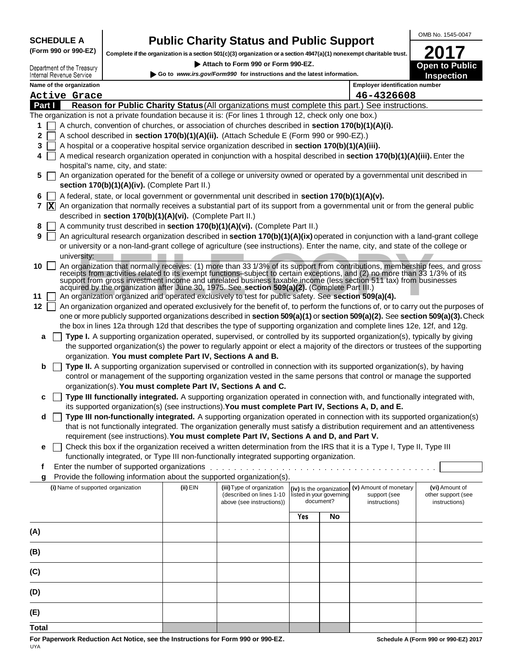**SCHEDULE A** 

**(Form 990 or 990-EZ)**

# **Public Charity Status and Public Support**

**Complete if the organization is a section 501(c)(3) organization or a section 4947(a)(1) nonexempt charitable trust.**

 **Attach to Form 990 or Form 990-EZ.** 

**Open to Public 2017**

OMB No. 1545-0047

|              | Department of the Treasury<br>Internal Revenue Service |                                                            |          | Attach to Form 990 or Form 990-EZ.<br>Go to www.irs.gov/Form990 for instructions and the latest information.                                                                                                                                                                                                                                                                                                                                                                     |     |                          |                                       | <b>Open to Public</b><br><b>Inspection</b> |
|--------------|--------------------------------------------------------|------------------------------------------------------------|----------|----------------------------------------------------------------------------------------------------------------------------------------------------------------------------------------------------------------------------------------------------------------------------------------------------------------------------------------------------------------------------------------------------------------------------------------------------------------------------------|-----|--------------------------|---------------------------------------|--------------------------------------------|
|              | Name of the organization                               |                                                            |          |                                                                                                                                                                                                                                                                                                                                                                                                                                                                                  |     |                          | <b>Employer identification number</b> |                                            |
|              | Active Grace                                           |                                                            |          |                                                                                                                                                                                                                                                                                                                                                                                                                                                                                  |     |                          | 46-4326608                            |                                            |
| Part I       |                                                        |                                                            |          | Reason for Public Charity Status (All organizations must complete this part.) See instructions.                                                                                                                                                                                                                                                                                                                                                                                  |     |                          |                                       |                                            |
|              |                                                        |                                                            |          | The organization is not a private foundation because it is: (For lines 1 through 12, check only one box.)                                                                                                                                                                                                                                                                                                                                                                        |     |                          |                                       |                                            |
| 1            |                                                        |                                                            |          | A church, convention of churches, or association of churches described in section 170(b)(1)(A)(i).                                                                                                                                                                                                                                                                                                                                                                               |     |                          |                                       |                                            |
| $\mathbf{2}$ |                                                        |                                                            |          | A school described in section 170(b)(1)(A)(ii). (Attach Schedule E (Form 990 or 990-EZ).)                                                                                                                                                                                                                                                                                                                                                                                        |     |                          |                                       |                                            |
| 3            |                                                        |                                                            |          | A hospital or a cooperative hospital service organization described in section 170(b)(1)(A)(iii).                                                                                                                                                                                                                                                                                                                                                                                |     |                          |                                       |                                            |
| 4            |                                                        |                                                            |          | A medical research organization operated in conjunction with a hospital described in section 170(b)(1)(A)(iii). Enter the                                                                                                                                                                                                                                                                                                                                                        |     |                          |                                       |                                            |
|              |                                                        | hospital's name, city, and state:                          |          |                                                                                                                                                                                                                                                                                                                                                                                                                                                                                  |     |                          |                                       |                                            |
| 5            |                                                        | section 170(b)(1)(A)(iv). (Complete Part II.)              |          | An organization operated for the benefit of a college or university owned or operated by a governmental unit described in                                                                                                                                                                                                                                                                                                                                                        |     |                          |                                       |                                            |
| 6            |                                                        |                                                            |          | A federal, state, or local government or governmental unit described in section 170(b)(1)(A)(v).                                                                                                                                                                                                                                                                                                                                                                                 |     |                          |                                       |                                            |
| $7 \times$   |                                                        |                                                            |          | An organization that normally receives a substantial part of its support from a governmental unit or from the general public                                                                                                                                                                                                                                                                                                                                                     |     |                          |                                       |                                            |
|              |                                                        | described in section 170(b)(1)(A)(vi). (Complete Part II.) |          |                                                                                                                                                                                                                                                                                                                                                                                                                                                                                  |     |                          |                                       |                                            |
| 8            |                                                        |                                                            |          | A community trust described in section 170(b)(1)(A)(vi). (Complete Part II.)                                                                                                                                                                                                                                                                                                                                                                                                     |     |                          |                                       |                                            |
| 9            |                                                        |                                                            |          | An agricultural research organization described in section 170(b)(1)(A)(ix) operated in conjunction with a land-grant college                                                                                                                                                                                                                                                                                                                                                    |     |                          |                                       |                                            |
|              |                                                        |                                                            |          | or university or a non-land-grant college of agriculture (see instructions). Enter the name, city, and state of the college or                                                                                                                                                                                                                                                                                                                                                   |     |                          |                                       |                                            |
|              | university:                                            |                                                            |          |                                                                                                                                                                                                                                                                                                                                                                                                                                                                                  |     |                          |                                       |                                            |
| $10 \mid$    |                                                        |                                                            |          | An organization that normally receives: (1) more than 33 1/3% of its support from contributions, membership fees, and gross<br>receipts from activities related to its exempt functions-subject to certain exceptions, and (2) no more than 33 1/3% of its<br>support from gross investment income and unrelated business taxable income (less section 511 tax) from businesses<br>acquired by the organization after June 30, 1975. See section 509(a)(2). (Complete Part III.) |     |                          |                                       |                                            |
| 11           |                                                        |                                                            |          | An organization organized and operated exclusively to test for public safety. See section 509(a)(4).                                                                                                                                                                                                                                                                                                                                                                             |     |                          |                                       |                                            |
| $12$         |                                                        |                                                            |          | An organization organized and operated exclusively for the benefit of, to perform the functions of, or to carry out the purposes of                                                                                                                                                                                                                                                                                                                                              |     |                          |                                       |                                            |
|              |                                                        |                                                            |          | one or more publicly supported organizations described in section 509(a)(1) or section 509(a)(2). See section 509(a)(3). Check                                                                                                                                                                                                                                                                                                                                                   |     |                          |                                       |                                            |
|              |                                                        |                                                            |          | the box in lines 12a through 12d that describes the type of supporting organization and complete lines 12e, 12f, and 12g.                                                                                                                                                                                                                                                                                                                                                        |     |                          |                                       |                                            |
| a            |                                                        |                                                            |          | Type I. A supporting organization operated, supervised, or controlled by its supported organization(s), typically by giving                                                                                                                                                                                                                                                                                                                                                      |     |                          |                                       |                                            |
|              |                                                        |                                                            |          | the supported organization(s) the power to regularly appoint or elect a majority of the directors or trustees of the supporting                                                                                                                                                                                                                                                                                                                                                  |     |                          |                                       |                                            |
|              |                                                        |                                                            |          | organization. You must complete Part IV, Sections A and B.                                                                                                                                                                                                                                                                                                                                                                                                                       |     |                          |                                       |                                            |
| b            |                                                        |                                                            |          | Type II. A supporting organization supervised or controlled in connection with its supported organization(s), by having                                                                                                                                                                                                                                                                                                                                                          |     |                          |                                       |                                            |
|              |                                                        |                                                            |          | control or management of the supporting organization vested in the same persons that control or manage the supported                                                                                                                                                                                                                                                                                                                                                             |     |                          |                                       |                                            |
|              |                                                        |                                                            |          | organization(s). You must complete Part IV, Sections A and C.                                                                                                                                                                                                                                                                                                                                                                                                                    |     |                          |                                       |                                            |
| C.           |                                                        |                                                            |          | Type III functionally integrated. A supporting organization operated in connection with, and functionally integrated with,                                                                                                                                                                                                                                                                                                                                                       |     |                          |                                       |                                            |
|              |                                                        |                                                            |          | its supported organization(s) (see instructions). You must complete Part IV, Sections A, D, and E.                                                                                                                                                                                                                                                                                                                                                                               |     |                          |                                       |                                            |
| d            |                                                        |                                                            |          | Type III non-functionally integrated. A supporting organization operated in connection with its supported organization(s)                                                                                                                                                                                                                                                                                                                                                        |     |                          |                                       |                                            |
|              |                                                        |                                                            |          | that is not functionally integrated. The organization generally must satisfy a distribution requirement and an attentiveness<br>requirement (see instructions). You must complete Part IV, Sections A and D, and Part V.                                                                                                                                                                                                                                                         |     |                          |                                       |                                            |
|              |                                                        |                                                            |          |                                                                                                                                                                                                                                                                                                                                                                                                                                                                                  |     |                          |                                       |                                            |
|              |                                                        |                                                            |          | Check this box if the organization received a written determination from the IRS that it is a Type I, Type II, Type III<br>functionally integrated, or Type III non-functionally integrated supporting organization.                                                                                                                                                                                                                                                             |     |                          |                                       |                                            |
|              |                                                        |                                                            |          | Enter the number of supported organizations entertainment of the state of supported organizations                                                                                                                                                                                                                                                                                                                                                                                |     |                          |                                       |                                            |
| g            |                                                        |                                                            |          | Provide the following information about the supported organization(s).                                                                                                                                                                                                                                                                                                                                                                                                           |     |                          |                                       |                                            |
|              | (i) Name of supported organization                     |                                                            | (ii) EIN | (iii) Type of organization                                                                                                                                                                                                                                                                                                                                                                                                                                                       |     | (iv) Is the organization | (v) Amount of monetary                | (vi) Amount of                             |
|              |                                                        |                                                            |          | (described on lines 1-10                                                                                                                                                                                                                                                                                                                                                                                                                                                         |     | listed in your governing | support (see                          | other support (see                         |
|              |                                                        |                                                            |          | above (see instructions))                                                                                                                                                                                                                                                                                                                                                                                                                                                        |     | document?                | instructions)                         | instructions)                              |
|              |                                                        |                                                            |          |                                                                                                                                                                                                                                                                                                                                                                                                                                                                                  | Yes | No                       |                                       |                                            |
|              |                                                        |                                                            |          |                                                                                                                                                                                                                                                                                                                                                                                                                                                                                  |     |                          |                                       |                                            |
| (A)          |                                                        |                                                            |          |                                                                                                                                                                                                                                                                                                                                                                                                                                                                                  |     |                          |                                       |                                            |
|              |                                                        |                                                            |          |                                                                                                                                                                                                                                                                                                                                                                                                                                                                                  |     |                          |                                       |                                            |
| (B)          |                                                        |                                                            |          |                                                                                                                                                                                                                                                                                                                                                                                                                                                                                  |     |                          |                                       |                                            |
|              |                                                        |                                                            |          |                                                                                                                                                                                                                                                                                                                                                                                                                                                                                  |     |                          |                                       |                                            |
| (C)          |                                                        |                                                            |          |                                                                                                                                                                                                                                                                                                                                                                                                                                                                                  |     |                          |                                       |                                            |
|              |                                                        |                                                            |          |                                                                                                                                                                                                                                                                                                                                                                                                                                                                                  |     |                          |                                       |                                            |
| (D)          |                                                        |                                                            |          |                                                                                                                                                                                                                                                                                                                                                                                                                                                                                  |     |                          |                                       |                                            |
|              |                                                        |                                                            |          |                                                                                                                                                                                                                                                                                                                                                                                                                                                                                  |     |                          |                                       |                                            |
| (E)          |                                                        |                                                            |          |                                                                                                                                                                                                                                                                                                                                                                                                                                                                                  |     |                          |                                       |                                            |
| <b>Total</b> |                                                        |                                                            |          |                                                                                                                                                                                                                                                                                                                                                                                                                                                                                  |     |                          |                                       |                                            |

**For Paperwork Reduction Act Notice, see the Instructions for Form 990 or 990-EZ.** UYA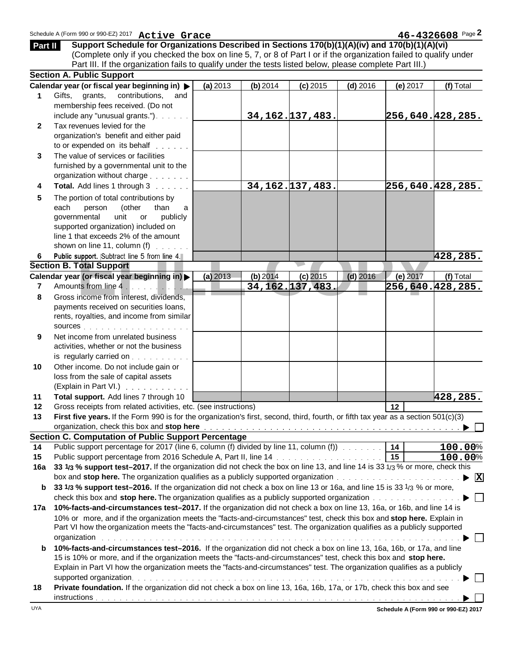|              | Schedule A (Form 990 or 990-EZ) 2017 Active Grace                                                                                                                                                                             |          |          |                    |            |            | $46 - 4326608$ Page 2 |
|--------------|-------------------------------------------------------------------------------------------------------------------------------------------------------------------------------------------------------------------------------|----------|----------|--------------------|------------|------------|-----------------------|
| Part II      | Support Schedule for Organizations Described in Sections 170(b)(1)(A)(iv) and 170(b)(1)(A)(vi)<br>(Complete only if you checked the box on line 5, 7, or 8 of Part I or if the organization failed to qualify under           |          |          |                    |            |            |                       |
|              | Part III. If the organization fails to qualify under the tests listed below, please complete Part III.)                                                                                                                       |          |          |                    |            |            |                       |
|              | <b>Section A. Public Support</b>                                                                                                                                                                                              |          |          |                    |            |            |                       |
|              | Calendar year (or fiscal year beginning in)                                                                                                                                                                                   | (a) 2013 | (b) 2014 | $(c)$ 2015         | $(d)$ 2016 | $(e)$ 2017 | (f) Total             |
| $\mathbf 1$  | Gifts, grants, contributions, and                                                                                                                                                                                             |          |          |                    |            |            |                       |
|              | membership fees received. (Do not                                                                                                                                                                                             |          |          |                    |            |            |                       |
|              | include any "unusual grants.").                                                                                                                                                                                               |          |          | 34, 162. 137, 483. |            |            | 256, 640.428, 285.    |
| $\mathbf{2}$ | Tax revenues levied for the                                                                                                                                                                                                   |          |          |                    |            |            |                       |
|              | organization's benefit and either paid                                                                                                                                                                                        |          |          |                    |            |            |                       |
|              | to or expended on its behalf research and the set of the set of the set of the set of the set of the set of the set of the set of the set of the set of the set of the set of the set of the set of the set of the set of the |          |          |                    |            |            |                       |
| 3            | The value of services or facilities                                                                                                                                                                                           |          |          |                    |            |            |                       |
|              | furnished by a governmental unit to the                                                                                                                                                                                       |          |          |                    |            |            |                       |
|              | organization without charge                                                                                                                                                                                                   |          |          |                    |            |            |                       |
| 4            | Total. Add lines 1 through 3                                                                                                                                                                                                  |          |          | 34, 162. 137, 483. |            |            | 256, 640.428, 285.    |
| 5            | The portion of total contributions by                                                                                                                                                                                         |          |          |                    |            |            |                       |
|              | each<br>(other<br>person<br>than<br>a                                                                                                                                                                                         |          |          |                    |            |            |                       |
|              | governmental<br>unit or<br>publicly                                                                                                                                                                                           |          |          |                    |            |            |                       |
|              | supported organization) included on                                                                                                                                                                                           |          |          |                    |            |            |                       |
|              | line 1 that exceeds 2% of the amount                                                                                                                                                                                          |          |          |                    |            |            |                       |
|              | shown on line 11, column $(f)$                                                                                                                                                                                                |          |          |                    |            |            |                       |
| 6            | Public support. Subtract line 5 from line 4.                                                                                                                                                                                  |          |          |                    |            |            | 428, 285.             |
|              | <b>Section B. Total Support</b>                                                                                                                                                                                               |          |          |                    |            |            |                       |
|              | Calendar year (or fiscal year beginning in)                                                                                                                                                                                   | (a) 2013 | (b) 2014 | $(c)$ 2015         | $(d)$ 2016 | $(e)$ 2017 | (f) Total             |
| 7            | Amounts from line 4                                                                                                                                                                                                           |          |          | 34, 162. 137, 483. |            |            | 256,640.428,285.      |
| 8            | Gross income from interest, dividends,                                                                                                                                                                                        |          |          |                    |            |            |                       |
|              | payments received on securities loans,                                                                                                                                                                                        |          |          |                    |            |            |                       |
|              | rents, royalties, and income from similar                                                                                                                                                                                     |          |          |                    |            |            |                       |
|              | Net income from unrelated business                                                                                                                                                                                            |          |          |                    |            |            |                       |
| 9            |                                                                                                                                                                                                                               |          |          |                    |            |            |                       |
|              | activities, whether or not the business<br>is regularly carried on                                                                                                                                                            |          |          |                    |            |            |                       |
| 10           | Other income. Do not include gain or                                                                                                                                                                                          |          |          |                    |            |            |                       |
|              | loss from the sale of capital assets                                                                                                                                                                                          |          |          |                    |            |            |                       |
|              | (Explain in Part VI.)                                                                                                                                                                                                         |          |          |                    |            |            |                       |
| 11           | Total support. Add lines 7 through 10                                                                                                                                                                                         |          |          |                    |            |            | 428, 285.             |
| 12           | Gross receipts from related activities, etc. (see instructions)                                                                                                                                                               |          |          |                    |            | 12         |                       |
| 13           | First five years. If the Form 990 is for the organization's first, second, third, fourth, or fifth tax year as a section 501(c)(3)                                                                                            |          |          |                    |            |            |                       |
|              | organization, check this box and stop here enterpresent and the context of the context of the context of the context of the context of the context of the context of the context of the context of the context of the context |          |          |                    |            |            |                       |
|              | <b>Section C. Computation of Public Support Percentage</b>                                                                                                                                                                    |          |          |                    |            |            |                       |
| 14           | Public support percentage for 2017 (line 6, column (f) divided by line 11, column (f))   14                                                                                                                                   |          |          |                    |            |            | 100.00%               |
| 15           |                                                                                                                                                                                                                               |          |          |                    |            |            | 100.00%               |
| 16a          | 33 1/3 % support test-2017. If the organization did not check the box on line 13, and line 14 is 33 $\frac{1}{3}$ % or more, check this                                                                                       |          |          |                    |            |            |                       |
|              | box and stop here. The organization qualifies as a publicly supported organization $\ldots$ , $\ldots$ , $\ldots$ , $\ldots$ , $\ldots$ , $\blacktriangleright \Box$                                                          |          |          |                    |            |            |                       |
| b            | 33 1/3 % support test-2016. If the organization did not check a box on line 13 or 16a, and line 15 is 33 1/3 % or more,                                                                                                       |          |          |                    |            |            |                       |
|              |                                                                                                                                                                                                                               |          |          |                    |            |            | $\mathsf{L}$          |
| 17a          | 10%-facts-and-circumstances test-2017. If the organization did not check a box on line 13, 16a, or 16b, and line 14 is                                                                                                        |          |          |                    |            |            |                       |
|              | 10% or more, and if the organization meets the "facts-and-circumstances" test, check this box and stop here. Explain in                                                                                                       |          |          |                    |            |            |                       |
|              | Part VI how the organization meets the "facts-and-circumstances" test. The organization qualifies as a publicly supported                                                                                                     |          |          |                    |            |            |                       |
|              |                                                                                                                                                                                                                               |          |          |                    |            |            | $\blacksquare$        |
| b            | 10%-facts-and-circumstances test-2016. If the organization did not check a box on line 13, 16a, 16b, or 17a, and line                                                                                                         |          |          |                    |            |            |                       |
|              | 15 is 10% or more, and if the organization meets the "facts-and-circumstances" test, check this box and stop here.                                                                                                            |          |          |                    |            |            |                       |
|              | Explain in Part VI how the organization meets the "facts-and-circumstances" test. The organization qualifies as a publicly                                                                                                    |          |          |                    |            |            |                       |
|              |                                                                                                                                                                                                                               |          |          |                    |            |            |                       |
| 18           | Private foundation. If the organization did not check a box on line 13, 16a, 16b, 17a, or 17b, check this box and see                                                                                                         |          |          |                    |            |            |                       |
|              |                                                                                                                                                                                                                               |          |          |                    |            |            |                       |

| Schedule A (Form 990 or 990-EZ) 2017 |  |  |
|--------------------------------------|--|--|
|                                      |  |  |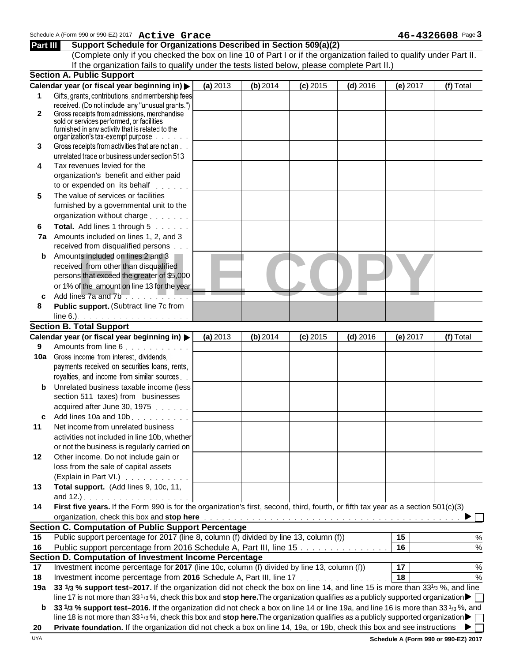**Part III** Support Schedule for Organizations Described in Section 509(a)(2) (Complete only if you checked the box on line 10 of Part I or if the organization failed to qualify under Part II. If the organization fails to qualify under the tests listed below, please complete Part II.)

|              | <b>Section A. Public Support</b>                                                                                                                          |          |          |            |            |          |           |
|--------------|-----------------------------------------------------------------------------------------------------------------------------------------------------------|----------|----------|------------|------------|----------|-----------|
|              | Calendar year (or fiscal year beginning in) >                                                                                                             | (a) 2013 | (b) 2014 | $(c)$ 2015 | $(d)$ 2016 | (e) 2017 | (f) Total |
| 1            | Gifts, grants, contributions, and membership fees                                                                                                         |          |          |            |            |          |           |
|              | received. (Do not include any "unusual grants.")                                                                                                          |          |          |            |            |          |           |
| $\mathbf{2}$ | Gross receipts from admissions, merchandise                                                                                                               |          |          |            |            |          |           |
|              | sold or services performed, or facilities                                                                                                                 |          |          |            |            |          |           |
|              | furnished in any activity that is related to the<br>organization's tax-exempt purpose.                                                                    |          |          |            |            |          |           |
| 3            | Gross receipts from activities that are not an                                                                                                            |          |          |            |            |          |           |
|              | unrelated trade or business under section 513                                                                                                             |          |          |            |            |          |           |
|              | Tax revenues levied for the                                                                                                                               |          |          |            |            |          |           |
| 4            |                                                                                                                                                           |          |          |            |            |          |           |
|              | organization's benefit and either paid                                                                                                                    |          |          |            |            |          |           |
|              | to or expended on its behalf                                                                                                                              |          |          |            |            |          |           |
| 5            | The value of services or facilities                                                                                                                       |          |          |            |            |          |           |
|              | furnished by a governmental unit to the                                                                                                                   |          |          |            |            |          |           |
|              | organization without charge                                                                                                                               |          |          |            |            |          |           |
| 6            | Total. Add lines 1 through 5                                                                                                                              |          |          |            |            |          |           |
| 7a           | Amounts included on lines 1, 2, and 3                                                                                                                     |          |          |            |            |          |           |
|              | received from disqualified persons                                                                                                                        |          |          |            |            |          |           |
| $\mathbf b$  | Amounts included on lines 2 and 3                                                                                                                         |          |          |            |            |          |           |
|              | received from other than disqualified                                                                                                                     |          |          |            |            |          |           |
|              | persons that exceed the greater of \$5,000                                                                                                                |          |          |            |            |          |           |
|              | or 1% of the amount on line 13 for the year                                                                                                               |          |          |            |            |          |           |
| C            | Add lines 7a and 7b $\ldots$ $\ldots$                                                                                                                     |          |          |            |            |          |           |
| 8            | Public support. (Subtract line 7c from                                                                                                                    |          |          |            |            |          |           |
|              |                                                                                                                                                           |          |          |            |            |          |           |
|              | <b>Section B. Total Support</b>                                                                                                                           |          |          |            |            |          |           |
|              | Calendar year (or fiscal year beginning in) ▶                                                                                                             | (a) 2013 | (b) 2014 | $(c)$ 2015 | $(d)$ 2016 | (e) 2017 | (f) Total |
| 9            | Amounts from line 6.                                                                                                                                      |          |          |            |            |          |           |
|              | 10a Gross income from interest, dividends,                                                                                                                |          |          |            |            |          |           |
|              | payments received on securities loans, rents,                                                                                                             |          |          |            |            |          |           |
|              | royalties, and income from similar sources                                                                                                                |          |          |            |            |          |           |
| b            | Unrelated business taxable income (less                                                                                                                   |          |          |            |            |          |           |
|              | section 511 taxes) from businesses                                                                                                                        |          |          |            |            |          |           |
|              | acquired after June 30, 1975                                                                                                                              |          |          |            |            |          |           |
| C            | Add lines 10a and 10b.                                                                                                                                    |          |          |            |            |          |           |
| 11           | Net income from unrelated business                                                                                                                        |          |          |            |            |          |           |
|              | activities not included in line 10b, whether                                                                                                              |          |          |            |            |          |           |
|              | or not the business is regularly carried on                                                                                                               |          |          |            |            |          |           |
| 12           | Other income. Do not include gain or                                                                                                                      |          |          |            |            |          |           |
|              | loss from the sale of capital assets                                                                                                                      |          |          |            |            |          |           |
|              | (Explain in Part VI.)                                                                                                                                     |          |          |            |            |          |           |
| 13           | Total support. (Add lines 9, 10c, 11,                                                                                                                     |          |          |            |            |          |           |
|              |                                                                                                                                                           |          |          |            |            |          |           |
| 14           | First five years. If the Form 990 is for the organization's first, second, third, fourth, or fifth tax year as a section 501(c)(3)                        |          |          |            |            |          |           |
|              | organization, check this box and stop here entertainment of the control of the control of the control of the D                                            |          |          |            |            |          |           |
|              | <b>Section C. Computation of Public Support Percentage</b>                                                                                                |          |          |            |            |          |           |
| 15           | Public support percentage for 2017 (line 8, column (f) divided by line 13, column (f))                                                                    |          |          |            |            | 15       | $\%$      |
| 16           | Public support percentage from 2016 Schedule A, Part III, line 15                                                                                         |          |          |            |            | 16       | $\%$      |
|              | Section D. Computation of Investment Income Percentage                                                                                                    |          |          |            |            |          |           |
| 17           | Investment income percentage for 2017 (line 10c, column (f) divided by line 13, column (f)).                                                              |          |          |            |            | 17       | $\%$      |
| 18           | Investment income percentage from 2016 Schedule A, Part III, line 17 manus and a contract of the state of the                                             |          |          |            |            | 18       | $\%$      |
| 19a          | 33 1/3 % support test-2017. If the organization did not check the box on line 14, and line 15 is more than 33 <sup>1/3</sup> %, and line                  |          |          |            |            |          |           |
|              | line 17 is not more than 331/3%, check this box and stop here. The organization qualifies as a publicly supported organization $\blacktriangleright$      |          |          |            |            |          |           |
| b            | 33 1/3 % support test-2016. If the organization did not check a box on line 14 or line 19a, and line 16 is more than 33 1/3 %, and                        |          |          |            |            |          |           |
|              | line 18 is not more than 331/3%, check this box and stop here. The organization qualifies as a publicly supported organization $\blacktriangleright \Box$ |          |          |            |            |          |           |
| 20           | Private foundation. If the organization did not check a box on line 14, 19a, or 19b, check this box and see instructions                                  |          |          |            |            |          |           |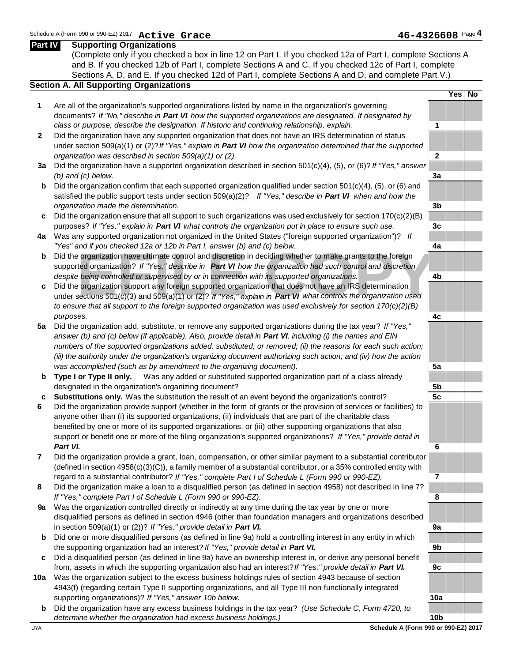## **Example 19 and in your checked 12a or 12b in Fart I, answer (b) and (c) below.**<br>
Did the organization have ultimate control and discretion in deciding whether to make grants to the foreign<br>
supported organization? If "Yes (Complete only if you checked a box in line 12 on Part I. If you checked 12a of Part I, complete Sections A and B. If you checked 12b of Part I, complete Sections A and C. If you checked 12c of Part I, complete Sections A, D, and E. If you checked 12d of Part I, complete Sections A and D, and complete Part V.) **Section A. All Supporting Organizations Yes No 1** Are all of the organization's supported organizations listed by name in the organization's governing documents? *If "No," describe in Part VI how the supported organizations are designated. If designated by class or purpose, describe the designation. If historic and continuing relationship, explain.* **1 2** Did the organization have any supported organization that does not have an IRS determination of status under section 509(a)(1) or (2)? *If "Yes," explain in Part VI how the organization determined that the supported organization was described in section 509(a)(1) or (2).* **2 3a** Did the organization have a supported organization described in section 501(c)(4), (5), or (6)? *If "Yes," answer (b) and (c) below.* **3a b** Did the organization confirm that each supported organization qualified under section 501(c)(4), (5), or (6) and satisfied the public support tests under section 509(a)(2)? *If "Yes," describe in Part VI when and how the organization made the determination.* **3b c** Did the organization ensure that all support to such organizations was used exclusively for section 170(c)(2)(B) purposes? *If "Yes," explain in Part VI what controls the organization put in place to ensure such use.* **3c 4a** Was any supported organization not organized in the United States ("foreign supported organization")? *If "Yes" and if you checked 12a or 12b in Part I, answer (b) and (c) below.* **4a b** Did the organization have ultimate control and discretion in deciding whether to make grants to the foreign supported organization? *If "Yes," describe in Part VI how the organization had such control and discretion despite being controlled or supervised by or in connection with its supported organizations.* **4b c** Did the organization support any foreign supported organization that does not have an IRS determination *to ensure that all support to the foreign supported organization was used exclusively for section 170(c)(2)(B) purposes.* **4c 5a** Did the organization add, substitute, or remove any supported organizations during the tax year? *If "Yes,"*  answer (b) and (c) below (if applicable). Also, provide detail in **Part VI**, including (i) the names and EIN *numbers of the supported organizations added, substituted, or removed; (ii) the reasons for each such action; (iii) the authority under the organization's organizing document authorizing such action; and (iv) how the action was accomplished (such as by amendment to the organizing document).* **5a b Type I or Type II only.** Was any added or substituted supported organization part of a class already designated in the organization's organizing document? **5b c Substitutions only.** Was the substitution the result of an event beyond the organization's control? **5c 6** Did the organization provide support (whether in the form of grants or the provision of services or facilities) to anyone other than (i) its supported organizations, (ii) individuals that are part of the charitable class benefited by one or more of its supported organizations, or (iii) other supporting organizations that also support or benefit one or more of the filing organization's supported organizations? *If "Yes," provide detail in Part VI.* **6 7** Did the organization provide a grant, loan, compensation, or other similar payment to a substantial contributor (defined in section 4958(c)(3)(C)), a family member of a substantial contributor, or a 35% controlled entity with regard to a substantial contributor? *If "Yes," complete Part I of Schedule L (Form 990 or 990-EZ).* **7 8** Did the organization make a loan to a disqualified person (as defined in section 4958) not described in line 7? *If "Yes," complete Part I of Schedule L (Form 990 or 990-EZ).* **8 9a** Was the organization controlled directly or indirectly at any time during the tax year by one or more disqualified persons as defined in section 4946 (other than foundation managers and organizations described in section  $509(a)(1)$  or  $(2)$ ? *If "Yes," provide detail in Part VI. 9a* **b** Did one or more disqualified persons (as defined in line 9a) hold a controlling interest in any entity in which the supporting organization had an interest? *If "Yes," provide detail in Part VI.* **9b c** Did a disqualified person (as defined in line 9a) have an ownership interest in, or derive any personal benefit from, assets in which the supporting organization also had an interest? *If "Yes," provide detail in Part VI.* **9c 10a** Was the organization subject to the excess business holdings rules of section 4943 because of section 4943(f) (regarding certain Type II supporting organizations, and all Type III non-functionally integrated supporting organizations)? *If "Yes," answer 10b below.* **10a b** Did the organization have any excess business holdings in the tax year? *(Use Schedule C, Form 4720, to determine whether the organization had excess business holdings.)* **10b**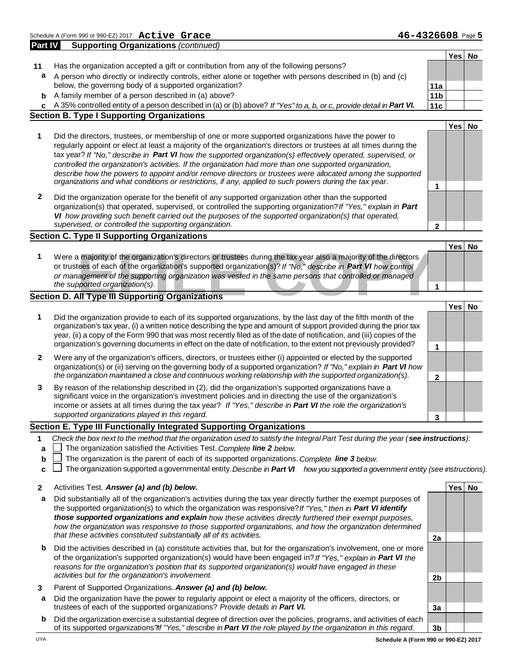**Schedule A (Form 990 or 990-EZ) 2017 Active Grace 18 <b>Active Grace 46-4326608** Page 5

| <b>Part IV</b> | <b>Supporting Organizations (continued)</b>                                                                                                                                                                                                                                                                                                                                                                                                                                                                                                                        |                 |          |    |
|----------------|--------------------------------------------------------------------------------------------------------------------------------------------------------------------------------------------------------------------------------------------------------------------------------------------------------------------------------------------------------------------------------------------------------------------------------------------------------------------------------------------------------------------------------------------------------------------|-----------------|----------|----|
|                |                                                                                                                                                                                                                                                                                                                                                                                                                                                                                                                                                                    |                 | Yes   No |    |
| 11             | Has the organization accepted a gift or contribution from any of the following persons?                                                                                                                                                                                                                                                                                                                                                                                                                                                                            |                 |          |    |
| a              | A person who directly or indirectly controls, either alone or together with persons described in (b) and (c)                                                                                                                                                                                                                                                                                                                                                                                                                                                       |                 |          |    |
|                | below, the governing body of a supported organization?                                                                                                                                                                                                                                                                                                                                                                                                                                                                                                             | 11a             |          |    |
| b              | A family member of a person described in (a) above?                                                                                                                                                                                                                                                                                                                                                                                                                                                                                                                | 11 <sub>b</sub> |          |    |
|                | c A 35% controlled entity of a person described in (a) or (b) above? If "Yes" to a, b, or c, provide detail in Part VI.                                                                                                                                                                                                                                                                                                                                                                                                                                            | 11c             |          |    |
|                | <b>Section B. Type I Supporting Organizations</b>                                                                                                                                                                                                                                                                                                                                                                                                                                                                                                                  |                 |          |    |
|                |                                                                                                                                                                                                                                                                                                                                                                                                                                                                                                                                                                    |                 | Yes   No |    |
| 1              | Did the directors, trustees, or membership of one or more supported organizations have the power to<br>regularly appoint or elect at least a majority of the organization's directors or trustees at all times during the<br>tax year? If "No," describe in Part VI how the supported organization(s) effectively operated, supervised, or<br>controlled the organization's activities. If the organization had more than one supported organization,<br>describe how the powers to appoint and/or remove directors or trustees were allocated among the supported |                 |          |    |
|                | organizations and what conditions or restrictions, if any, applied to such powers during the tax year.                                                                                                                                                                                                                                                                                                                                                                                                                                                             | 1               |          |    |
| $\mathbf{2}$   | Did the organization operate for the benefit of any supported organization other than the supported<br>organization(s) that operated, supervised, or controlled the supporting organization? If "Yes," explain in Part<br>VI how providing such benefit carried out the purposes of the supported organization(s) that operated,<br>supervised, or controlled the supporting organization.                                                                                                                                                                         | $\mathbf{2}$    |          |    |
|                |                                                                                                                                                                                                                                                                                                                                                                                                                                                                                                                                                                    |                 |          |    |
|                | <b>Section C. Type II Supporting Organizations</b>                                                                                                                                                                                                                                                                                                                                                                                                                                                                                                                 |                 |          |    |
|                |                                                                                                                                                                                                                                                                                                                                                                                                                                                                                                                                                                    |                 | Yes   No |    |
| 1              | Were a majority of the organization's directors or trustees during the tax year also a majority of the directors<br>or trustees of each of the organization's supported organization(s)? If "No," describe in Part VI how control<br>or management of the supporting organization was vested in the same persons that controlled or managed<br>the supported organization(s).                                                                                                                                                                                      | 1               |          |    |
|                | Section D. All Type III Supporting Organizations                                                                                                                                                                                                                                                                                                                                                                                                                                                                                                                   |                 |          |    |
|                |                                                                                                                                                                                                                                                                                                                                                                                                                                                                                                                                                                    |                 | Yes      | No |
| 1              | Did the organization provide to each of its supported organizations, by the last day of the fifth month of the<br>organization's tax year, (i) a written notice describing the type and amount of support provided during the prior tax<br>year, (ii) a copy of the Form 990 that was most recently filed as of the date of notification, and (iii) copies of the<br>organization's governing documents in effect on the date of notification, to the extent not previously provided?                                                                              | 1               |          |    |
| 2              | Were any of the organization's officers, directors, or trustees either (i) appointed or elected by the supported<br>$\mathcal{L}(\mathcal{L}(\mathcal{N})\times\mathcal{L}(\mathcal{N}))$ . The set of the set of the set of the set of $\mathcal{L}(\mathcal{N})$ is defined in the set of $\mathbf{R}$ , and $\mathbf{R}$                                                                                                                                                                                                                                        |                 |          |    |

- organization(s) or (ii) serving on the governing body of a supported organization? *If "No," explain in Part VI how the organization maintained a close and continuous working relationship with the supported organization(s).* **2**
- **3** By reason of the relationship described in (2), did the organization's supported organizations have a significant voice in the organization's investment policies and in directing the use of the organization's income or assets at all times during the tax year? *If "Yes," describe in Part VI the role the organization's supported organizations played in this regard.* **3**

## **Section E. Type III Functionally Integrated Supporting Organizations**

- **1** *Check the box next to the method that the organization used to satisfy the Integral Part Test during the year ( see instructions):*
- **a** The organization satisfied the Activities Test. *Complete line 2 below.*
- **b** The organization is the parent of each of its supported organizations. *Complete line 3 below.*
- **c** └┘ The organization supported a governmental entity. *Describe in Part Ⅶ how you supported a government entity (see instructions).*
- **2** Activities Test. *Answer (a) and (b) below.* **Yes No**
- **a** Did substantially all of the organization's activities during the tax year directly further the exempt purposes of the supported organization(s) to which the organization was responsive? *If "Yes," then in Part VI identify those supported organizations and explain how these activities directly furthered their exempt purposes, how the organization was responsive to those supported organizations, and how the organization determined that these activities constituted substantially all of its activities.* **2a**
- **b** Did the activities described in (a) constitute activities that, but for the organization's involvement, one or more of the organization's supported organization(s) would have been engaged in? *If "Yes," explain in Part VI the reasons for the organization's position that its supported organization(s) would have engaged in these activities but for the organization's involvement.* **2b**
- **3** Parent of Supported Organizations. *Answer (a) and (b) below.*
- **a** Did the organization have the power to regularly appoint or elect a majority of the officers, directors, or trustees of each of the supported organizations? *Provide details in Part VI.* **3a**
- **b** Did the organization exercise a substantial degree of direction over the policies, programs, and activities of each of its supported organizations? *If "Yes," describe in Part VI the role played by the organization in this regard.* **3b**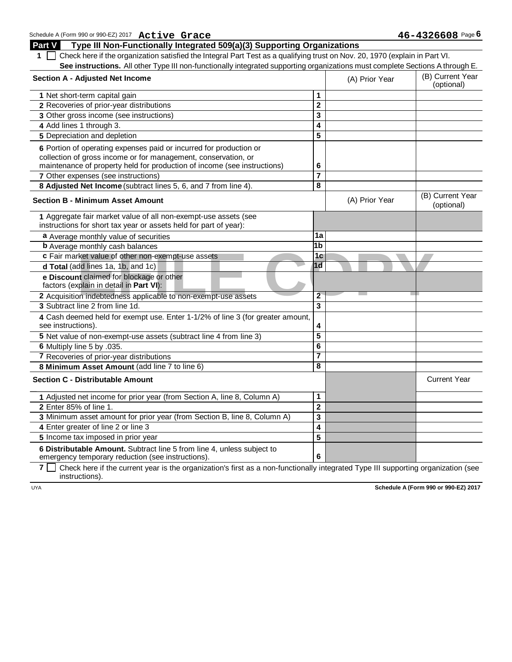**Part V Type III Non-Functionally Integrated 509(a)(3) Supporting Organizations**  1 <sup>1</sup> Check here if the organization satisfied the Integral Part Test as a qualifying trust on Nov. 20, 1970 (explain in Part VI. See instructions. All other Type III non-functionally integrated supporting organizations must complete Sections A through E.

| Section A - Adjusted Net Income                                                                                             |                         | (A) Prior Year | (B) Current Year<br>(optional) |
|-----------------------------------------------------------------------------------------------------------------------------|-------------------------|----------------|--------------------------------|
| 1 Net short-term capital gain                                                                                               | $\mathbf{1}$            |                |                                |
| 2 Recoveries of prior-year distributions                                                                                    | $\overline{\mathbf{2}}$ |                |                                |
| 3 Other gross income (see instructions)                                                                                     | 3                       |                |                                |
| 4 Add lines 1 through 3.                                                                                                    | 4                       |                |                                |
| 5 Depreciation and depletion                                                                                                | 5                       |                |                                |
| 6 Portion of operating expenses paid or incurred for production or                                                          |                         |                |                                |
| collection of gross income or for management, conservation, or                                                              |                         |                |                                |
| maintenance of property held for production of income (see instructions)                                                    | 6                       |                |                                |
| 7 Other expenses (see instructions)                                                                                         | $\overline{\mathbf{z}}$ |                |                                |
| 8 Adjusted Net Income (subtract lines 5, 6, and 7 from line 4).                                                             | $\overline{\mathbf{8}}$ |                |                                |
| <b>Section B - Minimum Asset Amount</b>                                                                                     |                         | (A) Prior Year | (B) Current Year<br>(optional) |
| 1 Aggregate fair market value of all non-exempt-use assets (see                                                             |                         |                |                                |
| instructions for short tax year or assets held for part of year):                                                           |                         |                |                                |
| a Average monthly value of securities                                                                                       | 1a                      |                |                                |
| <b>b</b> Average monthly cash balances                                                                                      | 1 <sub>b</sub>          |                |                                |
| c Fair market value of other non-exempt-use assets                                                                          | 1 <sub>c</sub>          |                |                                |
| d Total (add lines 1a, 1b, and 1c)                                                                                          | 1 <sub>d</sub>          |                |                                |
| e Discount claimed for blockage or other<br>factors (explain in detail in Part VI):                                         |                         |                |                                |
| 2 Acquisition indebtedness applicable to non-exempt-use assets                                                              | $\overline{2}$          |                |                                |
| 3 Subtract line 2 from line 1d.                                                                                             | $\overline{\mathbf{3}}$ |                |                                |
| 4 Cash deemed held for exempt use. Enter 1-1/2% of line 3 (for greater amount,<br>see instructions).                        | 4                       |                |                                |
| 5 Net value of non-exempt-use assets (subtract line 4 from line 3)                                                          | $\overline{5}$          |                |                                |
| 6 Multiply line 5 by .035.                                                                                                  | $\overline{\mathbf{6}}$ |                |                                |
| 7 Recoveries of prior-year distributions                                                                                    | 7                       |                |                                |
| 8 Minimum Asset Amount (add line 7 to line 6)                                                                               | $\overline{\mathbf{8}}$ |                |                                |
| <b>Section C - Distributable Amount</b>                                                                                     |                         |                | <b>Current Year</b>            |
| 1 Adjusted net income for prior year (from Section A, line 8, Column A)                                                     | 1                       |                |                                |
| 2 Enter 85% of line 1.                                                                                                      | $\overline{\mathbf{2}}$ |                |                                |
| 3 Minimum asset amount for prior year (from Section B, line 8, Column A)                                                    | 3                       |                |                                |
| 4 Enter greater of line 2 or line 3                                                                                         | 4                       |                |                                |
| 5 Income tax imposed in prior year                                                                                          | 5                       |                |                                |
| 6 Distributable Amount. Subtract line 5 from line 4, unless subject to<br>emergency temporary reduction (see instructions). | 6                       |                |                                |
|                                                                                                                             |                         |                |                                |

**7**  $\Box$  Check here if the current year is the organization's first as a non-functionally integrated Type III supporting organization (see instructions).

UYA **Schedule A (Form 990 or 990-EZ) 2017**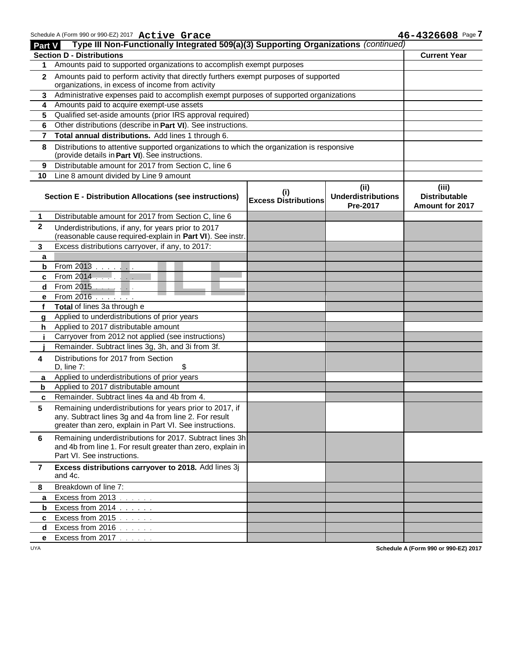| Schedule A (Form 990 or 990-EZ) 2017 Active Grace | 46-4326608<br>Page. |
|---------------------------------------------------|---------------------|
|---------------------------------------------------|---------------------|

| Part V         | Type III Non-Functionally Integrated 509(a)(3) Supporting Organizations (continued)                                                                                           |                             |                                               |                                                  |
|----------------|-------------------------------------------------------------------------------------------------------------------------------------------------------------------------------|-----------------------------|-----------------------------------------------|--------------------------------------------------|
|                | <b>Section D - Distributions</b>                                                                                                                                              |                             |                                               | <b>Current Year</b>                              |
| 1              | Amounts paid to supported organizations to accomplish exempt purposes                                                                                                         |                             |                                               |                                                  |
| $\mathbf{2}$   | Amounts paid to perform activity that directly furthers exempt purposes of supported<br>organizations, in excess of income from activity                                      |                             |                                               |                                                  |
| 3              | Administrative expenses paid to accomplish exempt purposes of supported organizations                                                                                         |                             |                                               |                                                  |
| 4              | Amounts paid to acquire exempt-use assets                                                                                                                                     |                             |                                               |                                                  |
| 5.             | Qualified set-aside amounts (prior IRS approval required)                                                                                                                     |                             |                                               |                                                  |
| 6              | Other distributions (describe in Part VI). See instructions.                                                                                                                  |                             |                                               |                                                  |
| 7              | Total annual distributions. Add lines 1 through 6.                                                                                                                            |                             |                                               |                                                  |
| 8              | Distributions to attentive supported organizations to which the organization is responsive<br>(provide details in Part VI). See instructions.                                 |                             |                                               |                                                  |
| 9              | Distributable amount for 2017 from Section C, line 6                                                                                                                          |                             |                                               |                                                  |
| 10             | Line 8 amount divided by Line 9 amount                                                                                                                                        |                             |                                               |                                                  |
|                | Section E - Distribution Allocations (see instructions)                                                                                                                       | <b>Excess Distributions</b> | (ii)<br><b>Underdistributions</b><br>Pre-2017 | (iii)<br><b>Distributable</b><br>Amount for 2017 |
| 1              | Distributable amount for 2017 from Section C, line 6                                                                                                                          |                             |                                               |                                                  |
| 2              | Underdistributions, if any, for years prior to 2017<br>(reasonable cause required-explain in Part VI). See instr.                                                             |                             |                                               |                                                  |
| 3              | Excess distributions carryover, if any, to 2017:                                                                                                                              |                             |                                               |                                                  |
| a              |                                                                                                                                                                               |                             |                                               |                                                  |
| b              | From $2013$                                                                                                                                                                   |                             |                                               |                                                  |
| c              | From $2014$                                                                                                                                                                   |                             |                                               |                                                  |
| d              | From $2015$                                                                                                                                                                   |                             |                                               |                                                  |
| е              | From $2016$                                                                                                                                                                   |                             |                                               |                                                  |
|                | Total of lines 3a through e                                                                                                                                                   |                             |                                               |                                                  |
|                | Applied to underdistributions of prior years                                                                                                                                  |                             |                                               |                                                  |
| h.             | Applied to 2017 distributable amount                                                                                                                                          |                             |                                               |                                                  |
|                | Carryover from 2012 not applied (see instructions)                                                                                                                            |                             |                                               |                                                  |
|                | Remainder. Subtract lines 3g, 3h, and 3i from 3f.                                                                                                                             |                             |                                               |                                                  |
| 4              | Distributions for 2017 from Section<br>$D.$ line $7:$                                                                                                                         |                             |                                               |                                                  |
| a              | Applied to underdistributions of prior years                                                                                                                                  |                             |                                               |                                                  |
| b              | Applied to 2017 distributable amount                                                                                                                                          |                             |                                               |                                                  |
| C              | Remainder. Subtract lines 4a and 4b from 4.                                                                                                                                   |                             |                                               |                                                  |
| 5              | Remaining underdistributions for years prior to 2017, if<br>any. Subtract lines 3g and 4a from line 2. For result<br>greater than zero, explain in Part VI. See instructions. |                             |                                               |                                                  |
| 6              | Remaining underdistributions for 2017. Subtract lines 3h<br>and 4b from line 1. For result greater than zero, explain in<br>Part VI. See instructions.                        |                             |                                               |                                                  |
| $\overline{7}$ | Excess distributions carryover to 2018. Add lines 3j<br>and 4c.                                                                                                               |                             |                                               |                                                  |
| 8              | Breakdown of line 7:                                                                                                                                                          |                             |                                               |                                                  |
| a              | Excess from 2013                                                                                                                                                              |                             |                                               |                                                  |
| b              | Excess from 2014                                                                                                                                                              |                             |                                               |                                                  |
| C.             | Excess from 2015                                                                                                                                                              |                             |                                               |                                                  |
| d              | Excess from 2016                                                                                                                                                              |                             |                                               |                                                  |
| e              | Excess from 2017                                                                                                                                                              |                             |                                               |                                                  |

UYA **Schedule A (Form 990 or 990-EZ) 2017**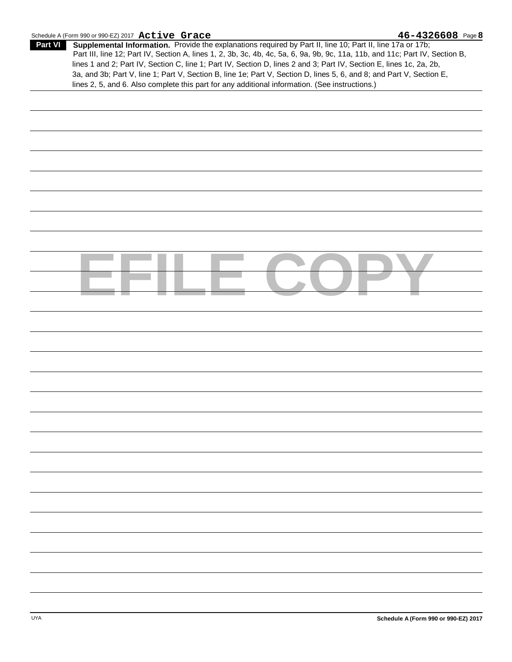|         | Schedule A (Form 990 or 990-EZ) 2017 $\operatorname{\bf Active}$ Grace                                                       | $46 - 4326608$ Page 8 |
|---------|------------------------------------------------------------------------------------------------------------------------------|-----------------------|
| Part VI | Supplemental Information. Provide the explanations required by Part II, line 10; Part II, line 17a or 17b;                   |                       |
|         | Part III, line 12; Part IV, Section A, lines 1, 2, 3b, 3c, 4b, 4c, 5a, 6, 9a, 9b, 9c, 11a, 11b, and 11c; Part IV, Section B, |                       |
|         | lines 1 and 2; Part IV, Section C, line 1; Part IV, Section D, lines 2 and 3; Part IV, Section E, lines 1c, 2a, 2b,          |                       |
|         | 3a, and 3b; Part V, line 1; Part V, Section B, line 1e; Part V, Section D, lines 5, 6, and 8; and Part V, Section E,         |                       |
|         | lines 2, 5, and 6. Also complete this part for any additional information. (See instructions.)                               |                       |

| H F<br>$F_{f}$                                                                                                    |
|-------------------------------------------------------------------------------------------------------------------|
| $\begin{array}{c} \begin{array}{c} \text{ } \\ \text{ } \\ \text{ } \\ \end{array} \end{array}$<br>$\blacksquare$ |
|                                                                                                                   |
|                                                                                                                   |
|                                                                                                                   |
|                                                                                                                   |
|                                                                                                                   |
|                                                                                                                   |
|                                                                                                                   |
|                                                                                                                   |
|                                                                                                                   |
|                                                                                                                   |
|                                                                                                                   |
|                                                                                                                   |
|                                                                                                                   |
|                                                                                                                   |
|                                                                                                                   |
|                                                                                                                   |
|                                                                                                                   |
|                                                                                                                   |
|                                                                                                                   |
|                                                                                                                   |
|                                                                                                                   |
|                                                                                                                   |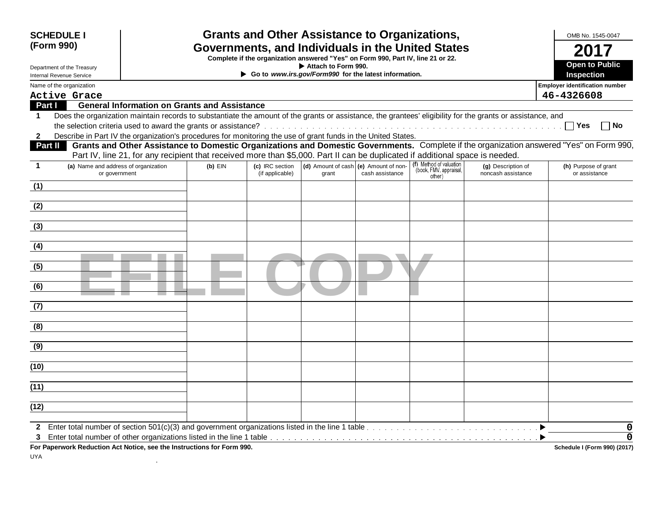| <b>SCHEDULE I</b><br>(Form 990)                                                                                                          |                                                                                                                               |                                                                                                                                                                                                                                                                                                                                                                                                                              |                 | <b>Grants and Other Assistance to Organizations,</b><br>Complete if the organization answered "Yes" on Form 990, Part IV, line 21 or 22. |                 | Governments, and Individuals in the United States |                                                                                                                                                            | OMB No. 1545-0047<br>2017                                                                                                                |
|------------------------------------------------------------------------------------------------------------------------------------------|-------------------------------------------------------------------------------------------------------------------------------|------------------------------------------------------------------------------------------------------------------------------------------------------------------------------------------------------------------------------------------------------------------------------------------------------------------------------------------------------------------------------------------------------------------------------|-----------------|------------------------------------------------------------------------------------------------------------------------------------------|-----------------|---------------------------------------------------|------------------------------------------------------------------------------------------------------------------------------------------------------------|------------------------------------------------------------------------------------------------------------------------------------------|
| Department of the Treasury<br>Internal Revenue Service                                                                                   |                                                                                                                               |                                                                                                                                                                                                                                                                                                                                                                                                                              |                 | Attach to Form 990.<br>$\triangleright$ Go to www.irs.gov/Form990 for the latest information.                                            |                 |                                                   |                                                                                                                                                            | <b>Open to Public</b><br>Inspection                                                                                                      |
| Name of the organization                                                                                                                 |                                                                                                                               |                                                                                                                                                                                                                                                                                                                                                                                                                              |                 |                                                                                                                                          |                 |                                                   |                                                                                                                                                            | <b>Employer identification number</b>                                                                                                    |
| Active Grace                                                                                                                             |                                                                                                                               |                                                                                                                                                                                                                                                                                                                                                                                                                              |                 |                                                                                                                                          |                 |                                                   |                                                                                                                                                            | 46-4326608                                                                                                                               |
| <b>Part I</b>                                                                                                                            | <b>General Information on Grants and Assistance</b>                                                                           |                                                                                                                                                                                                                                                                                                                                                                                                                              |                 |                                                                                                                                          |                 |                                                   |                                                                                                                                                            |                                                                                                                                          |
| $\mathbf 1$                                                                                                                              |                                                                                                                               |                                                                                                                                                                                                                                                                                                                                                                                                                              |                 |                                                                                                                                          |                 |                                                   | Does the organization maintain records to substantiate the amount of the grants or assistance, the grantees' eligibility for the grants or assistance, and |                                                                                                                                          |
| the selection criteria used to award the grants or assistance?                                                                           |                                                                                                                               |                                                                                                                                                                                                                                                                                                                                                                                                                              |                 |                                                                                                                                          |                 |                                                   | a ser a constituída de la constitución de la constitución de la constitución de la constitución de la constitu                                             | $\Box$ No<br>∴ ∐ Yes                                                                                                                     |
| Describe in Part IV the organization's procedures for monitoring the use of grant funds in the United States.<br>$\mathbf{2}$<br>Part II |                                                                                                                               |                                                                                                                                                                                                                                                                                                                                                                                                                              |                 |                                                                                                                                          |                 |                                                   |                                                                                                                                                            | Grants and Other Assistance to Domestic Organizations and Domestic Governments. Complete if the organization answered "Yes" on Form 990, |
|                                                                                                                                          | Part IV, line 21, for any recipient that received more than \$5,000. Part II can be duplicated if additional space is needed. |                                                                                                                                                                                                                                                                                                                                                                                                                              |                 |                                                                                                                                          |                 |                                                   |                                                                                                                                                            |                                                                                                                                          |
| $\mathbf 1$<br>(a) Name and address of organization                                                                                      |                                                                                                                               | $(b)$ EIN                                                                                                                                                                                                                                                                                                                                                                                                                    | (c) IRC section | (d) Amount of cash (e) Amount of non-                                                                                                    |                 | (f) Method of valuation                           | (g) Description of                                                                                                                                         | (h) Purpose of grant                                                                                                                     |
| or government                                                                                                                            |                                                                                                                               |                                                                                                                                                                                                                                                                                                                                                                                                                              | (if applicable) | grant                                                                                                                                    | cash assistance | (book, FMV, appraisal,<br>other)                  | noncash assistance                                                                                                                                         | or assistance                                                                                                                            |
| (1)                                                                                                                                      |                                                                                                                               |                                                                                                                                                                                                                                                                                                                                                                                                                              |                 |                                                                                                                                          |                 |                                                   |                                                                                                                                                            |                                                                                                                                          |
|                                                                                                                                          |                                                                                                                               |                                                                                                                                                                                                                                                                                                                                                                                                                              |                 |                                                                                                                                          |                 |                                                   |                                                                                                                                                            |                                                                                                                                          |
| (2)                                                                                                                                      |                                                                                                                               |                                                                                                                                                                                                                                                                                                                                                                                                                              |                 |                                                                                                                                          |                 |                                                   |                                                                                                                                                            |                                                                                                                                          |
|                                                                                                                                          |                                                                                                                               |                                                                                                                                                                                                                                                                                                                                                                                                                              |                 |                                                                                                                                          |                 |                                                   |                                                                                                                                                            |                                                                                                                                          |
| $\overline{3}$                                                                                                                           |                                                                                                                               |                                                                                                                                                                                                                                                                                                                                                                                                                              |                 |                                                                                                                                          |                 |                                                   |                                                                                                                                                            |                                                                                                                                          |
| (4)                                                                                                                                      |                                                                                                                               |                                                                                                                                                                                                                                                                                                                                                                                                                              |                 |                                                                                                                                          |                 |                                                   |                                                                                                                                                            |                                                                                                                                          |
|                                                                                                                                          |                                                                                                                               |                                                                                                                                                                                                                                                                                                                                                                                                                              |                 |                                                                                                                                          |                 |                                                   |                                                                                                                                                            |                                                                                                                                          |
| (5)                                                                                                                                      |                                                                                                                               |                                                                                                                                                                                                                                                                                                                                                                                                                              |                 |                                                                                                                                          |                 |                                                   |                                                                                                                                                            |                                                                                                                                          |
|                                                                                                                                          |                                                                                                                               |                                                                                                                                                                                                                                                                                                                                                                                                                              |                 |                                                                                                                                          |                 |                                                   |                                                                                                                                                            |                                                                                                                                          |
| (6)                                                                                                                                      |                                                                                                                               |                                                                                                                                                                                                                                                                                                                                                                                                                              |                 |                                                                                                                                          |                 |                                                   |                                                                                                                                                            |                                                                                                                                          |
| (7)                                                                                                                                      |                                                                                                                               |                                                                                                                                                                                                                                                                                                                                                                                                                              |                 |                                                                                                                                          |                 |                                                   |                                                                                                                                                            |                                                                                                                                          |
|                                                                                                                                          |                                                                                                                               |                                                                                                                                                                                                                                                                                                                                                                                                                              |                 |                                                                                                                                          |                 |                                                   |                                                                                                                                                            |                                                                                                                                          |
| $\overline{(8)}$                                                                                                                         |                                                                                                                               |                                                                                                                                                                                                                                                                                                                                                                                                                              |                 |                                                                                                                                          |                 |                                                   |                                                                                                                                                            |                                                                                                                                          |
|                                                                                                                                          |                                                                                                                               |                                                                                                                                                                                                                                                                                                                                                                                                                              |                 |                                                                                                                                          |                 |                                                   |                                                                                                                                                            |                                                                                                                                          |
| (9)                                                                                                                                      |                                                                                                                               |                                                                                                                                                                                                                                                                                                                                                                                                                              |                 |                                                                                                                                          |                 |                                                   |                                                                                                                                                            |                                                                                                                                          |
|                                                                                                                                          |                                                                                                                               |                                                                                                                                                                                                                                                                                                                                                                                                                              |                 |                                                                                                                                          |                 |                                                   |                                                                                                                                                            |                                                                                                                                          |
| (10)                                                                                                                                     |                                                                                                                               |                                                                                                                                                                                                                                                                                                                                                                                                                              |                 |                                                                                                                                          |                 |                                                   |                                                                                                                                                            |                                                                                                                                          |
| (11)                                                                                                                                     |                                                                                                                               |                                                                                                                                                                                                                                                                                                                                                                                                                              |                 |                                                                                                                                          |                 |                                                   |                                                                                                                                                            |                                                                                                                                          |
|                                                                                                                                          |                                                                                                                               |                                                                                                                                                                                                                                                                                                                                                                                                                              |                 |                                                                                                                                          |                 |                                                   |                                                                                                                                                            |                                                                                                                                          |
| (12)                                                                                                                                     |                                                                                                                               |                                                                                                                                                                                                                                                                                                                                                                                                                              |                 |                                                                                                                                          |                 |                                                   |                                                                                                                                                            |                                                                                                                                          |
|                                                                                                                                          |                                                                                                                               |                                                                                                                                                                                                                                                                                                                                                                                                                              |                 |                                                                                                                                          |                 |                                                   |                                                                                                                                                            |                                                                                                                                          |
|                                                                                                                                          |                                                                                                                               |                                                                                                                                                                                                                                                                                                                                                                                                                              |                 |                                                                                                                                          |                 |                                                   |                                                                                                                                                            | 0                                                                                                                                        |
|                                                                                                                                          |                                                                                                                               | $\mathbf{r} = \mathbf{r} + \mathbf{r} + \mathbf{r} + \mathbf{r} + \mathbf{r} + \mathbf{r} + \mathbf{r} + \mathbf{r} + \mathbf{r} + \mathbf{r} + \mathbf{r} + \mathbf{r} + \mathbf{r} + \mathbf{r} + \mathbf{r} + \mathbf{r} + \mathbf{r} + \mathbf{r} + \mathbf{r} + \mathbf{r} + \mathbf{r} + \mathbf{r} + \mathbf{r} + \mathbf{r} + \mathbf{r} + \mathbf{r} + \mathbf{r} + \mathbf{r} + \mathbf{r} + \mathbf{r} + \mathbf$ |                 |                                                                                                                                          |                 |                                                   |                                                                                                                                                            | $\Omega$                                                                                                                                 |

**For Paperwork Reduction Act Notice, see the Instructions for Form 990. Schedule I (Form 990) (2017)**

 $\sim 10^{11}$  km  $^{-1}$ 

UYA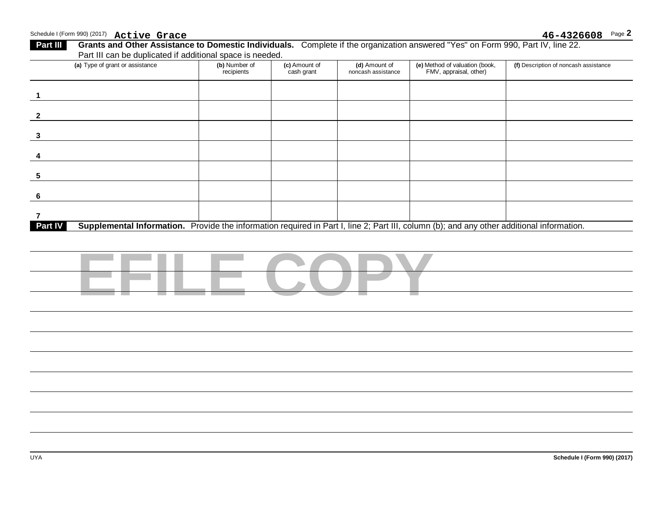# Schedule I (Form 990) (2017) **Active Grace** 2 **46-4326608** Page 2

| Part III       | Grants and Other Assistance to Domestic Individuals. Complete if the organization answered "Yes" on Form 990, Part IV, line 22.           |                             |                             |                                     |                                                          |                                       |
|----------------|-------------------------------------------------------------------------------------------------------------------------------------------|-----------------------------|-----------------------------|-------------------------------------|----------------------------------------------------------|---------------------------------------|
|                | Part III can be duplicated if additional space is needed.                                                                                 |                             |                             |                                     |                                                          |                                       |
|                | (a) Type of grant or assistance                                                                                                           | (b) Number of<br>recipients | (c) Amount of<br>cash grant | (d) Amount of<br>noncash assistance | (e) Method of valuation (book,<br>FMV, appraisal, other) | (f) Description of noncash assistance |
|                |                                                                                                                                           |                             |                             |                                     |                                                          |                                       |
|                |                                                                                                                                           |                             |                             |                                     |                                                          |                                       |
| 3              |                                                                                                                                           |                             |                             |                                     |                                                          |                                       |
|                |                                                                                                                                           |                             |                             |                                     |                                                          |                                       |
| 5              |                                                                                                                                           |                             |                             |                                     |                                                          |                                       |
| -6             |                                                                                                                                           |                             |                             |                                     |                                                          |                                       |
|                |                                                                                                                                           |                             |                             |                                     |                                                          |                                       |
| <b>Part IV</b> | Supplemental Information. Provide the information required in Part I, line 2; Part III, column (b); and any other additional information. |                             |                             |                                     |                                                          |                                       |



### UYA **Schedule I (Form 990) (2017)**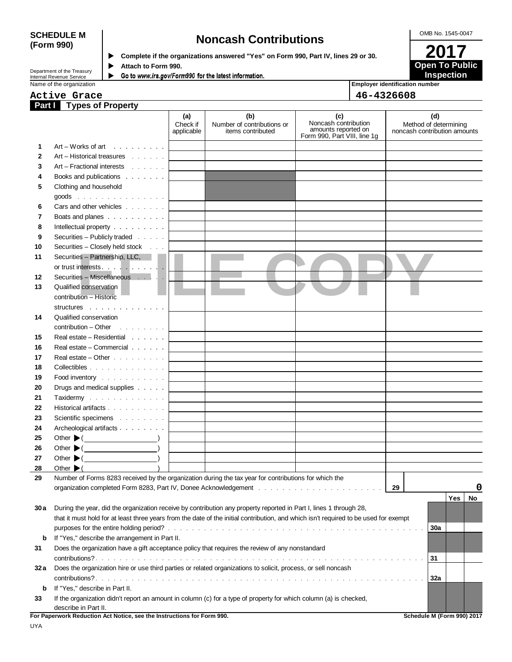SCHEDULE M **Noncash Contributions**<br>
(Form 990) **Dependence if the organizations answered "Yes" on Form 990, Part IV, lines 29 or 30. 2017 (Form 990) Complete if the organizations answered "Yes" on Form 990, Part IV, lines 29 or 30.**

**Attach to Form 990.**

Go to www.irs.gov/Form990 for the latest information.

**Open To Public Inspection Employer identification number**

|                                                        | $\sim$ | Allach lo Fo   |
|--------------------------------------------------------|--------|----------------|
| Department of the Treasury<br>Internal Revenue Service |        | Go to www.irs. |
| Name of the organization                               |        |                |
|                                                        |        |                |

|              | Active Grace                                                                                                                                                                                                                   |                               |                                                        |                                                                                    | 46-4326608 |                                                              |
|--------------|--------------------------------------------------------------------------------------------------------------------------------------------------------------------------------------------------------------------------------|-------------------------------|--------------------------------------------------------|------------------------------------------------------------------------------------|------------|--------------------------------------------------------------|
|              | Part Types of Property                                                                                                                                                                                                         |                               |                                                        |                                                                                    |            |                                                              |
|              |                                                                                                                                                                                                                                | (a)<br>Check if<br>applicable | (b)<br>Number of contributions or<br>items contributed | (c)<br>Noncash contribution<br>amounts reported on<br>Form 990, Part VIII, line 1g |            | (d)<br>Method of determining<br>noncash contribution amounts |
| 1            | $Art-Works$ of art $\ldots$ $\ldots$                                                                                                                                                                                           |                               |                                                        |                                                                                    |            |                                                              |
| $\mathbf{2}$ | Art – Historical treasures                                                                                                                                                                                                     |                               |                                                        |                                                                                    |            |                                                              |
| 3            | Art – Fractional interests                                                                                                                                                                                                     |                               |                                                        |                                                                                    |            |                                                              |
| 4            | Books and publications                                                                                                                                                                                                         |                               |                                                        |                                                                                    |            |                                                              |
| 5            | Clothing and household                                                                                                                                                                                                         |                               |                                                        |                                                                                    |            |                                                              |
|              | goods $\cdots$ $\cdots$ $\cdots$                                                                                                                                                                                               |                               |                                                        |                                                                                    |            |                                                              |
| 6            | Cars and other vehicles                                                                                                                                                                                                        |                               |                                                        |                                                                                    |            |                                                              |
| 7            | Boats and planes                                                                                                                                                                                                               |                               |                                                        |                                                                                    |            |                                                              |
|              | Intellectual property                                                                                                                                                                                                          |                               |                                                        |                                                                                    |            |                                                              |
|              | Securities - Publicly traded                                                                                                                                                                                                   |                               |                                                        |                                                                                    |            |                                                              |
|              | Securities - Closely held stock                                                                                                                                                                                                |                               |                                                        |                                                                                    |            |                                                              |
| 10<br>11     | Securities - Partnership, LLC,                                                                                                                                                                                                 |                               |                                                        |                                                                                    |            |                                                              |
|              | or trust interests                                                                                                                                                                                                             |                               |                                                        |                                                                                    |            |                                                              |
| 12           | Securities - Miscellaneous                                                                                                                                                                                                     |                               |                                                        |                                                                                    |            |                                                              |
|              | Qualified conservation                                                                                                                                                                                                         |                               |                                                        |                                                                                    |            |                                                              |
| 13           | contribution - Historic                                                                                                                                                                                                        |                               |                                                        |                                                                                    |            |                                                              |
|              | structures                                                                                                                                                                                                                     |                               |                                                        |                                                                                    |            |                                                              |
|              | Qualified conservation                                                                                                                                                                                                         |                               |                                                        |                                                                                    |            |                                                              |
|              | contribution - Other<br>$\mathbf{r}$ . The state of the state $\mathbf{r}$                                                                                                                                                     |                               |                                                        |                                                                                    |            |                                                              |
|              | Real estate – Residential $\cdots$                                                                                                                                                                                             |                               |                                                        |                                                                                    |            |                                                              |
|              | Real estate – Commercial $\cdots$                                                                                                                                                                                              |                               |                                                        |                                                                                    |            |                                                              |
|              | Real estate – Other $\cdots$                                                                                                                                                                                                   |                               |                                                        |                                                                                    |            |                                                              |
|              | Collectibles                                                                                                                                                                                                                   |                               |                                                        |                                                                                    |            |                                                              |
|              | Food inventory                                                                                                                                                                                                                 |                               |                                                        |                                                                                    |            |                                                              |
|              | Drugs and medical supplies                                                                                                                                                                                                     |                               |                                                        |                                                                                    |            |                                                              |
|              | Taxidermy                                                                                                                                                                                                                      |                               |                                                        |                                                                                    |            |                                                              |
|              | Historical artifacts                                                                                                                                                                                                           |                               |                                                        |                                                                                    |            |                                                              |
|              | Scientific specimens with a state of the second second second second second second second second second second second second second second second second second second second second second second second second second second |                               |                                                        |                                                                                    |            |                                                              |
|              | Archeological artifacts                                                                                                                                                                                                        |                               |                                                        |                                                                                    |            |                                                              |
|              |                                                                                                                                                                                                                                |                               |                                                        |                                                                                    |            |                                                              |
|              | Other $\blacktriangleright$ ( $\qquad \qquad$<br>Other $\blacktriangleright$ (                                                                                                                                                 |                               |                                                        |                                                                                    |            |                                                              |
|              | $\overline{\phantom{a}}$ )<br>$\overline{\phantom{a}}$ )<br>Other $\blacktriangleright$ (                                                                                                                                      |                               |                                                        |                                                                                    |            |                                                              |
|              | Other $\blacktriangleright$                                                                                                                                                                                                    |                               |                                                        |                                                                                    |            |                                                              |
|              | Number of Forms 8283 received by the organization during the tax year for contributions for which the                                                                                                                          |                               |                                                        |                                                                                    |            |                                                              |
|              |                                                                                                                                                                                                                                |                               |                                                        |                                                                                    | 29         | O                                                            |
|              |                                                                                                                                                                                                                                |                               |                                                        |                                                                                    |            | Yes<br>No                                                    |
| 30a          | During the year, did the organization receive by contribution any property reported in Part I, lines 1 through 28,                                                                                                             |                               |                                                        |                                                                                    |            |                                                              |
|              | that it must hold for at least three years from the date of the initial contribution, and which isn't required to be used for exempt                                                                                           |                               |                                                        |                                                                                    |            |                                                              |
|              |                                                                                                                                                                                                                                |                               |                                                        |                                                                                    |            | 30a                                                          |
| b            | If "Yes," describe the arrangement in Part II.                                                                                                                                                                                 |                               |                                                        |                                                                                    |            |                                                              |
|              | Does the organization have a gift acceptance policy that requires the review of any nonstandard                                                                                                                                |                               |                                                        |                                                                                    |            |                                                              |
|              |                                                                                                                                                                                                                                |                               |                                                        |                                                                                    |            | 31                                                           |
| 32a          | Does the organization hire or use third parties or related organizations to solicit, process, or sell noncash                                                                                                                  |                               |                                                        |                                                                                    |            |                                                              |
|              |                                                                                                                                                                                                                                |                               |                                                        |                                                                                    |            |                                                              |
| b            |                                                                                                                                                                                                                                |                               |                                                        |                                                                                    |            | 32a                                                          |
|              | If "Yes," describe in Part II.                                                                                                                                                                                                 |                               |                                                        |                                                                                    |            |                                                              |
|              | If the organization didn't report an amount in column (c) for a type of property for which column (a) is checked,<br>describe in Part II.                                                                                      |                               |                                                        |                                                                                    |            |                                                              |

UYA

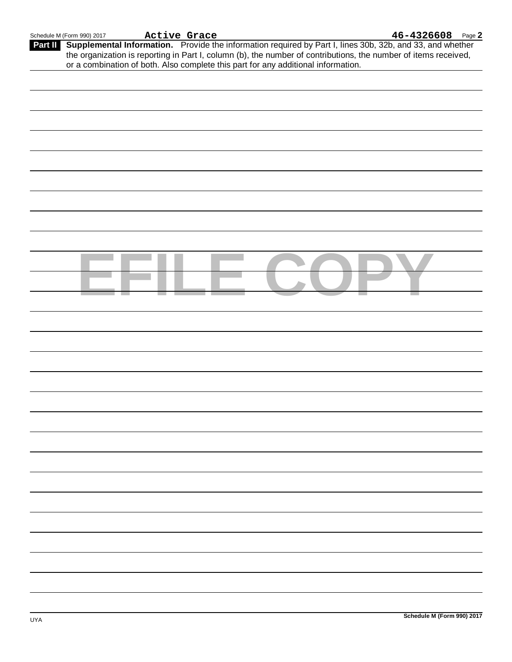**Active Grace 46-4326608**

**Part II** Supplemental Information. Provide the information required by Part I, lines 30b, 32b, and 33, and whether the organization is reporting in Part I, column (b), the number of contributions, the number of items received, or a combination of both. Also complete this part for any additional information.

| ٠<br><b>Contract</b>                                                                            |  |
|-------------------------------------------------------------------------------------------------|--|
|                                                                                                 |  |
| $\sim 100$<br><b>Contract</b><br><b>Contract</b><br><b>Contract</b><br><b>Contract Contract</b> |  |
|                                                                                                 |  |
|                                                                                                 |  |
|                                                                                                 |  |
|                                                                                                 |  |
|                                                                                                 |  |
|                                                                                                 |  |
|                                                                                                 |  |
|                                                                                                 |  |
|                                                                                                 |  |
|                                                                                                 |  |
|                                                                                                 |  |
|                                                                                                 |  |
|                                                                                                 |  |
|                                                                                                 |  |
|                                                                                                 |  |
|                                                                                                 |  |
|                                                                                                 |  |
|                                                                                                 |  |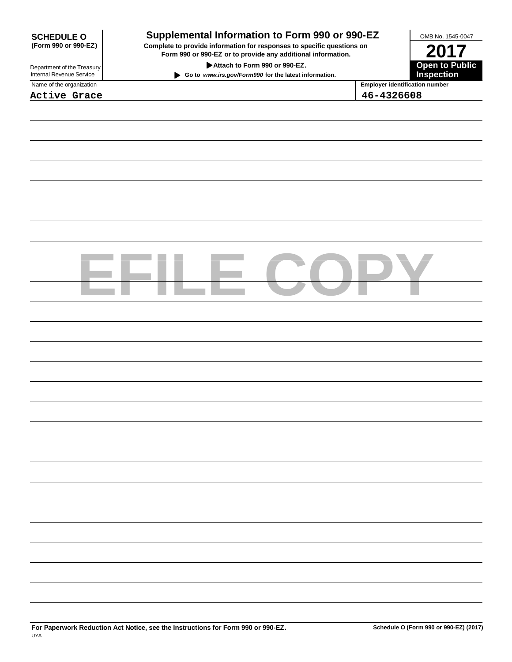| Supplemental Information to Form 990 or 990-EZ<br><b>SCHEDULE O</b><br>OMB No. 1545-0047<br>(Form 990 or 990-EZ)<br>Complete to provide information for responses to specific questions on<br>2017<br>Form 990 or 990-EZ or to provide any additional information. |                                                                                        |                                                     |                                     |  |  |
|--------------------------------------------------------------------------------------------------------------------------------------------------------------------------------------------------------------------------------------------------------------------|----------------------------------------------------------------------------------------|-----------------------------------------------------|-------------------------------------|--|--|
| Department of the Treasury<br>Internal Revenue Service                                                                                                                                                                                                             | Attach to Form 990 or 990-EZ.<br>Go to www.irs.gov/Form990 for the latest information. |                                                     | <b>Open to Public</b><br>Inspection |  |  |
| Name of the organization<br>Active Grace                                                                                                                                                                                                                           |                                                                                        | <b>Employer identification number</b><br>46-4326608 |                                     |  |  |
|                                                                                                                                                                                                                                                                    |                                                                                        |                                                     |                                     |  |  |
|                                                                                                                                                                                                                                                                    |                                                                                        |                                                     |                                     |  |  |
|                                                                                                                                                                                                                                                                    |                                                                                        |                                                     |                                     |  |  |
|                                                                                                                                                                                                                                                                    |                                                                                        |                                                     |                                     |  |  |
|                                                                                                                                                                                                                                                                    |                                                                                        |                                                     |                                     |  |  |
|                                                                                                                                                                                                                                                                    |                                                                                        |                                                     |                                     |  |  |
|                                                                                                                                                                                                                                                                    |                                                                                        |                                                     |                                     |  |  |
|                                                                                                                                                                                                                                                                    |                                                                                        |                                                     |                                     |  |  |
|                                                                                                                                                                                                                                                                    |                                                                                        |                                                     |                                     |  |  |
|                                                                                                                                                                                                                                                                    |                                                                                        |                                                     |                                     |  |  |
|                                                                                                                                                                                                                                                                    |                                                                                        |                                                     |                                     |  |  |
|                                                                                                                                                                                                                                                                    |                                                                                        |                                                     |                                     |  |  |
|                                                                                                                                                                                                                                                                    |                                                                                        |                                                     |                                     |  |  |
|                                                                                                                                                                                                                                                                    |                                                                                        |                                                     |                                     |  |  |
|                                                                                                                                                                                                                                                                    |                                                                                        |                                                     |                                     |  |  |
|                                                                                                                                                                                                                                                                    |                                                                                        |                                                     |                                     |  |  |
|                                                                                                                                                                                                                                                                    |                                                                                        |                                                     |                                     |  |  |
|                                                                                                                                                                                                                                                                    |                                                                                        |                                                     |                                     |  |  |
|                                                                                                                                                                                                                                                                    |                                                                                        |                                                     |                                     |  |  |
|                                                                                                                                                                                                                                                                    |                                                                                        |                                                     |                                     |  |  |
|                                                                                                                                                                                                                                                                    |                                                                                        |                                                     |                                     |  |  |